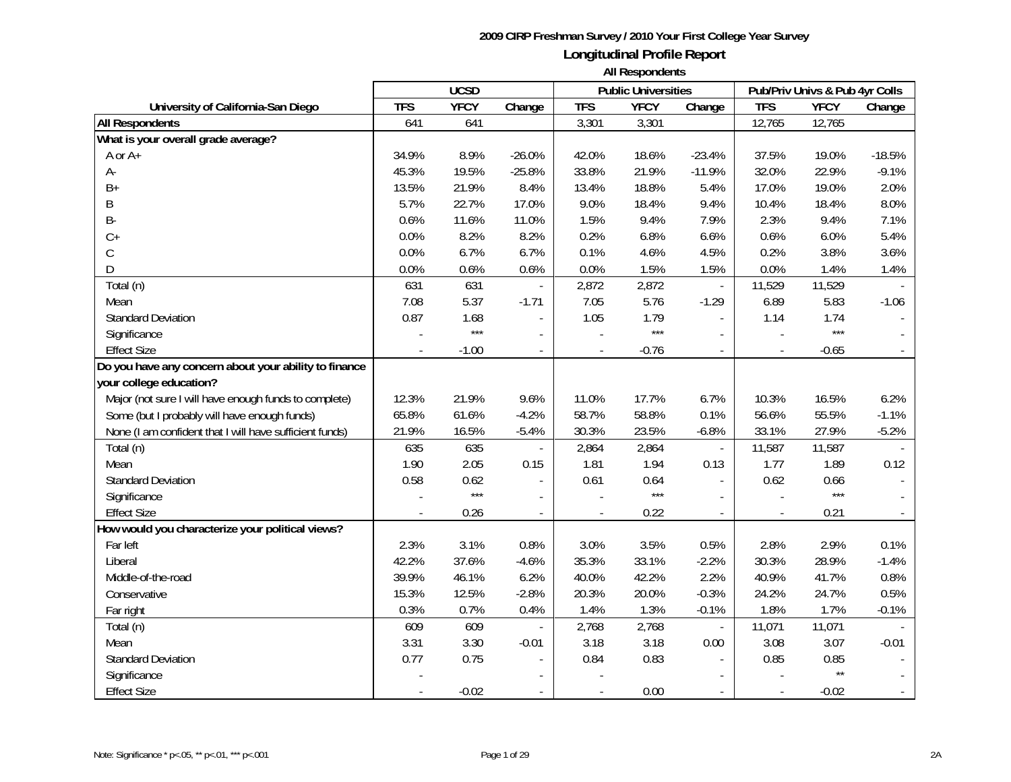|                                                         |            | <b>UCSD</b> |                          |            | <b>Public Universities</b> |                          |                          | Pub/Priv Univs & Pub 4yr Colls |                |
|---------------------------------------------------------|------------|-------------|--------------------------|------------|----------------------------|--------------------------|--------------------------|--------------------------------|----------------|
| University of California-San Diego                      | <b>TFS</b> | <b>YFCY</b> | Change                   | <b>TFS</b> | <b>YFCY</b>                | Change                   | <b>TFS</b>               | <b>YFCY</b>                    | Change         |
| <b>All Respondents</b>                                  | 641        | 641         |                          | 3,301      | 3,301                      |                          | 12,765                   | 12,765                         |                |
| What is your overall grade average?                     |            |             |                          |            |                            |                          |                          |                                |                |
| A or A+                                                 | 34.9%      | 8.9%        | $-26.0%$                 | 42.0%      | 18.6%                      | $-23.4%$                 | 37.5%                    | 19.0%                          | $-18.5%$       |
| А-                                                      | 45.3%      | 19.5%       | $-25.8%$                 | 33.8%      | 21.9%                      | $-11.9%$                 | 32.0%                    | 22.9%                          | $-9.1%$        |
| $B+$                                                    | 13.5%      | 21.9%       | 8.4%                     | 13.4%      | 18.8%                      | 5.4%                     | 17.0%                    | 19.0%                          | 2.0%           |
| Β                                                       | 5.7%       | 22.7%       | 17.0%                    | 9.0%       | 18.4%                      | 9.4%                     | 10.4%                    | 18.4%                          | 8.0%           |
| <b>B-</b>                                               | 0.6%       | 11.6%       | 11.0%                    | 1.5%       | 9.4%                       | 7.9%                     | 2.3%                     | 9.4%                           | 7.1%           |
| $C+$                                                    | 0.0%       | 8.2%        | 8.2%                     | 0.2%       | 6.8%                       | 6.6%                     | 0.6%                     | 6.0%                           | 5.4%           |
| С                                                       | 0.0%       | 6.7%        | 6.7%                     | 0.1%       | 4.6%                       | 4.5%                     | 0.2%                     | 3.8%                           | 3.6%           |
| D                                                       | 0.0%       | 0.6%        | 0.6%                     | 0.0%       | 1.5%                       | 1.5%                     | 0.0%                     | 1.4%                           | 1.4%           |
| Total (n)                                               | 631        | 631         |                          | 2,872      | 2,872                      | $\omega$                 | 11,529                   | 11,529                         |                |
| Mean                                                    | 7.08       | 5.37        | $-1.71$                  | 7.05       | 5.76                       | $-1.29$                  | 6.89                     | 5.83                           | $-1.06$        |
| <b>Standard Deviation</b>                               | 0.87       | 1.68        |                          | 1.05       | 1.79                       | $\overline{a}$           | 1.14                     | 1.74                           |                |
| Significance                                            |            | $***$       | $\overline{a}$           |            | $***$                      | ÷,                       |                          | $***$                          |                |
| <b>Effect Size</b>                                      |            | $-1.00$     |                          |            | $-0.76$                    |                          |                          | $-0.65$                        |                |
| Do you have any concern about your ability to finance   |            |             |                          |            |                            |                          |                          |                                |                |
| your college education?                                 |            |             |                          |            |                            |                          |                          |                                |                |
| Major (not sure I will have enough funds to complete)   | 12.3%      | 21.9%       | 9.6%                     | 11.0%      | 17.7%                      | 6.7%                     | 10.3%                    | 16.5%                          | 6.2%           |
| Some (but I probably will have enough funds)            | 65.8%      | 61.6%       | $-4.2%$                  | 58.7%      | 58.8%                      | 0.1%                     | 56.6%                    | 55.5%                          | $-1.1%$        |
| None (I am confident that I will have sufficient funds) | 21.9%      | 16.5%       | $-5.4%$                  | 30.3%      | 23.5%                      | $-6.8%$                  | 33.1%                    | 27.9%                          | $-5.2%$        |
| Total (n)                                               | 635        | 635         | $\blacksquare$           | 2,864      | 2,864                      | $\mathbb{L}$             | 11,587                   | 11,587                         |                |
| Mean                                                    | 1.90       | 2.05        | 0.15                     | 1.81       | 1.94                       | 0.13                     | 1.77                     | 1.89                           | 0.12           |
| <b>Standard Deviation</b>                               | 0.58       | 0.62        | $\blacksquare$           | 0.61       | 0.64                       | $\overline{\phantom{a}}$ | 0.62                     | 0.66                           |                |
| Significance                                            |            | $***$       |                          |            | $***$                      | $\mathcal{L}$            |                          | $***$                          |                |
| <b>Effect Size</b>                                      |            | 0.26        | $\overline{\phantom{a}}$ |            | 0.22                       | $\overline{\phantom{a}}$ | $\overline{\phantom{a}}$ | 0.21                           | $\blacksquare$ |
| How would you characterize your political views?        |            |             |                          |            |                            |                          |                          |                                |                |
| Far left                                                | 2.3%       | 3.1%        | 0.8%                     | 3.0%       | 3.5%                       | 0.5%                     | 2.8%                     | 2.9%                           | 0.1%           |
| Liberal                                                 | 42.2%      | 37.6%       | $-4.6%$                  | 35.3%      | 33.1%                      | $-2.2%$                  | 30.3%                    | 28.9%                          | $-1.4%$        |
| Middle-of-the-road                                      | 39.9%      | 46.1%       | 6.2%                     | 40.0%      | 42.2%                      | 2.2%                     | 40.9%                    | 41.7%                          | 0.8%           |
| Conservative                                            | 15.3%      | 12.5%       | $-2.8%$                  | 20.3%      | 20.0%                      | $-0.3%$                  | 24.2%                    | 24.7%                          | 0.5%           |
| Far right                                               | 0.3%       | 0.7%        | 0.4%                     | 1.4%       | 1.3%                       | $-0.1%$                  | 1.8%                     | 1.7%                           | $-0.1%$        |
| Total (n)                                               | 609        | 609         |                          | 2,768      | 2,768                      | $\overline{\phantom{a}}$ | 11,071                   | 11,071                         |                |
| Mean                                                    | 3.31       | 3.30        | $-0.01$                  | 3.18       | 3.18                       | 0.00                     | 3.08                     | 3.07                           | $-0.01$        |
| <b>Standard Deviation</b>                               | 0.77       | 0.75        |                          | 0.84       | 0.83                       |                          | 0.85                     | 0.85                           |                |
| Significance                                            |            |             |                          |            |                            |                          |                          | $\star\star$                   |                |
| <b>Effect Size</b>                                      |            | $-0.02$     |                          |            | 0.00                       |                          |                          | $-0.02$                        |                |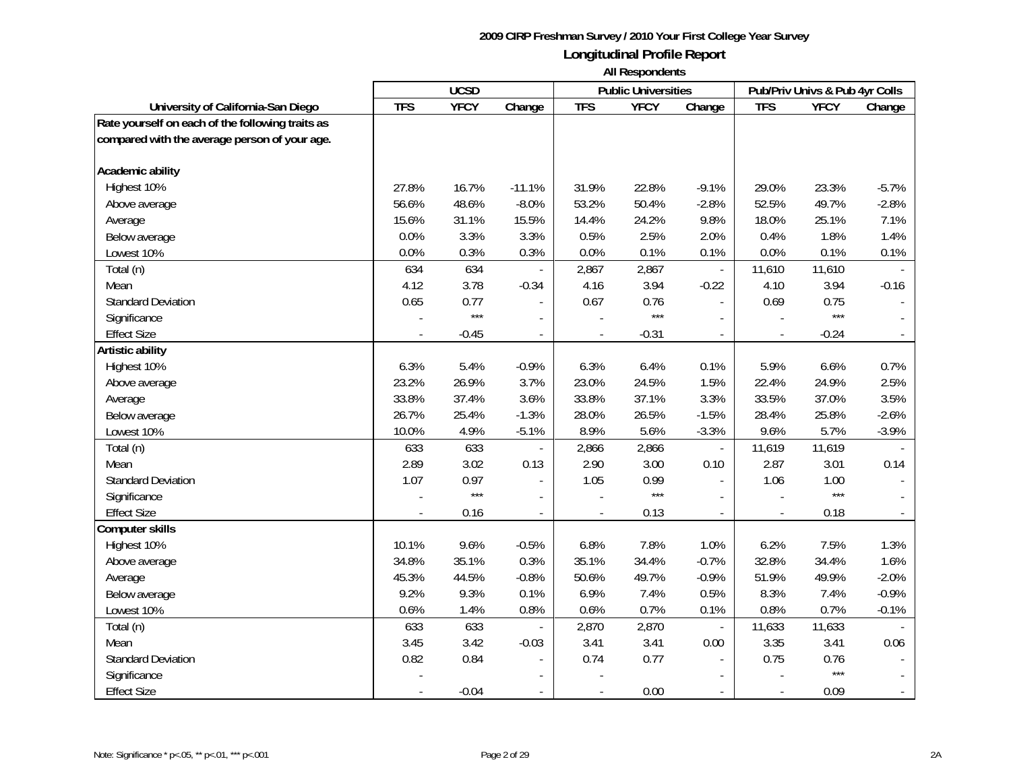|                                                  |            | <b>UCSD</b> |                |                          | <b>Public Universities</b> |                          |            | Pub/Priv Univs & Pub 4yr Colls |                |
|--------------------------------------------------|------------|-------------|----------------|--------------------------|----------------------------|--------------------------|------------|--------------------------------|----------------|
| University of California-San Diego               | <b>TFS</b> | <b>YFCY</b> | Change         | <b>TFS</b>               | <b>YFCY</b>                | Change                   | <b>TFS</b> | <b>YFCY</b>                    | Change         |
| Rate yourself on each of the following traits as |            |             |                |                          |                            |                          |            |                                |                |
| compared with the average person of your age.    |            |             |                |                          |                            |                          |            |                                |                |
|                                                  |            |             |                |                          |                            |                          |            |                                |                |
| Academic ability                                 |            |             |                |                          |                            |                          |            |                                |                |
| Highest 10%                                      | 27.8%      | 16.7%       | $-11.1%$       | 31.9%                    | 22.8%                      | $-9.1%$                  | 29.0%      | 23.3%                          | $-5.7%$        |
| Above average                                    | 56.6%      | 48.6%       | $-8.0%$        | 53.2%                    | 50.4%                      | $-2.8%$                  | 52.5%      | 49.7%                          | $-2.8%$        |
| Average                                          | 15.6%      | 31.1%       | 15.5%          | 14.4%                    | 24.2%                      | 9.8%                     | 18.0%      | 25.1%                          | 7.1%           |
| Below average                                    | 0.0%       | 3.3%        | 3.3%           | 0.5%                     | 2.5%                       | 2.0%                     | 0.4%       | 1.8%                           | 1.4%           |
| Lowest 10%                                       | 0.0%       | 0.3%        | 0.3%           | 0.0%                     | 0.1%                       | 0.1%                     | 0.0%       | 0.1%                           | 0.1%           |
| Total (n)                                        | 634        | 634         |                | 2,867                    | 2,867                      | $\overline{\phantom{a}}$ | 11,610     | 11,610                         |                |
| Mean                                             | 4.12       | 3.78        | $-0.34$        | 4.16                     | 3.94                       | $-0.22$                  | 4.10       | 3.94                           | $-0.16$        |
| <b>Standard Deviation</b>                        | 0.65       | 0.77        | $\blacksquare$ | 0.67                     | 0.76                       | $\sim$                   | 0.69       | 0.75                           |                |
| Significance                                     |            | $***$       |                |                          | $***$                      |                          |            | $***$                          |                |
| <b>Effect Size</b>                               |            | $-0.45$     |                |                          | $-0.31$                    |                          |            | $-0.24$                        |                |
| Artistic ability                                 |            |             |                |                          |                            |                          |            |                                |                |
| Highest 10%                                      | 6.3%       | 5.4%        | $-0.9%$        | 6.3%                     | 6.4%                       | 0.1%                     | 5.9%       | 6.6%                           | 0.7%           |
| Above average                                    | 23.2%      | 26.9%       | 3.7%           | 23.0%                    | 24.5%                      | 1.5%                     | 22.4%      | 24.9%                          | 2.5%           |
| Average                                          | 33.8%      | 37.4%       | 3.6%           | 33.8%                    | 37.1%                      | 3.3%                     | 33.5%      | 37.0%                          | 3.5%           |
| Below average                                    | 26.7%      | 25.4%       | $-1.3%$        | 28.0%                    | 26.5%                      | $-1.5%$                  | 28.4%      | 25.8%                          | $-2.6%$        |
| Lowest 10%                                       | 10.0%      | 4.9%        | $-5.1%$        | 8.9%                     | 5.6%                       | $-3.3%$                  | 9.6%       | 5.7%                           | $-3.9%$        |
| Total (n)                                        | 633        | 633         |                | 2,866                    | 2,866                      | $\mathbb{L}^2$           | 11,619     | 11,619                         |                |
| Mean                                             | 2.89       | 3.02        | 0.13           | 2.90                     | 3.00                       | 0.10                     | 2.87       | 3.01                           | 0.14           |
| <b>Standard Deviation</b>                        | 1.07       | 0.97        | $\blacksquare$ | 1.05                     | 0.99                       | $\mathbf{r}$             | 1.06       | 1.00                           |                |
| Significance                                     |            | $***$       |                |                          | $***$                      | $\blacksquare$           |            | $***$                          |                |
| <b>Effect Size</b>                               |            | 0.16        | $\blacksquare$ | $\overline{\phantom{a}}$ | 0.13                       | $\overline{\phantom{a}}$ |            | 0.18                           |                |
| Computer skills                                  |            |             |                |                          |                            |                          |            |                                |                |
| Highest 10%                                      | 10.1%      | 9.6%        | $-0.5%$        | 6.8%                     | 7.8%                       | 1.0%                     | 6.2%       | 7.5%                           | 1.3%           |
| Above average                                    | 34.8%      | 35.1%       | 0.3%           | 35.1%                    | 34.4%                      | $-0.7%$                  | 32.8%      | 34.4%                          | 1.6%           |
| Average                                          | 45.3%      | 44.5%       | $-0.8%$        | 50.6%                    | 49.7%                      | $-0.9%$                  | 51.9%      | 49.9%                          | $-2.0%$        |
| Below average                                    | 9.2%       | 9.3%        | 0.1%           | 6.9%                     | 7.4%                       | 0.5%                     | 8.3%       | 7.4%                           | $-0.9%$        |
| Lowest 10%                                       | 0.6%       | 1.4%        | 0.8%           | 0.6%                     | 0.7%                       | 0.1%                     | 0.8%       | 0.7%                           | $-0.1%$        |
| Total (n)                                        | 633        | 633         |                | 2,870                    | 2,870                      | $\overline{\phantom{a}}$ | 11,633     | 11,633                         |                |
| Mean                                             | 3.45       | 3.42        | $-0.03$        | 3.41                     | 3.41                       | 0.00                     | 3.35       | 3.41                           | 0.06           |
| <b>Standard Deviation</b>                        | 0.82       | 0.84        |                | 0.74                     | 0.77                       |                          | 0.75       | 0.76                           |                |
| Significance                                     |            |             |                |                          |                            |                          |            | $***$                          |                |
| <b>Effect Size</b>                               |            | $-0.04$     |                | $\overline{\phantom{a}}$ | 0.00                       |                          |            | 0.09                           | $\blacksquare$ |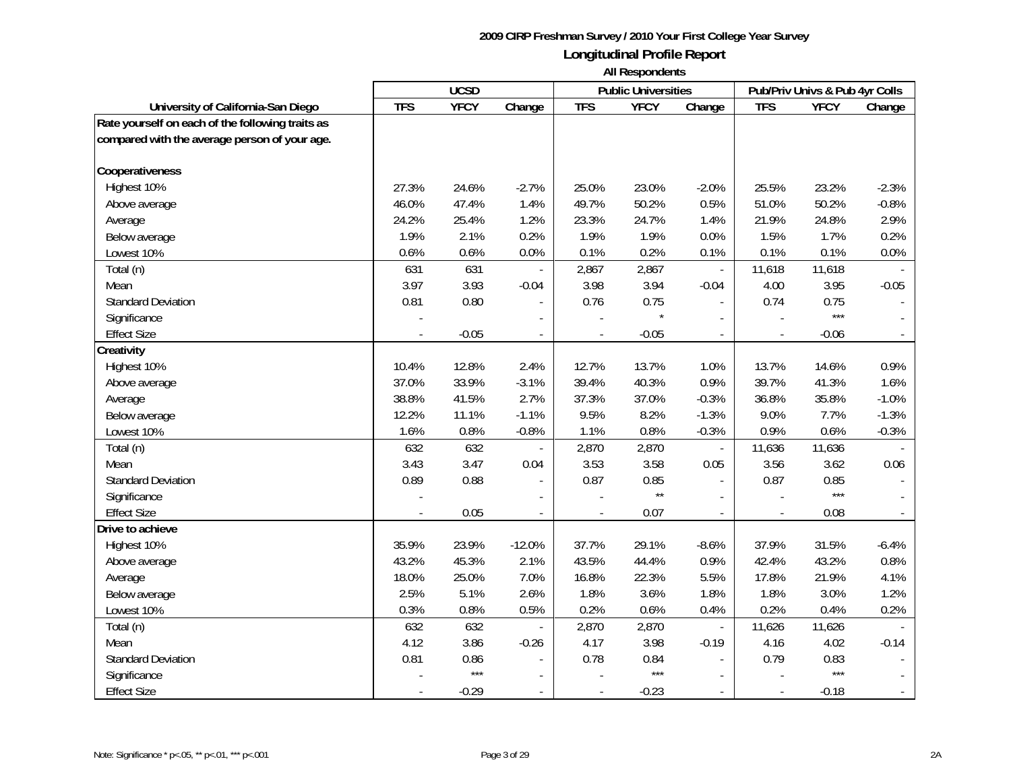|                                                  |            | <b>UCSD</b> |                          |                          | <b>Public Universities</b> |                          |                | Pub/Priv Univs & Pub 4yr Colls |                          |
|--------------------------------------------------|------------|-------------|--------------------------|--------------------------|----------------------------|--------------------------|----------------|--------------------------------|--------------------------|
| University of California-San Diego               | <b>TFS</b> | <b>YFCY</b> | Change                   | <b>TFS</b>               | <b>YFCY</b>                | Change                   | <b>TFS</b>     | <b>YFCY</b>                    | Change                   |
| Rate yourself on each of the following traits as |            |             |                          |                          |                            |                          |                |                                |                          |
| compared with the average person of your age.    |            |             |                          |                          |                            |                          |                |                                |                          |
|                                                  |            |             |                          |                          |                            |                          |                |                                |                          |
| Cooperativeness                                  |            |             |                          |                          |                            |                          |                |                                |                          |
| Highest 10%                                      | 27.3%      | 24.6%       | $-2.7%$                  | 25.0%                    | 23.0%                      | $-2.0%$                  | 25.5%          | 23.2%                          | $-2.3%$                  |
| Above average                                    | 46.0%      | 47.4%       | 1.4%                     | 49.7%                    | 50.2%                      | 0.5%                     | 51.0%          | 50.2%                          | $-0.8%$                  |
| Average                                          | 24.2%      | 25.4%       | 1.2%                     | 23.3%                    | 24.7%                      | 1.4%                     | 21.9%          | 24.8%                          | 2.9%                     |
| Below average                                    | 1.9%       | 2.1%        | 0.2%                     | 1.9%                     | 1.9%                       | 0.0%                     | 1.5%           | 1.7%                           | 0.2%                     |
| Lowest 10%                                       | 0.6%       | 0.6%        | 0.0%                     | 0.1%                     | 0.2%                       | 0.1%                     | 0.1%           | 0.1%                           | 0.0%                     |
| Total (n)                                        | 631        | 631         |                          | 2,867                    | 2,867                      | $\overline{\phantom{a}}$ | 11,618         | 11,618                         |                          |
| Mean                                             | 3.97       | 3.93        | $-0.04$                  | 3.98                     | 3.94                       | $-0.04$                  | 4.00           | 3.95                           | $-0.05$                  |
| <b>Standard Deviation</b>                        | 0.81       | 0.80        |                          | 0.76                     | 0.75                       | $\sim$                   | 0.74           | 0.75                           |                          |
| Significance                                     |            |             |                          |                          |                            |                          |                | $***$                          |                          |
| <b>Effect Size</b>                               |            | $-0.05$     |                          |                          | $-0.05$                    |                          |                | $-0.06$                        |                          |
| Creativity                                       |            |             |                          |                          |                            |                          |                |                                |                          |
| Highest 10%                                      | 10.4%      | 12.8%       | 2.4%                     | 12.7%                    | 13.7%                      | 1.0%                     | 13.7%          | 14.6%                          | 0.9%                     |
| Above average                                    | 37.0%      | 33.9%       | $-3.1%$                  | 39.4%                    | 40.3%                      | 0.9%                     | 39.7%          | 41.3%                          | 1.6%                     |
| Average                                          | 38.8%      | 41.5%       | 2.7%                     | 37.3%                    | 37.0%                      | $-0.3%$                  | 36.8%          | 35.8%                          | $-1.0%$                  |
| Below average                                    | 12.2%      | 11.1%       | $-1.1%$                  | 9.5%                     | 8.2%                       | $-1.3%$                  | 9.0%           | 7.7%                           | $-1.3%$                  |
| Lowest 10%                                       | 1.6%       | 0.8%        | $-0.8%$                  | 1.1%                     | 0.8%                       | $-0.3%$                  | 0.9%           | 0.6%                           | $-0.3%$                  |
| Total (n)                                        | 632        | 632         | $\frac{1}{2}$            | 2,870                    | 2,870                      | $\mathbb{L}$             | 11,636         | 11,636                         |                          |
| Mean                                             | 3.43       | 3.47        | 0.04                     | 3.53                     | 3.58                       | 0.05                     | 3.56           | 3.62                           | 0.06                     |
| <b>Standard Deviation</b>                        | 0.89       | 0.88        | $\overline{\phantom{a}}$ | 0.87                     | 0.85                       | $\blacksquare$           | 0.87           | 0.85                           |                          |
| Significance                                     |            |             |                          |                          | $\star\star$               |                          |                | $***$                          |                          |
| <b>Effect Size</b>                               |            | 0.05        | $\overline{\phantom{a}}$ |                          | 0.07                       | $\overline{\phantom{a}}$ |                | 0.08                           |                          |
| Drive to achieve                                 |            |             |                          |                          |                            |                          |                |                                |                          |
| Highest 10%                                      | 35.9%      | 23.9%       | $-12.0%$                 | 37.7%                    | 29.1%                      | $-8.6%$                  | 37.9%          | 31.5%                          | $-6.4%$                  |
| Above average                                    | 43.2%      | 45.3%       | 2.1%                     | 43.5%                    | 44.4%                      | 0.9%                     | 42.4%          | 43.2%                          | 0.8%                     |
| Average                                          | 18.0%      | 25.0%       | 7.0%                     | 16.8%                    | 22.3%                      | 5.5%                     | 17.8%          | 21.9%                          | 4.1%                     |
| Below average                                    | 2.5%       | 5.1%        | 2.6%                     | 1.8%                     | 3.6%                       | 1.8%                     | 1.8%           | 3.0%                           | 1.2%                     |
| Lowest 10%                                       | 0.3%       | 0.8%        | 0.5%                     | 0.2%                     | 0.6%                       | 0.4%                     | 0.2%           | 0.4%                           | 0.2%                     |
| Total (n)                                        | 632        | 632         |                          | 2,870                    | 2,870                      | $\overline{\phantom{a}}$ | 11,626         | 11,626                         |                          |
| Mean                                             | 4.12       | 3.86        | $-0.26$                  | 4.17                     | 3.98                       | $-0.19$                  | 4.16           | 4.02                           | $-0.14$                  |
| <b>Standard Deviation</b>                        | 0.81       | 0.86        | $\overline{a}$           | 0.78                     | 0.84                       |                          | 0.79           | 0.83                           |                          |
| Significance                                     |            | $***$       |                          |                          | $***$                      |                          |                | $***$                          |                          |
| <b>Effect Size</b>                               |            | $-0.29$     | $\overline{\phantom{a}}$ | $\overline{\phantom{a}}$ | $-0.23$                    | $\sim$                   | $\blacksquare$ | $-0.18$                        | $\overline{\phantom{a}}$ |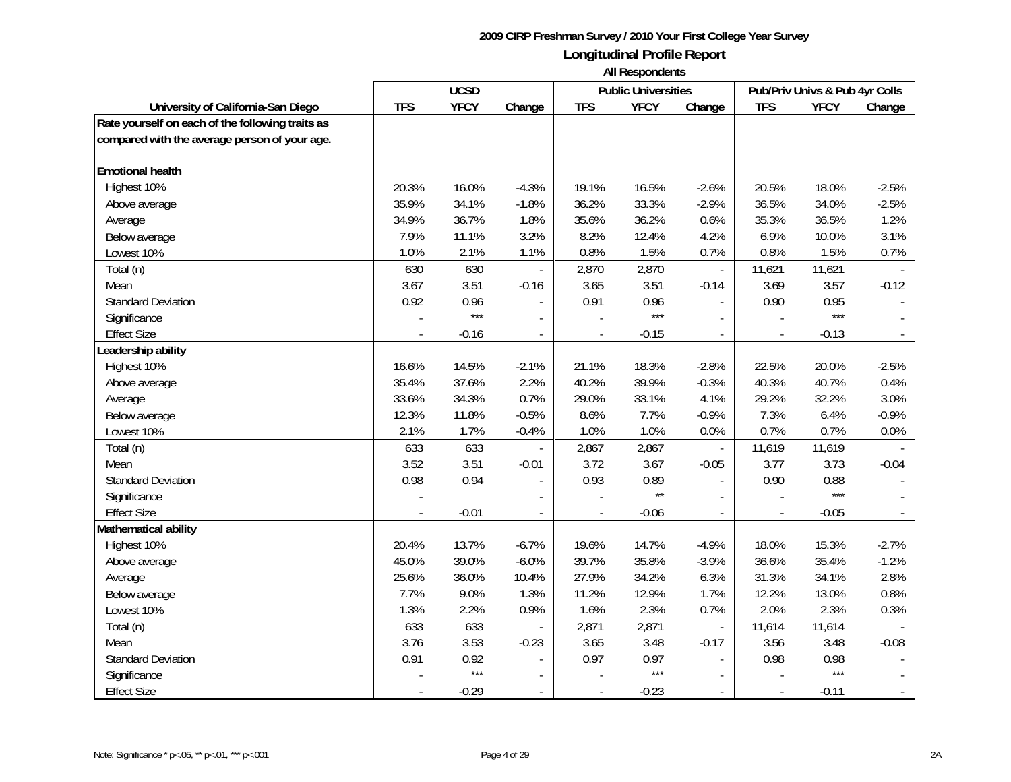|                                                  |            | <b>UCSD</b> |                          |                          | <b>Public Universities</b> |                          |            | Pub/Priv Univs & Pub 4yr Colls |         |
|--------------------------------------------------|------------|-------------|--------------------------|--------------------------|----------------------------|--------------------------|------------|--------------------------------|---------|
| University of California-San Diego               | <b>TFS</b> | <b>YFCY</b> | Change                   | <b>TFS</b>               | <b>YFCY</b>                | Change                   | <b>TFS</b> | <b>YFCY</b>                    | Change  |
| Rate yourself on each of the following traits as |            |             |                          |                          |                            |                          |            |                                |         |
| compared with the average person of your age.    |            |             |                          |                          |                            |                          |            |                                |         |
|                                                  |            |             |                          |                          |                            |                          |            |                                |         |
| <b>Emotional health</b>                          |            |             |                          |                          |                            |                          |            |                                |         |
| Highest 10%                                      | 20.3%      | 16.0%       | $-4.3%$                  | 19.1%                    | 16.5%                      | $-2.6%$                  | 20.5%      | 18.0%                          | $-2.5%$ |
| Above average                                    | 35.9%      | 34.1%       | $-1.8%$                  | 36.2%                    | 33.3%                      | $-2.9%$                  | 36.5%      | 34.0%                          | $-2.5%$ |
| Average                                          | 34.9%      | 36.7%       | 1.8%                     | 35.6%                    | 36.2%                      | 0.6%                     | 35.3%      | 36.5%                          | 1.2%    |
| Below average                                    | 7.9%       | 11.1%       | 3.2%                     | 8.2%                     | 12.4%                      | 4.2%                     | 6.9%       | 10.0%                          | 3.1%    |
| Lowest 10%                                       | 1.0%       | 2.1%        | 1.1%                     | 0.8%                     | 1.5%                       | 0.7%                     | 0.8%       | 1.5%                           | 0.7%    |
| Total (n)                                        | 630        | 630         |                          | 2,870                    | 2,870                      | $\overline{\phantom{a}}$ | 11,621     | 11,621                         |         |
| Mean                                             | 3.67       | 3.51        | $-0.16$                  | 3.65                     | 3.51                       | $-0.14$                  | 3.69       | 3.57                           | $-0.12$ |
| <b>Standard Deviation</b>                        | 0.92       | 0.96        | $\overline{\phantom{a}}$ | 0.91                     | 0.96                       | $\overline{\phantom{a}}$ | 0.90       | 0.95                           |         |
| Significance                                     |            | $***$       | $\overline{a}$           |                          | $***$                      | $\sim$                   |            | $***$                          |         |
| <b>Effect Size</b>                               |            | $-0.16$     |                          |                          | $-0.15$                    |                          |            | $-0.13$                        |         |
| Leadership ability                               |            |             |                          |                          |                            |                          |            |                                |         |
| Highest 10%                                      | 16.6%      | 14.5%       | $-2.1%$                  | 21.1%                    | 18.3%                      | $-2.8%$                  | 22.5%      | 20.0%                          | $-2.5%$ |
| Above average                                    | 35.4%      | 37.6%       | 2.2%                     | 40.2%                    | 39.9%                      | $-0.3%$                  | 40.3%      | 40.7%                          | 0.4%    |
| Average                                          | 33.6%      | 34.3%       | 0.7%                     | 29.0%                    | 33.1%                      | 4.1%                     | 29.2%      | 32.2%                          | 3.0%    |
| Below average                                    | 12.3%      | 11.8%       | $-0.5%$                  | 8.6%                     | 7.7%                       | $-0.9%$                  | 7.3%       | 6.4%                           | $-0.9%$ |
| Lowest 10%                                       | 2.1%       | 1.7%        | $-0.4%$                  | 1.0%                     | 1.0%                       | 0.0%                     | 0.7%       | 0.7%                           | 0.0%    |
| Total (n)                                        | 633        | 633         |                          | 2,867                    | 2,867                      | $\overline{\phantom{a}}$ | 11,619     | 11,619                         |         |
| Mean                                             | 3.52       | 3.51        | $-0.01$                  | 3.72                     | 3.67                       | $-0.05$                  | 3.77       | 3.73                           | $-0.04$ |
| <b>Standard Deviation</b>                        | 0.98       | 0.94        | $\blacksquare$           | 0.93                     | 0.89                       | $\mathbf{r}$             | 0.90       | 0.88                           |         |
| Significance                                     |            |             |                          |                          | $\star\star$               | $\blacksquare$           |            | $***$                          |         |
| <b>Effect Size</b>                               |            | $-0.01$     | $\blacksquare$           |                          | $-0.06$                    | $\overline{\phantom{a}}$ |            | $-0.05$                        |         |
| Mathematical ability                             |            |             |                          |                          |                            |                          |            |                                |         |
| Highest 10%                                      | 20.4%      | 13.7%       | $-6.7%$                  | 19.6%                    | 14.7%                      | $-4.9%$                  | 18.0%      | 15.3%                          | $-2.7%$ |
| Above average                                    | 45.0%      | 39.0%       | $-6.0%$                  | 39.7%                    | 35.8%                      | $-3.9%$                  | 36.6%      | 35.4%                          | $-1.2%$ |
| Average                                          | 25.6%      | 36.0%       | 10.4%                    | 27.9%                    | 34.2%                      | 6.3%                     | 31.3%      | 34.1%                          | 2.8%    |
| Below average                                    | 7.7%       | 9.0%        | 1.3%                     | 11.2%                    | 12.9%                      | 1.7%                     | 12.2%      | 13.0%                          | 0.8%    |
| Lowest 10%                                       | 1.3%       | 2.2%        | 0.9%                     | 1.6%                     | 2.3%                       | 0.7%                     | 2.0%       | 2.3%                           | 0.3%    |
| Total (n)                                        | 633        | 633         |                          | 2,871                    | 2,871                      | $\overline{\phantom{a}}$ | 11,614     | 11,614                         |         |
| Mean                                             | 3.76       | 3.53        | $-0.23$                  | 3.65                     | 3.48                       | $-0.17$                  | 3.56       | 3.48                           | $-0.08$ |
| <b>Standard Deviation</b>                        | 0.91       | 0.92        |                          | 0.97                     | 0.97                       |                          | 0.98       | 0.98                           |         |
| Significance                                     |            | $***$       |                          |                          | $***$                      |                          |            | $***$                          |         |
| <b>Effect Size</b>                               |            | $-0.29$     | $\blacksquare$           | $\overline{\phantom{a}}$ | $-0.23$                    |                          |            | $-0.11$                        |         |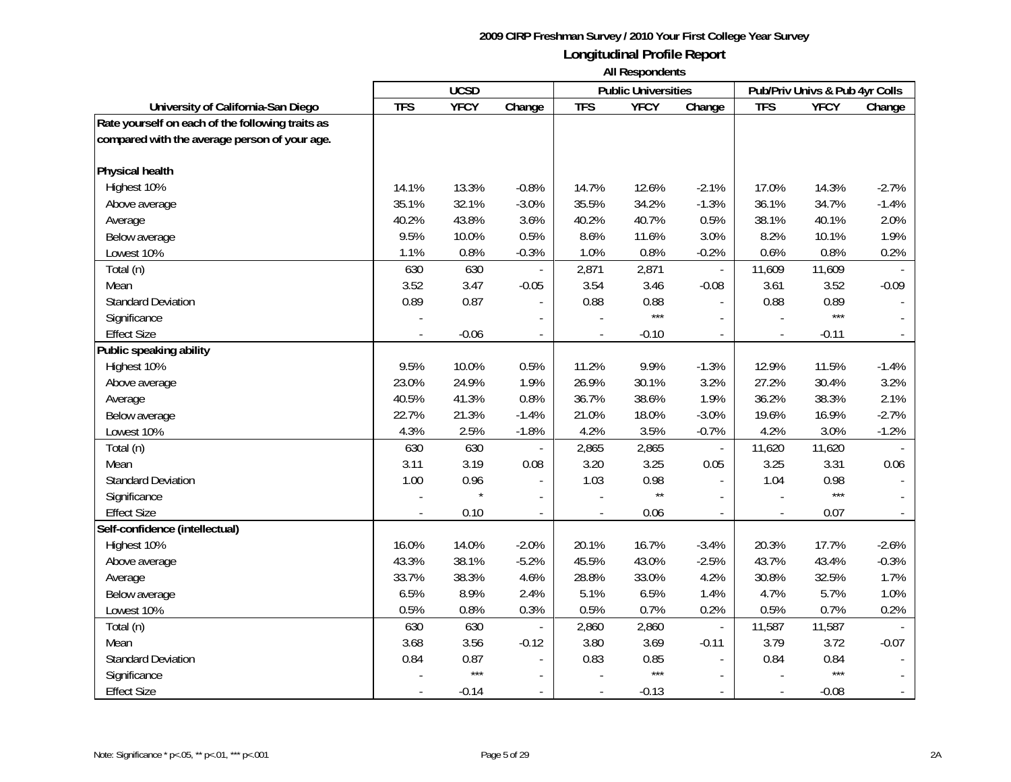|                                                  |            | <b>UCSD</b> |                          |                          | <b>Public Universities</b> |                          |                | Pub/Priv Univs & Pub 4yr Colls |                          |
|--------------------------------------------------|------------|-------------|--------------------------|--------------------------|----------------------------|--------------------------|----------------|--------------------------------|--------------------------|
| University of California-San Diego               | <b>TFS</b> | <b>YFCY</b> | Change                   | <b>TFS</b>               | <b>YFCY</b>                | Change                   | <b>TFS</b>     | <b>YFCY</b>                    | Change                   |
| Rate yourself on each of the following traits as |            |             |                          |                          |                            |                          |                |                                |                          |
| compared with the average person of your age.    |            |             |                          |                          |                            |                          |                |                                |                          |
|                                                  |            |             |                          |                          |                            |                          |                |                                |                          |
| <b>Physical health</b>                           |            |             |                          |                          |                            |                          |                |                                |                          |
| Highest 10%                                      | 14.1%      | 13.3%       | $-0.8%$                  | 14.7%                    | 12.6%                      | $-2.1%$                  | 17.0%          | 14.3%                          | $-2.7%$                  |
| Above average                                    | 35.1%      | 32.1%       | $-3.0%$                  | 35.5%                    | 34.2%                      | $-1.3%$                  | 36.1%          | 34.7%                          | $-1.4%$                  |
| Average                                          | 40.2%      | 43.8%       | 3.6%                     | 40.2%                    | 40.7%                      | 0.5%                     | 38.1%          | 40.1%                          | 2.0%                     |
| Below average                                    | 9.5%       | 10.0%       | 0.5%                     | 8.6%                     | 11.6%                      | 3.0%                     | 8.2%           | 10.1%                          | 1.9%                     |
| Lowest 10%                                       | 1.1%       | 0.8%        | $-0.3%$                  | 1.0%                     | 0.8%                       | $-0.2%$                  | 0.6%           | 0.8%                           | 0.2%                     |
| Total (n)                                        | 630        | 630         |                          | 2,871                    | 2,871                      | $\overline{\phantom{a}}$ | 11,609         | 11,609                         |                          |
| Mean                                             | 3.52       | 3.47        | $-0.05$                  | 3.54                     | 3.46                       | $-0.08$                  | 3.61           | 3.52                           | $-0.09$                  |
| <b>Standard Deviation</b>                        | 0.89       | 0.87        | $\blacksquare$           | 0.88                     | 0.88                       | $\sim$                   | 0.88           | 0.89                           |                          |
| Significance                                     |            |             |                          |                          | $***$                      | $\sim$                   |                | ***                            |                          |
| <b>Effect Size</b>                               |            | $-0.06$     |                          |                          | $-0.10$                    |                          |                | $-0.11$                        |                          |
| Public speaking ability                          |            |             |                          |                          |                            |                          |                |                                |                          |
| Highest 10%                                      | 9.5%       | 10.0%       | 0.5%                     | 11.2%                    | 9.9%                       | $-1.3%$                  | 12.9%          | 11.5%                          | $-1.4%$                  |
| Above average                                    | 23.0%      | 24.9%       | 1.9%                     | 26.9%                    | 30.1%                      | 3.2%                     | 27.2%          | 30.4%                          | 3.2%                     |
| Average                                          | 40.5%      | 41.3%       | 0.8%                     | 36.7%                    | 38.6%                      | 1.9%                     | 36.2%          | 38.3%                          | 2.1%                     |
| Below average                                    | 22.7%      | 21.3%       | $-1.4%$                  | 21.0%                    | 18.0%                      | $-3.0%$                  | 19.6%          | 16.9%                          | $-2.7%$                  |
| Lowest 10%                                       | 4.3%       | 2.5%        | $-1.8%$                  | 4.2%                     | 3.5%                       | $-0.7%$                  | 4.2%           | 3.0%                           | $-1.2%$                  |
| Total (n)                                        | 630        | 630         | $\overline{\phantom{a}}$ | 2,865                    | 2,865                      | $\overline{\phantom{a}}$ | 11,620         | 11,620                         |                          |
| Mean                                             | 3.11       | 3.19        | 0.08                     | 3.20                     | 3.25                       | 0.05                     | 3.25           | 3.31                           | 0.06                     |
| <b>Standard Deviation</b>                        | 1.00       | 0.96        | $\overline{\phantom{a}}$ | 1.03                     | 0.98                       | $\mathbf{r}$             | 1.04           | 0.98                           |                          |
| Significance                                     |            | $\star$     |                          |                          | $\star\star$               |                          |                | $***$                          |                          |
| <b>Effect Size</b>                               |            | 0.10        | $\blacksquare$           |                          | 0.06                       | $\blacksquare$           |                | 0.07                           |                          |
| Self-confidence (intellectual)                   |            |             |                          |                          |                            |                          |                |                                |                          |
| Highest 10%                                      | 16.0%      | 14.0%       | $-2.0%$                  | 20.1%                    | 16.7%                      | $-3.4%$                  | 20.3%          | 17.7%                          | $-2.6%$                  |
| Above average                                    | 43.3%      | 38.1%       | $-5.2%$                  | 45.5%                    | 43.0%                      | $-2.5%$                  | 43.7%          | 43.4%                          | $-0.3%$                  |
| Average                                          | 33.7%      | 38.3%       | 4.6%                     | 28.8%                    | 33.0%                      | 4.2%                     | 30.8%          | 32.5%                          | 1.7%                     |
| Below average                                    | 6.5%       | 8.9%        | 2.4%                     | 5.1%                     | 6.5%                       | 1.4%                     | 4.7%           | 5.7%                           | 1.0%                     |
| Lowest 10%                                       | 0.5%       | 0.8%        | 0.3%                     | 0.5%                     | 0.7%                       | 0.2%                     | 0.5%           | 0.7%                           | 0.2%                     |
| Total (n)                                        | 630        | 630         |                          | 2,860                    | 2,860                      | $\overline{\phantom{a}}$ | 11,587         | 11,587                         |                          |
| Mean                                             | 3.68       | 3.56        | $-0.12$                  | 3.80                     | 3.69                       | $-0.11$                  | 3.79           | 3.72                           | $-0.07$                  |
| <b>Standard Deviation</b>                        | 0.84       | 0.87        |                          | 0.83                     | 0.85                       |                          | 0.84           | 0.84                           |                          |
| Significance                                     |            | $***$       | $\overline{\phantom{a}}$ |                          | $***$                      | $\mathbf{r}$             |                | $***$                          |                          |
| <b>Effect Size</b>                               |            | $-0.14$     | $\overline{\phantom{a}}$ | $\overline{\phantom{a}}$ | $-0.13$                    | $\sim$                   | $\blacksquare$ | $-0.08$                        | $\overline{\phantom{a}}$ |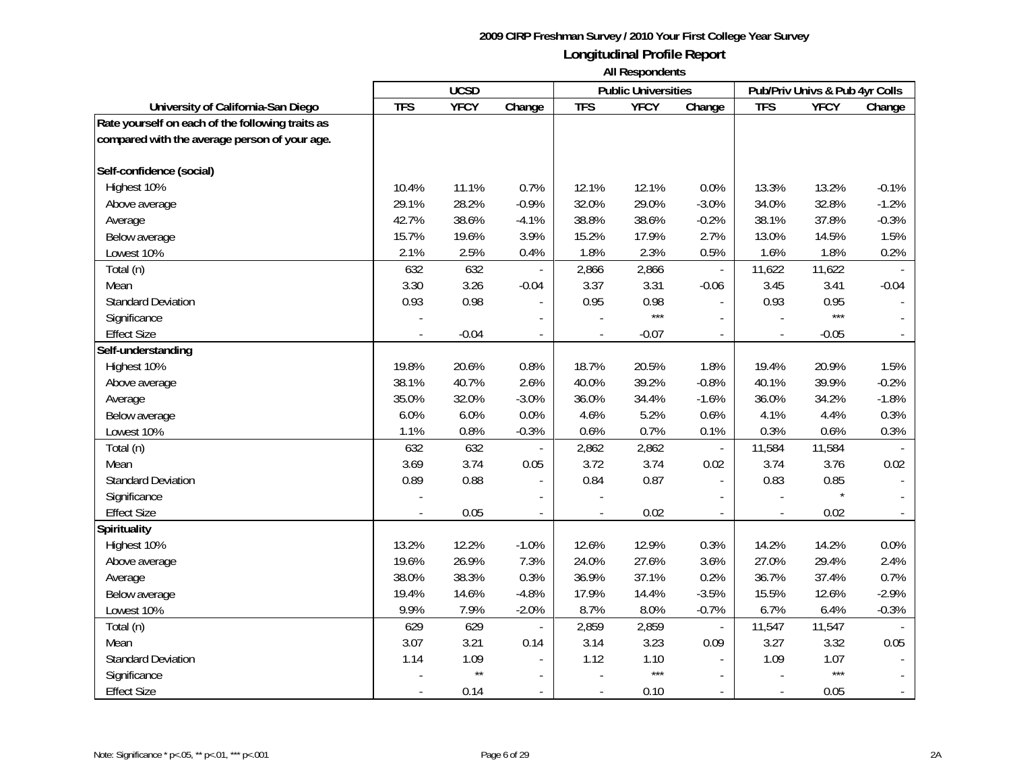|                                                  |            | <b>UCSD</b>  |                          |                          | <b>Public Universities</b> |                          |                | Pub/Priv Univs & Pub 4yr Colls |                          |
|--------------------------------------------------|------------|--------------|--------------------------|--------------------------|----------------------------|--------------------------|----------------|--------------------------------|--------------------------|
| University of California-San Diego               | <b>TFS</b> | <b>YFCY</b>  | Change                   | <b>TFS</b>               | <b>YFCY</b>                | Change                   | <b>TFS</b>     | <b>YFCY</b>                    | Change                   |
| Rate yourself on each of the following traits as |            |              |                          |                          |                            |                          |                |                                |                          |
| compared with the average person of your age.    |            |              |                          |                          |                            |                          |                |                                |                          |
|                                                  |            |              |                          |                          |                            |                          |                |                                |                          |
| Self-confidence (social)                         |            |              |                          |                          |                            |                          |                |                                |                          |
| Highest 10%                                      | 10.4%      | 11.1%        | 0.7%                     | 12.1%                    | 12.1%                      | 0.0%                     | 13.3%          | 13.2%                          | $-0.1%$                  |
| Above average                                    | 29.1%      | 28.2%        | $-0.9%$                  | 32.0%                    | 29.0%                      | $-3.0%$                  | 34.0%          | 32.8%                          | $-1.2%$                  |
| Average                                          | 42.7%      | 38.6%        | $-4.1%$                  | 38.8%                    | 38.6%                      | $-0.2%$                  | 38.1%          | 37.8%                          | $-0.3%$                  |
| Below average                                    | 15.7%      | 19.6%        | 3.9%                     | 15.2%                    | 17.9%                      | 2.7%                     | 13.0%          | 14.5%                          | 1.5%                     |
| Lowest 10%                                       | 2.1%       | 2.5%         | 0.4%                     | 1.8%                     | 2.3%                       | 0.5%                     | 1.6%           | 1.8%                           | 0.2%                     |
| Total (n)                                        | 632        | 632          |                          | 2,866                    | 2,866                      | $\overline{\phantom{a}}$ | 11,622         | 11,622                         |                          |
| Mean                                             | 3.30       | 3.26         | $-0.04$                  | 3.37                     | 3.31                       | $-0.06$                  | 3.45           | 3.41                           | $-0.04$                  |
| <b>Standard Deviation</b>                        | 0.93       | 0.98         | $\overline{a}$           | 0.95                     | 0.98                       |                          | 0.93           | 0.95                           |                          |
| Significance                                     |            |              |                          |                          | $***$                      |                          |                | $***$                          |                          |
| <b>Effect Size</b>                               |            | $-0.04$      |                          |                          | $-0.07$                    |                          |                | $-0.05$                        |                          |
| Self-understanding                               |            |              |                          |                          |                            |                          |                |                                |                          |
| Highest 10%                                      | 19.8%      | 20.6%        | 0.8%                     | 18.7%                    | 20.5%                      | 1.8%                     | 19.4%          | 20.9%                          | 1.5%                     |
| Above average                                    | 38.1%      | 40.7%        | 2.6%                     | 40.0%                    | 39.2%                      | $-0.8%$                  | 40.1%          | 39.9%                          | $-0.2%$                  |
| Average                                          | 35.0%      | 32.0%        | $-3.0%$                  | 36.0%                    | 34.4%                      | $-1.6%$                  | 36.0%          | 34.2%                          | $-1.8%$                  |
| Below average                                    | 6.0%       | 6.0%         | 0.0%                     | 4.6%                     | 5.2%                       | 0.6%                     | 4.1%           | 4.4%                           | 0.3%                     |
| Lowest 10%                                       | 1.1%       | 0.8%         | $-0.3%$                  | 0.6%                     | 0.7%                       | 0.1%                     | 0.3%           | 0.6%                           | 0.3%                     |
| Total (n)                                        | 632        | 632          | $\overline{\phantom{a}}$ | 2,862                    | 2,862                      | $\mathbb{L}^2$           | 11,584         | 11,584                         |                          |
| Mean                                             | 3.69       | 3.74         | 0.05                     | 3.72                     | 3.74                       | 0.02                     | 3.74           | 3.76                           | 0.02                     |
| <b>Standard Deviation</b>                        | 0.89       | 0.88         | $\overline{\phantom{a}}$ | 0.84                     | 0.87                       | $\blacksquare$           | 0.83           | 0.85                           |                          |
| Significance                                     |            |              |                          |                          |                            |                          |                |                                |                          |
| <b>Effect Size</b>                               |            | 0.05         | $\overline{\phantom{a}}$ |                          | 0.02                       | $\overline{\phantom{a}}$ |                | 0.02                           |                          |
| <b>Spirituality</b>                              |            |              |                          |                          |                            |                          |                |                                |                          |
| Highest 10%                                      | 13.2%      | 12.2%        | $-1.0%$                  | 12.6%                    | 12.9%                      | 0.3%                     | 14.2%          | 14.2%                          | 0.0%                     |
| Above average                                    | 19.6%      | 26.9%        | 7.3%                     | 24.0%                    | 27.6%                      | 3.6%                     | 27.0%          | 29.4%                          | 2.4%                     |
| Average                                          | 38.0%      | 38.3%        | 0.3%                     | 36.9%                    | 37.1%                      | 0.2%                     | 36.7%          | 37.4%                          | 0.7%                     |
| Below average                                    | 19.4%      | 14.6%        | $-4.8%$                  | 17.9%                    | 14.4%                      | $-3.5%$                  | 15.5%          | 12.6%                          | $-2.9%$                  |
| Lowest 10%                                       | 9.9%       | 7.9%         | $-2.0%$                  | 8.7%                     | 8.0%                       | $-0.7%$                  | 6.7%           | 6.4%                           | $-0.3%$                  |
| Total (n)                                        | 629        | 629          |                          | 2,859                    | 2,859                      | $\overline{\phantom{a}}$ | 11,547         | 11,547                         |                          |
| Mean                                             | 3.07       | 3.21         | 0.14                     | 3.14                     | 3.23                       | 0.09                     | 3.27           | 3.32                           | 0.05                     |
| <b>Standard Deviation</b>                        | 1.14       | 1.09         |                          | 1.12                     | 1.10                       |                          | 1.09           | 1.07                           |                          |
| Significance                                     |            | $\star\star$ |                          |                          | $***$                      |                          |                | $***$                          |                          |
| <b>Effect Size</b>                               |            | 0.14         | $\overline{\phantom{a}}$ | $\overline{\phantom{a}}$ | 0.10                       | $\sim$                   | $\blacksquare$ | 0.05                           | $\overline{\phantom{a}}$ |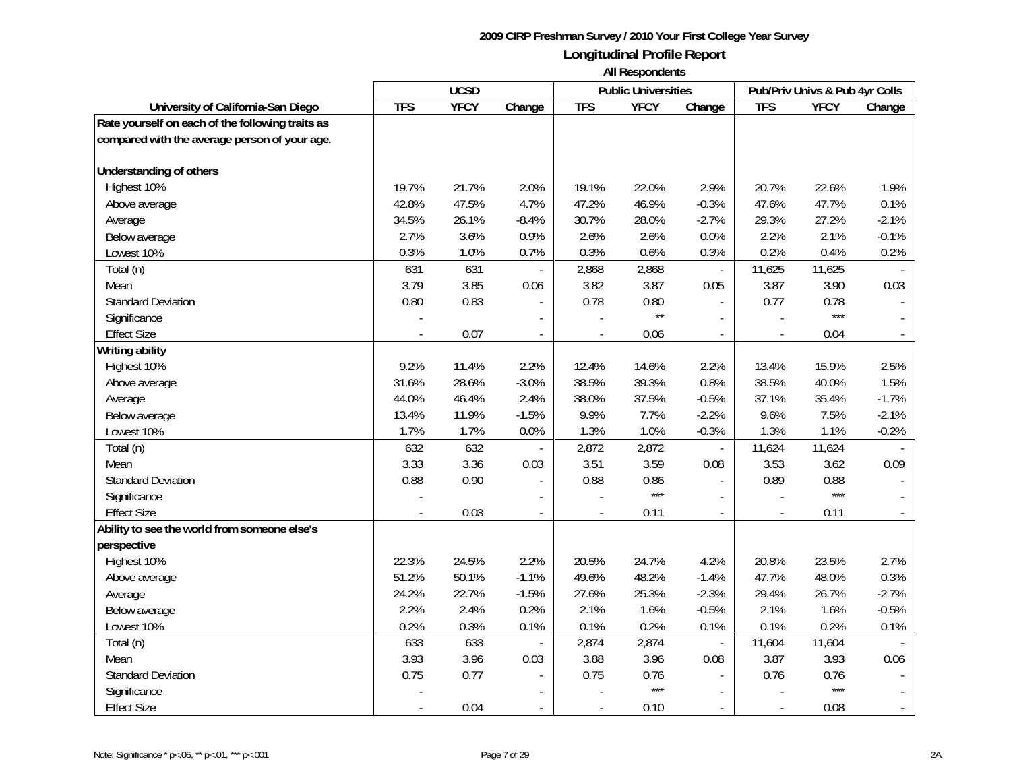|                                                  |            | <b>UCSD</b> |                |            | <b>Public Universities</b> |                          |            | Pub/Priv Univs & Pub 4yr Colls |         |
|--------------------------------------------------|------------|-------------|----------------|------------|----------------------------|--------------------------|------------|--------------------------------|---------|
| University of California-San Diego               | <b>TFS</b> | <b>YFCY</b> | Change         | <b>TFS</b> | <b>YFCY</b>                | Change                   | <b>TFS</b> | <b>YFCY</b>                    | Change  |
| Rate yourself on each of the following traits as |            |             |                |            |                            |                          |            |                                |         |
| compared with the average person of your age.    |            |             |                |            |                            |                          |            |                                |         |
|                                                  |            |             |                |            |                            |                          |            |                                |         |
| <b>Understanding of others</b>                   |            |             |                |            |                            |                          |            |                                |         |
| Highest 10%                                      | 19.7%      | 21.7%       | 2.0%           | 19.1%      | 22.0%                      | 2.9%                     | 20.7%      | 22.6%                          | 1.9%    |
| Above average                                    | 42.8%      | 47.5%       | 4.7%           | 47.2%      | 46.9%                      | $-0.3%$                  | 47.6%      | 47.7%                          | 0.1%    |
| Average                                          | 34.5%      | 26.1%       | $-8.4%$        | 30.7%      | 28.0%                      | $-2.7%$                  | 29.3%      | 27.2%                          | $-2.1%$ |
| Below average                                    | 2.7%       | 3.6%        | 0.9%           | 2.6%       | 2.6%                       | 0.0%                     | 2.2%       | 2.1%                           | $-0.1%$ |
| Lowest 10%                                       | 0.3%       | 1.0%        | 0.7%           | 0.3%       | 0.6%                       | 0.3%                     | 0.2%       | 0.4%                           | 0.2%    |
| Total (n)                                        | 631        | 631         |                | 2,868      | 2,868                      | $\overline{\phantom{a}}$ | 11,625     | 11,625                         |         |
| Mean                                             | 3.79       | 3.85        | 0.06           | 3.82       | 3.87                       | 0.05                     | 3.87       | 3.90                           | 0.03    |
| <b>Standard Deviation</b>                        | 0.80       | 0.83        |                | 0.78       | 0.80                       |                          | 0.77       | 0.78                           |         |
| Significance                                     |            |             |                |            | $\star\star$               |                          |            | $***$                          |         |
| <b>Effect Size</b>                               |            | 0.07        | $\blacksquare$ |            | 0.06                       | $\overline{\phantom{a}}$ |            | 0.04                           |         |
| Writing ability                                  |            |             |                |            |                            |                          |            |                                |         |
| Highest 10%                                      | 9.2%       | 11.4%       | 2.2%           | 12.4%      | 14.6%                      | 2.2%                     | 13.4%      | 15.9%                          | 2.5%    |
| Above average                                    | 31.6%      | 28.6%       | $-3.0%$        | 38.5%      | 39.3%                      | 0.8%                     | 38.5%      | 40.0%                          | 1.5%    |
| Average                                          | 44.0%      | 46.4%       | 2.4%           | 38.0%      | 37.5%                      | $-0.5%$                  | 37.1%      | 35.4%                          | $-1.7%$ |
| Below average                                    | 13.4%      | 11.9%       | $-1.5%$        | 9.9%       | 7.7%                       | $-2.2%$                  | 9.6%       | 7.5%                           | $-2.1%$ |
| Lowest 10%                                       | 1.7%       | 1.7%        | 0.0%           | 1.3%       | 1.0%                       | $-0.3%$                  | 1.3%       | 1.1%                           | $-0.2%$ |
| Total (n)                                        | 632        | 632         |                | 2,872      | 2,872                      | $\Box$                   | 11,624     | 11,624                         |         |
| Mean                                             | 3.33       | 3.36        | 0.03           | 3.51       | 3.59                       | 0.08                     | 3.53       | 3.62                           | 0.09    |
| <b>Standard Deviation</b>                        | 0.88       | 0.90        |                | 0.88       | 0.86                       |                          | 0.89       | 0.88                           |         |
| Significance                                     |            |             |                |            | $***$                      |                          |            | $***$                          |         |
| <b>Effect Size</b>                               |            | 0.03        |                |            | 0.11                       |                          |            | 0.11                           |         |
| Ability to see the world from someone else's     |            |             |                |            |                            |                          |            |                                |         |
| perspective                                      |            |             |                |            |                            |                          |            |                                |         |
| Highest 10%                                      | 22.3%      | 24.5%       | 2.2%           | 20.5%      | 24.7%                      | 4.2%                     | 20.8%      | 23.5%                          | 2.7%    |
| Above average                                    | 51.2%      | 50.1%       | $-1.1%$        | 49.6%      | 48.2%                      | $-1.4%$                  | 47.7%      | 48.0%                          | 0.3%    |
| Average                                          | 24.2%      | 22.7%       | $-1.5%$        | 27.6%      | 25.3%                      | $-2.3%$                  | 29.4%      | 26.7%                          | $-2.7%$ |
| Below average                                    | 2.2%       | 2.4%        | 0.2%           | 2.1%       | 1.6%                       | $-0.5%$                  | 2.1%       | 1.6%                           | $-0.5%$ |
| Lowest 10%                                       | 0.2%       | 0.3%        | 0.1%           | 0.1%       | 0.2%                       | 0.1%                     | 0.1%       | 0.2%                           | 0.1%    |
| Total (n)                                        | 633        | 633         |                | 2,874      | 2,874                      | $\overline{\phantom{a}}$ | 11,604     | 11,604                         |         |
| Mean                                             | 3.93       | 3.96        | 0.03           | 3.88       | 3.96                       | 0.08                     | 3.87       | 3.93                           | 0.06    |
| <b>Standard Deviation</b>                        | 0.75       | 0.77        |                | 0.75       | 0.76                       |                          | 0.76       | 0.76                           |         |
| Significance                                     |            |             |                |            | $***$                      |                          |            | $***$                          |         |
| <b>Effect Size</b>                               |            | 0.04        |                |            | 0.10                       |                          |            | 0.08                           |         |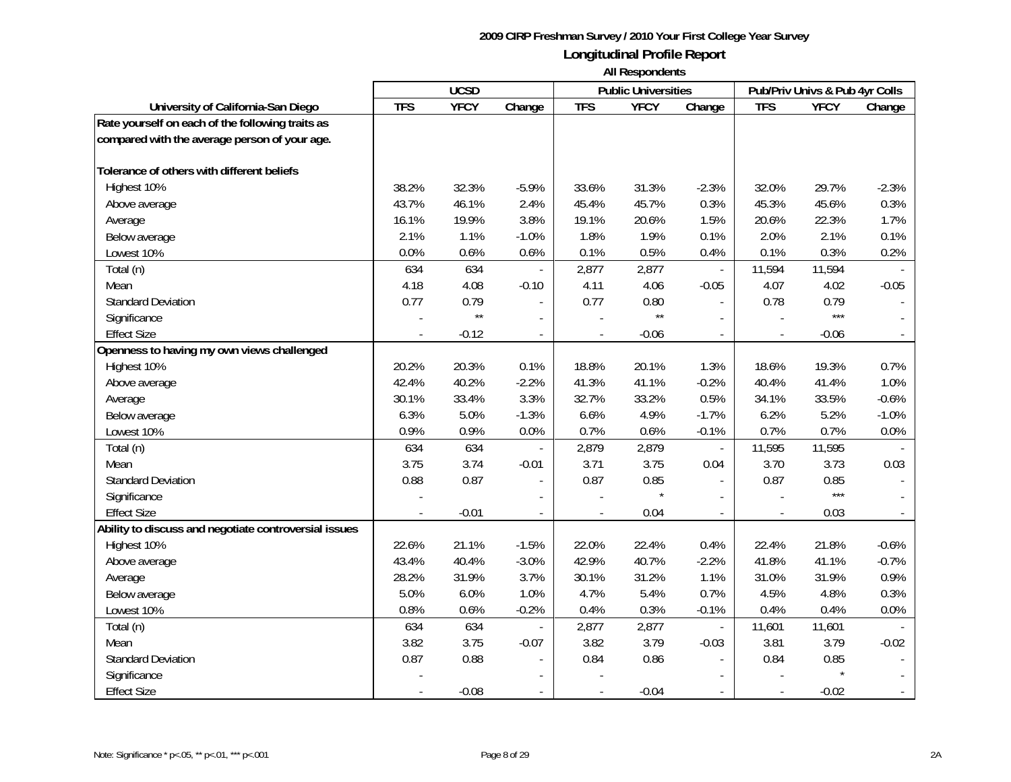|                                                       |            | <b>UCSD</b>  |                          |                | <b>Public Universities</b> |                          |                | Pub/Priv Univs & Pub 4yr Colls |         |
|-------------------------------------------------------|------------|--------------|--------------------------|----------------|----------------------------|--------------------------|----------------|--------------------------------|---------|
| University of California-San Diego                    | <b>TFS</b> | <b>YFCY</b>  | Change                   | <b>TFS</b>     | <b>YFCY</b>                | Change                   | <b>TFS</b>     | <b>YFCY</b>                    | Change  |
| Rate yourself on each of the following traits as      |            |              |                          |                |                            |                          |                |                                |         |
| compared with the average person of your age.         |            |              |                          |                |                            |                          |                |                                |         |
|                                                       |            |              |                          |                |                            |                          |                |                                |         |
| Tolerance of others with different beliefs            |            |              |                          |                |                            |                          |                |                                |         |
| Highest 10%                                           | 38.2%      | 32.3%        | $-5.9%$                  | 33.6%          | 31.3%                      | $-2.3%$                  | 32.0%          | 29.7%                          | $-2.3%$ |
| Above average                                         | 43.7%      | 46.1%        | 2.4%                     | 45.4%          | 45.7%                      | 0.3%                     | 45.3%          | 45.6%                          | 0.3%    |
| Average                                               | 16.1%      | 19.9%        | 3.8%                     | 19.1%          | 20.6%                      | 1.5%                     | 20.6%          | 22.3%                          | 1.7%    |
| Below average                                         | 2.1%       | 1.1%         | $-1.0%$                  | 1.8%           | 1.9%                       | 0.1%                     | 2.0%           | 2.1%                           | 0.1%    |
| Lowest 10%                                            | 0.0%       | 0.6%         | 0.6%                     | 0.1%           | 0.5%                       | 0.4%                     | 0.1%           | 0.3%                           | 0.2%    |
| Total (n)                                             | 634        | 634          |                          | 2,877          | 2,877                      | $\overline{\phantom{a}}$ | 11,594         | 11,594                         |         |
| Mean                                                  | 4.18       | 4.08         | $-0.10$                  | 4.11           | 4.06                       | $-0.05$                  | 4.07           | 4.02                           | $-0.05$ |
| <b>Standard Deviation</b>                             | 0.77       | 0.79         | $\overline{\phantom{a}}$ | 0.77           | 0.80                       | $\sim$                   | 0.78           | 0.79                           |         |
| Significance                                          |            | $\star\star$ | $\overline{\phantom{a}}$ |                | $\star\star$               |                          |                | ***                            |         |
| <b>Effect Size</b>                                    |            | $-0.12$      |                          |                | $-0.06$                    |                          |                | $-0.06$                        |         |
| Openness to having my own views challenged            |            |              |                          |                |                            |                          |                |                                |         |
| Highest 10%                                           | 20.2%      | 20.3%        | 0.1%                     | 18.8%          | 20.1%                      | 1.3%                     | 18.6%          | 19.3%                          | 0.7%    |
| Above average                                         | 42.4%      | 40.2%        | $-2.2%$                  | 41.3%          | 41.1%                      | $-0.2%$                  | 40.4%          | 41.4%                          | 1.0%    |
| Average                                               | 30.1%      | 33.4%        | 3.3%                     | 32.7%          | 33.2%                      | 0.5%                     | 34.1%          | 33.5%                          | $-0.6%$ |
| Below average                                         | 6.3%       | 5.0%         | $-1.3%$                  | 6.6%           | 4.9%                       | $-1.7%$                  | 6.2%           | 5.2%                           | $-1.0%$ |
| Lowest 10%                                            | 0.9%       | 0.9%         | 0.0%                     | 0.7%           | 0.6%                       | $-0.1%$                  | 0.7%           | 0.7%                           | 0.0%    |
| Total (n)                                             | 634        | 634          | $\overline{\phantom{a}}$ | 2,879          | 2,879                      | $\overline{\phantom{a}}$ | 11,595         | 11,595                         |         |
| Mean                                                  | 3.75       | 3.74         | $-0.01$                  | 3.71           | 3.75                       | 0.04                     | 3.70           | 3.73                           | 0.03    |
| <b>Standard Deviation</b>                             | 0.88       | 0.87         | $\overline{a}$           | 0.87           | 0.85                       | $\mathbf{r}$             | 0.87           | 0.85                           |         |
| Significance                                          |            |              |                          |                |                            |                          |                | $***$                          |         |
| <b>Effect Size</b>                                    |            | $-0.01$      | $\blacksquare$           |                | 0.04                       | $\mathbf{r}$             |                | 0.03                           |         |
| Ability to discuss and negotiate controversial issues |            |              |                          |                |                            |                          |                |                                |         |
| Highest 10%                                           | 22.6%      | 21.1%        | $-1.5%$                  | 22.0%          | 22.4%                      | 0.4%                     | 22.4%          | 21.8%                          | $-0.6%$ |
| Above average                                         | 43.4%      | 40.4%        | $-3.0%$                  | 42.9%          | 40.7%                      | $-2.2%$                  | 41.8%          | 41.1%                          | $-0.7%$ |
| Average                                               | 28.2%      | 31.9%        | 3.7%                     | 30.1%          | 31.2%                      | 1.1%                     | 31.0%          | 31.9%                          | 0.9%    |
| Below average                                         | 5.0%       | 6.0%         | 1.0%                     | 4.7%           | 5.4%                       | 0.7%                     | 4.5%           | 4.8%                           | 0.3%    |
| Lowest 10%                                            | 0.8%       | 0.6%         | $-0.2%$                  | 0.4%           | 0.3%                       | $-0.1%$                  | 0.4%           | 0.4%                           | 0.0%    |
| Total (n)                                             | 634        | 634          |                          | 2,877          | 2,877                      | $\overline{\phantom{a}}$ | 11,601         | 11,601                         |         |
| Mean                                                  | 3.82       | 3.75         | $-0.07$                  | 3.82           | 3.79                       | $-0.03$                  | 3.81           | 3.79                           | $-0.02$ |
| <b>Standard Deviation</b>                             | 0.87       | 0.88         |                          | 0.84           | 0.86                       |                          | 0.84           | 0.85                           |         |
| Significance                                          |            |              |                          |                |                            |                          |                |                                |         |
| <b>Effect Size</b>                                    |            | $-0.08$      | $\overline{\phantom{a}}$ | $\overline{a}$ | $-0.04$                    |                          | $\blacksquare$ | $-0.02$                        |         |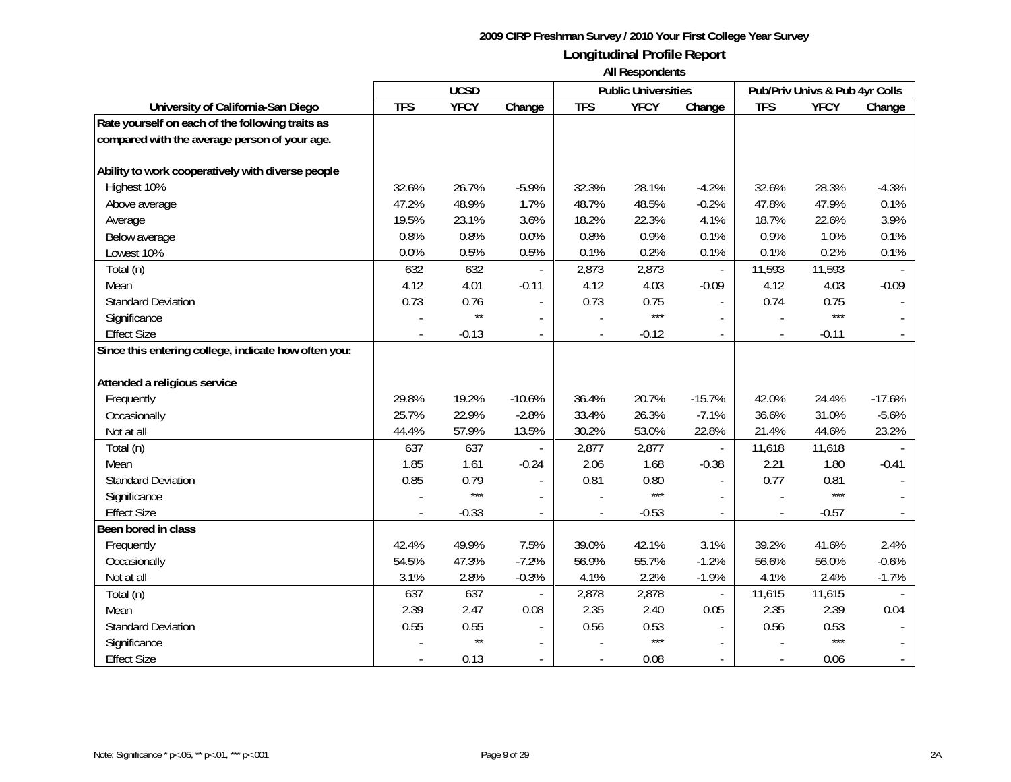|                                                      | <b>UCSD</b> |              |                |                          | <b>Public Universities</b> |                | Pub/Priv Univs & Pub 4yr Colls |             |          |
|------------------------------------------------------|-------------|--------------|----------------|--------------------------|----------------------------|----------------|--------------------------------|-------------|----------|
| University of California-San Diego                   | <b>TFS</b>  | <b>YFCY</b>  | Change         | <b>TFS</b>               | <b>YFCY</b>                | Change         | <b>TFS</b>                     | <b>YFCY</b> | Change   |
| Rate yourself on each of the following traits as     |             |              |                |                          |                            |                |                                |             |          |
| compared with the average person of your age.        |             |              |                |                          |                            |                |                                |             |          |
|                                                      |             |              |                |                          |                            |                |                                |             |          |
| Ability to work cooperatively with diverse people    |             |              |                |                          |                            |                |                                |             |          |
| Highest 10%                                          | 32.6%       | 26.7%        | $-5.9%$        | 32.3%                    | 28.1%                      | $-4.2%$        | 32.6%                          | 28.3%       | $-4.3%$  |
| Above average                                        | 47.2%       | 48.9%        | 1.7%           | 48.7%                    | 48.5%                      | $-0.2%$        | 47.8%                          | 47.9%       | 0.1%     |
| Average                                              | 19.5%       | 23.1%        | 3.6%           | 18.2%                    | 22.3%                      | 4.1%           | 18.7%                          | 22.6%       | 3.9%     |
| Below average                                        | 0.8%        | 0.8%         | 0.0%           | 0.8%                     | 0.9%                       | 0.1%           | 0.9%                           | 1.0%        | 0.1%     |
| Lowest 10%                                           | 0.0%        | 0.5%         | 0.5%           | 0.1%                     | 0.2%                       | 0.1%           | 0.1%                           | 0.2%        | 0.1%     |
| Total (n)                                            | 632         | 632          | $\overline{a}$ | 2,873                    | 2,873                      | $\overline{a}$ | 11,593                         | 11,593      |          |
| Mean                                                 | 4.12        | 4.01         | $-0.11$        | 4.12                     | 4.03                       | $-0.09$        | 4.12                           | 4.03        | $-0.09$  |
| <b>Standard Deviation</b>                            | 0.73        | 0.76         |                | 0.73                     | 0.75                       |                | 0.74                           | 0.75        |          |
| Significance                                         |             | $\star\star$ | $\sim$         |                          | ***                        |                |                                | $***$       |          |
| <b>Effect Size</b>                                   |             | $-0.13$      | $\blacksquare$ | $\overline{\phantom{a}}$ | $-0.12$                    |                | $\blacksquare$                 | $-0.11$     |          |
| Since this entering college, indicate how often you: |             |              |                |                          |                            |                |                                |             |          |
|                                                      |             |              |                |                          |                            |                |                                |             |          |
| Attended a religious service                         |             |              |                |                          |                            |                |                                |             |          |
| Frequently                                           | 29.8%       | 19.2%        | $-10.6%$       | 36.4%                    | 20.7%                      | $-15.7%$       | 42.0%                          | 24.4%       | $-17.6%$ |
| Occasionally                                         | 25.7%       | 22.9%        | $-2.8%$        | 33.4%                    | 26.3%                      | $-7.1%$        | 36.6%                          | 31.0%       | $-5.6%$  |
| Not at all                                           | 44.4%       | 57.9%        | 13.5%          | 30.2%                    | 53.0%                      | 22.8%          | 21.4%                          | 44.6%       | 23.2%    |
| Total (n)                                            | 637         | 637          |                | 2,877                    | 2,877                      | $\blacksquare$ | 11,618                         | 11,618      |          |
| Mean                                                 | 1.85        | 1.61         | $-0.24$        | 2.06                     | 1.68                       | $-0.38$        | 2.21                           | 1.80        | $-0.41$  |
| <b>Standard Deviation</b>                            | 0.85        | 0.79         |                | 0.81                     | 0.80                       |                | 0.77                           | 0.81        |          |
| Significance                                         |             | $***$        |                |                          | $***$                      |                |                                | $***$       |          |
| <b>Effect Size</b>                                   |             | $-0.33$      |                |                          | $-0.53$                    |                |                                | $-0.57$     |          |
| Been bored in class                                  |             |              |                |                          |                            |                |                                |             |          |
| Frequently                                           | 42.4%       | 49.9%        | 7.5%           | 39.0%                    | 42.1%                      | 3.1%           | 39.2%                          | 41.6%       | 2.4%     |
| Occasionally                                         | 54.5%       | 47.3%        | $-7.2%$        | 56.9%                    | 55.7%                      | $-1.2%$        | 56.6%                          | 56.0%       | $-0.6%$  |
| Not at all                                           | 3.1%        | 2.8%         | $-0.3%$        | 4.1%                     | 2.2%                       | $-1.9%$        | 4.1%                           | 2.4%        | $-1.7%$  |
| Total (n)                                            | 637         | 637          |                | 2,878                    | 2,878                      |                | 11,615                         | 11,615      |          |
| Mean                                                 | 2.39        | 2.47         | 0.08           | 2.35                     | 2.40                       | 0.05           | 2.35                           | 2.39        | 0.04     |
| <b>Standard Deviation</b>                            | 0.55        | 0.55         |                | 0.56                     | 0.53                       |                | 0.56                           | 0.53        |          |
| Significance                                         |             | $\star\star$ |                |                          | $***$                      |                |                                | $***$       |          |
| <b>Effect Size</b>                                   |             | 0.13         | $\overline{a}$ |                          | 0.08                       |                |                                | 0.06        |          |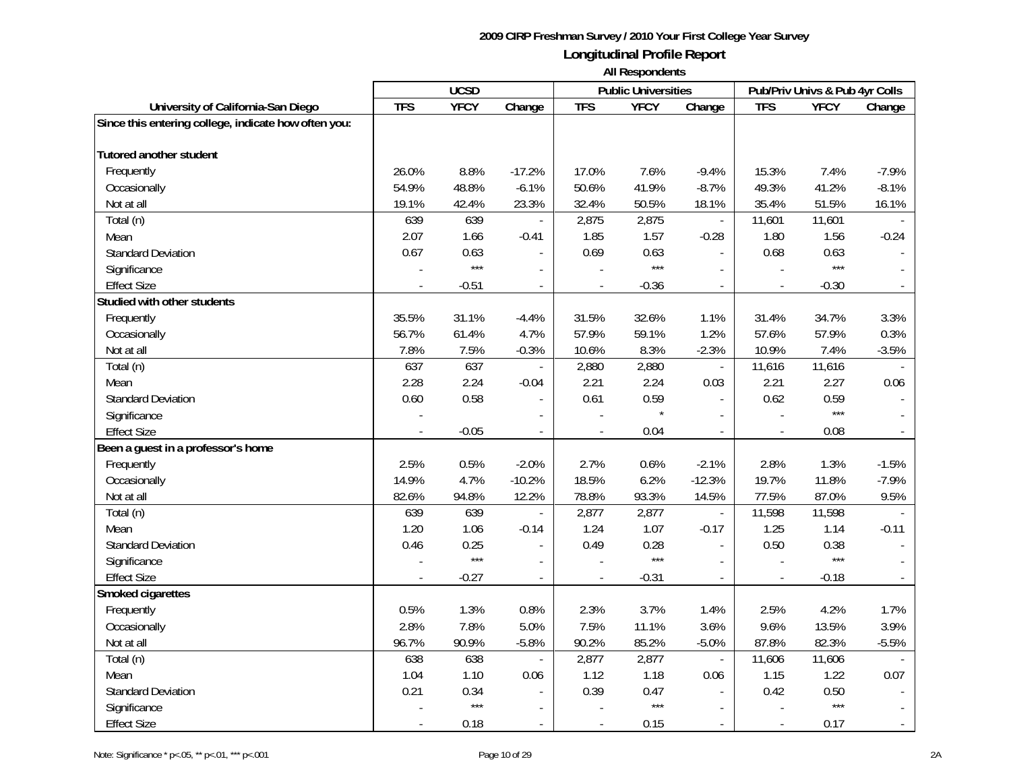|                                                      |            | <b>UCSD</b>   |                          |                          | <b>Public Universities</b> |                          |                | Pub/Priv Univs & Pub 4yr Colls |                |
|------------------------------------------------------|------------|---------------|--------------------------|--------------------------|----------------------------|--------------------------|----------------|--------------------------------|----------------|
| University of California-San Diego                   | <b>TFS</b> | <b>YFCY</b>   | Change                   | <b>TFS</b>               | <b>YFCY</b>                | Change                   | <b>TFS</b>     | <b>YFCY</b>                    | Change         |
| Since this entering college, indicate how often you: |            |               |                          |                          |                            |                          |                |                                |                |
| Tutored another student                              |            |               |                          |                          |                            |                          |                |                                |                |
| Frequently                                           | 26.0%      | 8.8%          | $-17.2%$                 | 17.0%                    | 7.6%                       | $-9.4%$                  | 15.3%          | 7.4%                           | $-7.9%$        |
| Occasionally                                         | 54.9%      | 48.8%         | $-6.1%$                  | 50.6%                    | 41.9%                      | $-8.7%$                  | 49.3%          | 41.2%                          | $-8.1%$        |
| Not at all                                           | 19.1%      | 42.4%         | 23.3%                    | 32.4%                    | 50.5%                      | 18.1%                    | 35.4%          | 51.5%                          | 16.1%          |
| Total (n)                                            | 639        | 639           | $\overline{\phantom{a}}$ | 2,875                    | 2,875                      | $\mathbb{L}$             | 11,601         | 11,601                         |                |
|                                                      | 2.07       | 1.66          | $-0.41$                  | 1.85                     | 1.57                       | $-0.28$                  | 1.80           | 1.56                           | $-0.24$        |
| Mean                                                 | 0.67       |               |                          |                          |                            | $\overline{a}$           |                | 0.63                           |                |
| <b>Standard Deviation</b>                            |            | 0.63<br>$***$ | $\blacksquare$           | 0.69                     | 0.63<br>$***$              |                          | 0.68           | $***$                          |                |
| Significance                                         |            |               | $\blacksquare$           |                          |                            | $\sim$                   |                |                                |                |
| <b>Effect Size</b>                                   |            | $-0.51$       | $\blacksquare$           |                          | $-0.36$                    | $\mathcal{L}$            |                | $-0.30$                        |                |
| Studied with other students                          |            |               |                          |                          |                            |                          |                |                                |                |
| Frequently                                           | 35.5%      | 31.1%         | $-4.4%$                  | 31.5%                    | 32.6%                      | 1.1%                     | 31.4%          | 34.7%                          | 3.3%           |
| Occasionally                                         | 56.7%      | 61.4%         | 4.7%                     | 57.9%                    | 59.1%                      | 1.2%                     | 57.6%          | 57.9%                          | 0.3%           |
| Not at all                                           | 7.8%       | 7.5%          | $-0.3%$                  | 10.6%                    | 8.3%                       | $-2.3%$                  | 10.9%          | 7.4%                           | $-3.5%$        |
| Total (n)                                            | 637        | 637           | $\overline{\phantom{a}}$ | 2,880                    | 2,880                      | $\overline{\phantom{a}}$ | 11,616         | 11,616                         |                |
| Mean                                                 | 2.28       | 2.24          | $-0.04$                  | 2.21                     | 2.24                       | 0.03                     | 2.21           | 2.27                           | 0.06           |
| <b>Standard Deviation</b>                            | 0.60       | 0.58          | $\blacksquare$           | 0.61                     | 0.59                       | $\blacksquare$           | 0.62           | 0.59                           |                |
| Significance                                         |            |               |                          |                          | $\star$                    | $\overline{\phantom{a}}$ |                | $***$                          |                |
| <b>Effect Size</b>                                   |            | $-0.05$       | $\overline{\phantom{a}}$ | $\overline{\phantom{a}}$ | 0.04                       | $\mathbb{L}^2$           |                | 0.08                           |                |
| Been a guest in a professor's home                   |            |               |                          |                          |                            |                          |                |                                |                |
| Frequently                                           | 2.5%       | 0.5%          | $-2.0%$                  | 2.7%                     | 0.6%                       | $-2.1%$                  | 2.8%           | 1.3%                           | $-1.5%$        |
| Occasionally                                         | 14.9%      | 4.7%          | $-10.2%$                 | 18.5%                    | 6.2%                       | $-12.3%$                 | 19.7%          | 11.8%                          | $-7.9%$        |
| Not at all                                           | 82.6%      | 94.8%         | 12.2%                    | 78.8%                    | 93.3%                      | 14.5%                    | 77.5%          | 87.0%                          | 9.5%           |
| Total (n)                                            | 639        | 639           | $\overline{\phantom{a}}$ | 2,877                    | 2,877                      | $\bar{\mathbb{Z}}$       | 11,598         | 11,598                         |                |
| Mean                                                 | 1.20       | 1.06          | $-0.14$                  | 1.24                     | 1.07                       | $-0.17$                  | 1.25           | 1.14                           | $-0.11$        |
| <b>Standard Deviation</b>                            | 0.46       | 0.25          | $\blacksquare$           | 0.49                     | 0.28                       | $\overline{a}$           | 0.50           | 0.38                           |                |
| Significance                                         |            | $***$         | $\overline{\phantom{a}}$ |                          | $***$                      | $\overline{\phantom{a}}$ |                | $***$                          |                |
| <b>Effect Size</b>                                   |            | $-0.27$       | $\overline{\phantom{a}}$ |                          | $-0.31$                    | $\mathbb{L}$             |                | $-0.18$                        |                |
| Smoked cigarettes                                    |            |               |                          |                          |                            |                          |                |                                |                |
| Frequently                                           | 0.5%       | 1.3%          | 0.8%                     | 2.3%                     | 3.7%                       | 1.4%                     | 2.5%           | 4.2%                           | 1.7%           |
| Occasionally                                         | 2.8%       | 7.8%          | 5.0%                     | 7.5%                     | 11.1%                      | 3.6%                     | 9.6%           | 13.5%                          | 3.9%           |
| Not at all                                           | 96.7%      | 90.9%         | $-5.8%$                  | 90.2%                    | 85.2%                      | $-5.0%$                  | 87.8%          | 82.3%                          | $-5.5%$        |
| Total (n)                                            | 638        | 638           | $\overline{\phantom{a}}$ | 2,877                    | 2,877                      | $\omega$                 | 11,606         | 11,606                         |                |
| Mean                                                 | 1.04       | 1.10          | 0.06                     | 1.12                     | 1.18                       | 0.06                     | 1.15           | 1.22                           | 0.07           |
| <b>Standard Deviation</b>                            | 0.21       | 0.34          | $\blacksquare$           | 0.39                     | 0.47                       | $\overline{\phantom{a}}$ | 0.42           | 0.50                           |                |
| Significance                                         |            | $***$         | $\blacksquare$           |                          | $***$                      | $\sim$                   |                | $***$                          |                |
| <b>Effect Size</b>                                   |            | 0.18          | $\mathcal{L}$            | $\overline{\phantom{a}}$ | 0.15                       | $\mathcal{L}$            | $\overline{a}$ | 0.17                           | $\mathbb{Z}^2$ |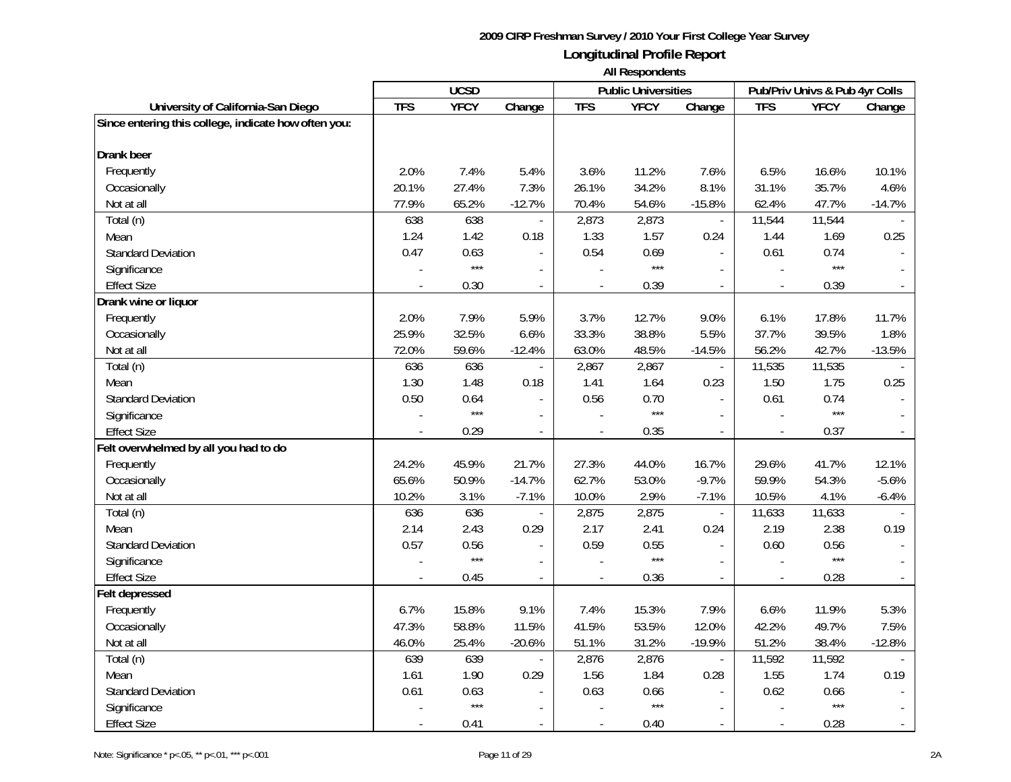|                                                      |            | <b>UCSD</b> |                          |                | <b>Public Universities</b> |                          |                | Pub/Priv Univs & Pub 4yr Colls |                          |
|------------------------------------------------------|------------|-------------|--------------------------|----------------|----------------------------|--------------------------|----------------|--------------------------------|--------------------------|
| University of California-San Diego                   | <b>TFS</b> | <b>YFCY</b> | Change                   | <b>TFS</b>     | <b>YFCY</b>                | Change                   | <b>TFS</b>     | <b>YFCY</b>                    | Change                   |
| Since entering this college, indicate how often you: |            |             |                          |                |                            |                          |                |                                |                          |
| Drank beer                                           |            |             |                          |                |                            |                          |                |                                |                          |
| Frequently                                           | 2.0%       | 7.4%        | 5.4%                     | 3.6%           | 11.2%                      | 7.6%                     | 6.5%           | 16.6%                          | 10.1%                    |
| Occasionally                                         | 20.1%      | 27.4%       | 7.3%                     | 26.1%          | 34.2%                      | 8.1%                     | 31.1%          | 35.7%                          | 4.6%                     |
| Not at all                                           | 77.9%      | 65.2%       | $-12.7%$                 | 70.4%          | 54.6%                      | $-15.8%$                 | 62.4%          | 47.7%                          | $-14.7%$                 |
| Total (n)                                            | 638        | 638         | $\overline{\phantom{a}}$ | 2,873          | 2,873                      | $\overline{\phantom{a}}$ | 11,544         | 11,544                         |                          |
| Mean                                                 | 1.24       | 1.42        | 0.18                     | 1.33           | 1.57                       | 0.24                     | 1.44           | 1.69                           | 0.25                     |
| <b>Standard Deviation</b>                            | 0.47       | 0.63        | $\blacksquare$           | 0.54           | 0.69                       |                          | 0.61           | 0.74                           |                          |
| Significance                                         |            | $***$       | $\overline{a}$           |                | $***$                      | $\overline{\phantom{a}}$ |                | $***$                          |                          |
| <b>Effect Size</b>                                   |            | 0.30        | $\overline{a}$           |                | 0.39                       | $\mathbb{L}$             |                | 0.39                           |                          |
| Drank wine or liquor                                 |            |             |                          |                |                            |                          |                |                                |                          |
| Frequently                                           | 2.0%       | 7.9%        | 5.9%                     | 3.7%           | 12.7%                      | 9.0%                     | 6.1%           | 17.8%                          | 11.7%                    |
| Occasionally                                         | 25.9%      | 32.5%       | 6.6%                     | 33.3%          | 38.8%                      | 5.5%                     | 37.7%          | 39.5%                          | 1.8%                     |
| Not at all                                           | 72.0%      | 59.6%       | $-12.4%$                 | 63.0%          | 48.5%                      | $-14.5%$                 | 56.2%          | 42.7%                          | $-13.5%$                 |
| Total (n)                                            | 636        | 636         |                          | 2,867          | 2,867                      | $\bar{\phantom{a}}$      | 11,535         | 11,535                         |                          |
| Mean                                                 | 1.30       | 1.48        | 0.18                     | 1.41           | 1.64                       | 0.23                     | 1.50           | 1.75                           | 0.25                     |
| <b>Standard Deviation</b>                            | 0.50       | 0.64        | $\overline{\phantom{a}}$ | 0.56           | 0.70                       | $\overline{\phantom{a}}$ | 0.61           | 0.74                           |                          |
| Significance                                         |            | $***$       | $\overline{a}$           |                | $***$                      | $\mathcal{L}$            | $\overline{a}$ | $***$                          |                          |
| <b>Effect Size</b>                                   |            | 0.29        | $\blacksquare$           |                | 0.35                       | $\mathbb{L}$             |                | 0.37                           |                          |
| Felt overwhelmed by all you had to do                |            |             |                          |                |                            |                          |                |                                |                          |
| Frequently                                           | 24.2%      | 45.9%       | 21.7%                    | 27.3%          | 44.0%                      | 16.7%                    | 29.6%          | 41.7%                          | 12.1%                    |
| Occasionally                                         | 65.6%      | 50.9%       | $-14.7%$                 | 62.7%          | 53.0%                      | $-9.7%$                  | 59.9%          | 54.3%                          | $-5.6%$                  |
| Not at all                                           | 10.2%      | 3.1%        | $-7.1%$                  | 10.0%          | 2.9%                       | $-7.1%$                  | 10.5%          | 4.1%                           | $-6.4%$                  |
| Total (n)                                            | 636        | 636         | $\overline{\phantom{a}}$ | 2,875          | 2,875                      | $\Box$                   | 11,633         | 11,633                         |                          |
| Mean                                                 | 2.14       | 2.43        | 0.29                     | 2.17           | 2.41                       | 0.24                     | 2.19           | 2.38                           | 0.19                     |
| <b>Standard Deviation</b>                            | 0.57       | 0.56        | $\blacksquare$           | 0.59           | 0.55                       | $\mathbf{r}$             | 0.60           | 0.56                           |                          |
| Significance                                         |            | $***$       | $\overline{\phantom{a}}$ |                | $***$                      | $\sim$                   |                | $***$                          |                          |
| <b>Effect Size</b>                                   |            | 0.45        | $\overline{a}$           |                | 0.36                       |                          |                | 0.28                           |                          |
| Felt depressed                                       |            |             |                          |                |                            |                          |                |                                |                          |
| Frequently                                           | 6.7%       | 15.8%       | 9.1%                     | 7.4%           | 15.3%                      | 7.9%                     | 6.6%           | 11.9%                          | 5.3%                     |
| Occasionally                                         | 47.3%      | 58.8%       | 11.5%                    | 41.5%          | 53.5%                      | 12.0%                    | 42.2%          | 49.7%                          | 7.5%                     |
| Not at all                                           | 46.0%      | 25.4%       | $-20.6%$                 | 51.1%          | 31.2%                      | $-19.9%$                 | 51.2%          | 38.4%                          | $-12.8%$                 |
| Total (n)                                            | 639        | 639         |                          | 2,876          | 2,876                      | $\bar{\phantom{a}}$      | 11,592         | 11,592                         |                          |
| Mean                                                 | 1.61       | 1.90        | 0.29                     | 1.56           | 1.84                       | 0.28                     | 1.55           | 1.74                           | 0.19                     |
| <b>Standard Deviation</b>                            | 0.61       | 0.63        |                          | 0.63           | 0.66                       | $\blacksquare$           | 0.62           | 0.66                           |                          |
| Significance                                         |            | $***$       |                          |                | $***$                      | $\sim$                   |                | $***$                          | $\overline{\phantom{a}}$ |
| <b>Effect Size</b>                                   |            | 0.41        | $\blacksquare$           | $\blacksquare$ | 0.40                       | $\sim$                   |                | 0.28                           | $\overline{\phantom{a}}$ |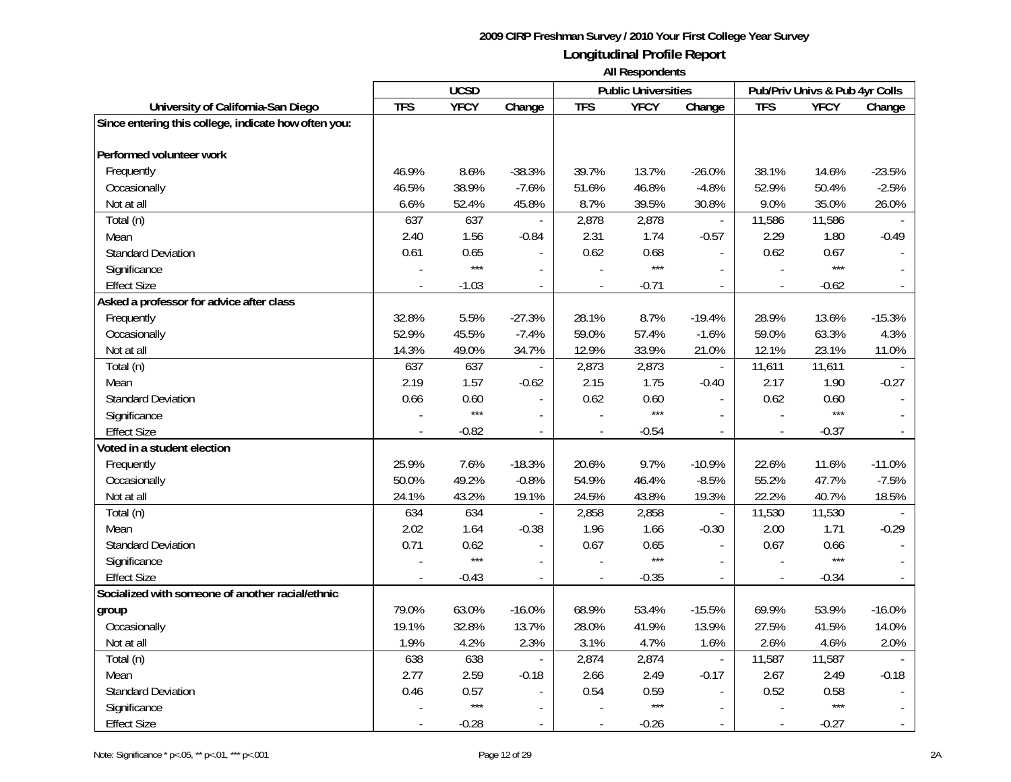|                                                      |            | <b>UCSD</b> |                          |                | <b>Public Universities</b> |                          |                | Pub/Priv Univs & Pub 4yr Colls |                          |
|------------------------------------------------------|------------|-------------|--------------------------|----------------|----------------------------|--------------------------|----------------|--------------------------------|--------------------------|
| University of California-San Diego                   | <b>TFS</b> | <b>YFCY</b> | Change                   | <b>TFS</b>     | <b>YFCY</b>                | Change                   | <b>TFS</b>     | <b>YFCY</b>                    | Change                   |
| Since entering this college, indicate how often you: |            |             |                          |                |                            |                          |                |                                |                          |
| Performed volunteer work                             |            |             |                          |                |                            |                          |                |                                |                          |
| Frequently                                           | 46.9%      | 8.6%        | $-38.3%$                 | 39.7%          | 13.7%                      | $-26.0%$                 | 38.1%          | 14.6%                          | $-23.5%$                 |
| Occasionally                                         | 46.5%      | 38.9%       | $-7.6%$                  | 51.6%          | 46.8%                      | $-4.8%$                  | 52.9%          | 50.4%                          | $-2.5%$                  |
| Not at all                                           | 6.6%       | 52.4%       | 45.8%                    | 8.7%           | 39.5%                      | 30.8%                    | 9.0%           | 35.0%                          | 26.0%                    |
| Total (n)                                            | 637        | 637         | $\overline{\phantom{a}}$ | 2,878          | 2,878                      | $\overline{\phantom{a}}$ | 11,586         | 11,586                         |                          |
| Mean                                                 | 2.40       | 1.56        | $-0.84$                  | 2.31           | 1.74                       | $-0.57$                  | 2.29           | 1.80                           | $-0.49$                  |
| <b>Standard Deviation</b>                            | 0.61       | 0.65        |                          | 0.62           | 0.68                       | $\mathbf{r}$             | 0.62           | 0.67                           |                          |
| Significance                                         |            | $***$       | $\overline{a}$           |                | $***$                      | $\overline{\phantom{a}}$ |                | $***$                          |                          |
| <b>Effect Size</b>                                   |            | $-1.03$     |                          |                | $-0.71$                    | $\mathbb{L}$             |                | $-0.62$                        |                          |
| Asked a professor for advice after class             |            |             |                          |                |                            |                          |                |                                |                          |
| Frequently                                           | 32.8%      | 5.5%        | $-27.3%$                 | 28.1%          | 8.7%                       | $-19.4%$                 | 28.9%          | 13.6%                          | $-15.3%$                 |
| Occasionally                                         | 52.9%      | 45.5%       | $-7.4%$                  | 59.0%          | 57.4%                      | $-1.6%$                  | 59.0%          | 63.3%                          | 4.3%                     |
| Not at all                                           | 14.3%      | 49.0%       | 34.7%                    | 12.9%          | 33.9%                      | 21.0%                    | 12.1%          | 23.1%                          | 11.0%                    |
| Total (n)                                            | 637        | 637         | $\overline{\phantom{a}}$ | 2,873          | 2,873                      | $\bar{\phantom{a}}$      | 11,611         | 11,611                         |                          |
| Mean                                                 | 2.19       | 1.57        | $-0.62$                  | 2.15           | 1.75                       | $-0.40$                  | 2.17           | 1.90                           | $-0.27$                  |
| <b>Standard Deviation</b>                            | 0.66       | 0.60        | $\overline{a}$           | 0.62           | 0.60                       | $\mathbf{r}$             | 0.62           | 0.60                           |                          |
| Significance                                         |            | $***$       | $\overline{\phantom{a}}$ |                | $***$                      | $\overline{\phantom{a}}$ |                | $***$                          |                          |
| <b>Effect Size</b>                                   |            | $-0.82$     | $\blacksquare$           |                | $-0.54$                    | $\mathbb{L}$             |                | $-0.37$                        |                          |
| Voted in a student election                          |            |             |                          |                |                            |                          |                |                                |                          |
| Frequently                                           | 25.9%      | 7.6%        | $-18.3%$                 | 20.6%          | 9.7%                       | $-10.9%$                 | 22.6%          | 11.6%                          | $-11.0%$                 |
| Occasionally                                         | 50.0%      | 49.2%       | $-0.8%$                  | 54.9%          | 46.4%                      | $-8.5%$                  | 55.2%          | 47.7%                          | $-7.5%$                  |
| Not at all                                           | 24.1%      | 43.2%       | 19.1%                    | 24.5%          | 43.8%                      | 19.3%                    | 22.2%          | 40.7%                          | 18.5%                    |
| Total (n)                                            | 634        | 634         |                          | 2,858          | 2,858                      | $\bar{\phantom{a}}$      | 11,530         | 11,530                         |                          |
| Mean                                                 | 2.02       | 1.64        | $-0.38$                  | 1.96           | 1.66                       | $-0.30$                  | 2.00           | 1.71                           | $-0.29$                  |
| <b>Standard Deviation</b>                            | 0.71       | 0.62        | $\overline{\phantom{a}}$ | 0.67           | 0.65                       | $\mathbf{r}$             | 0.67           | 0.66                           |                          |
| Significance                                         |            | $***$       | $\blacksquare$           |                | $***$                      | $\sim$                   |                | $***$                          |                          |
| <b>Effect Size</b>                                   |            | $-0.43$     | $\overline{a}$           |                | $-0.35$                    |                          |                | $-0.34$                        |                          |
| Socialized with someone of another racial/ethnic     |            |             |                          |                |                            |                          |                |                                |                          |
| group                                                | 79.0%      | 63.0%       | $-16.0%$                 | 68.9%          | 53.4%                      | $-15.5%$                 | 69.9%          | 53.9%                          | $-16.0%$                 |
| Occasionally                                         | 19.1%      | 32.8%       | 13.7%                    | 28.0%          | 41.9%                      | 13.9%                    | 27.5%          | 41.5%                          | 14.0%                    |
| Not at all                                           | 1.9%       | 4.2%        | 2.3%                     | 3.1%           | 4.7%                       | 1.6%                     | 2.6%           | 4.6%                           | 2.0%                     |
| Total (n)                                            | 638        | 638         | $\overline{\phantom{a}}$ | 2,874          | 2,874                      | $\bar{\phantom{a}}$      | 11,587         | 11,587                         |                          |
| Mean                                                 | 2.77       | 2.59        | $-0.18$                  | 2.66           | 2.49                       | $-0.17$                  | 2.67           | 2.49                           | $-0.18$                  |
| <b>Standard Deviation</b>                            | 0.46       | 0.57        | $\blacksquare$           | 0.54           | 0.59                       | $\overline{\phantom{a}}$ | 0.52           | 0.58                           |                          |
| Significance                                         |            | $***$       |                          |                | $***$                      | $\sim$                   |                | $***$                          |                          |
| <b>Effect Size</b>                                   |            | $-0.28$     | $\overline{\phantom{a}}$ | $\blacksquare$ | $-0.26$                    | $\sim$                   | $\blacksquare$ | $-0.27$                        | $\overline{\phantom{a}}$ |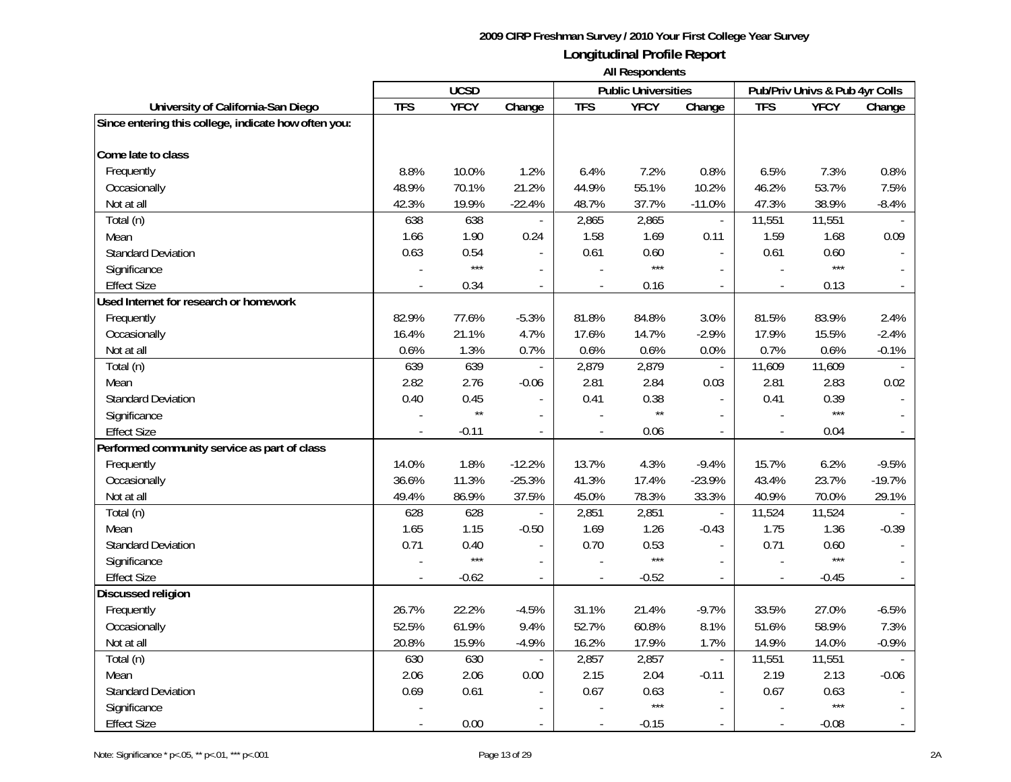|                                                      | <b>UCSD</b> |              |                          | <b>Public Universities</b> |              | Pub/Priv Univs & Pub 4yr Colls |                |             |          |
|------------------------------------------------------|-------------|--------------|--------------------------|----------------------------|--------------|--------------------------------|----------------|-------------|----------|
| University of California-San Diego                   | <b>TFS</b>  | <b>YFCY</b>  | Change                   | <b>TFS</b>                 | <b>YFCY</b>  | Change                         | <b>TFS</b>     | <b>YFCY</b> | Change   |
| Since entering this college, indicate how often you: |             |              |                          |                            |              |                                |                |             |          |
| Come late to class                                   |             |              |                          |                            |              |                                |                |             |          |
| Frequently                                           | 8.8%        | 10.0%        | 1.2%                     | 6.4%                       | 7.2%         | 0.8%                           | 6.5%           | 7.3%        | 0.8%     |
| Occasionally                                         | 48.9%       | 70.1%        | 21.2%                    | 44.9%                      | 55.1%        | 10.2%                          | 46.2%          | 53.7%       | 7.5%     |
| Not at all                                           | 42.3%       | 19.9%        | $-22.4%$                 | 48.7%                      | 37.7%        | $-11.0%$                       | 47.3%          | 38.9%       | $-8.4%$  |
| Total (n)                                            | 638         | 638          | $\overline{\phantom{a}}$ | 2,865                      | 2,865        | $\overline{\phantom{a}}$       | 11,551         | 11,551      |          |
| Mean                                                 | 1.66        | 1.90         | 0.24                     | 1.58                       | 1.69         | 0.11                           | 1.59           | 1.68        | 0.09     |
| <b>Standard Deviation</b>                            | 0.63        | 0.54         |                          | 0.61                       | 0.60         | $\mathbb{L}$                   | 0.61           | 0.60        |          |
| Significance                                         |             | $***$        | $\overline{\phantom{a}}$ |                            | $***$        | $\overline{\phantom{a}}$       |                | $***$       |          |
| <b>Effect Size</b>                                   |             | 0.34         | $\blacksquare$           | ÷,                         | 0.16         | $\omega$                       | $\blacksquare$ | 0.13        | $\sim$   |
| Used Internet for research or homework               |             |              |                          |                            |              |                                |                |             |          |
| Frequently                                           | 82.9%       | 77.6%        | $-5.3%$                  | 81.8%                      | 84.8%        | 3.0%                           | 81.5%          | 83.9%       | 2.4%     |
| Occasionally                                         | 16.4%       | 21.1%        | 4.7%                     | 17.6%                      | 14.7%        | $-2.9%$                        | 17.9%          | 15.5%       | $-2.4%$  |
| Not at all                                           | 0.6%        | 1.3%         | 0.7%                     | 0.6%                       | 0.6%         | 0.0%                           | 0.7%           | 0.6%        | $-0.1%$  |
| Total (n)                                            | 639         | 639          |                          | 2,879                      | 2,879        | $\mathcal{L}_{\mathcal{A}}$    | 11,609         | 11,609      |          |
| Mean                                                 | 2.82        | 2.76         | $-0.06$                  | 2.81                       | 2.84         | 0.03                           | 2.81           | 2.83        | 0.02     |
| <b>Standard Deviation</b>                            | 0.40        | 0.45         |                          | 0.41                       | 0.38         | $\mathbb{L}$                   | 0.41           | 0.39        |          |
| Significance                                         |             | $\star\star$ | $\blacksquare$           |                            | $\star\star$ | $\overline{\phantom{a}}$       |                | $***$       |          |
| <b>Effect Size</b>                                   |             | $-0.11$      | $\blacksquare$           |                            | 0.06         | $\blacksquare$                 |                | 0.04        |          |
| Performed community service as part of class         |             |              |                          |                            |              |                                |                |             |          |
| Frequently                                           | 14.0%       | 1.8%         | $-12.2%$                 | 13.7%                      | 4.3%         | $-9.4%$                        | 15.7%          | 6.2%        | $-9.5%$  |
| Occasionally                                         | 36.6%       | 11.3%        | $-25.3%$                 | 41.3%                      | 17.4%        | $-23.9%$                       | 43.4%          | 23.7%       | $-19.7%$ |
| Not at all                                           | 49.4%       | 86.9%        | 37.5%                    | 45.0%                      | 78.3%        | 33.3%                          | 40.9%          | 70.0%       | 29.1%    |
| Total (n)                                            | 628         | 628          |                          | 2,851                      | 2,851        | $\overline{\phantom{a}}$       | 11,524         | 11,524      |          |
| Mean                                                 | 1.65        | 1.15         | $-0.50$                  | 1.69                       | 1.26         | $-0.43$                        | 1.75           | 1.36        | $-0.39$  |
| <b>Standard Deviation</b>                            | 0.71        | 0.40         | $\blacksquare$           | 0.70                       | 0.53         | $\mathbf{r}$                   | 0.71           | 0.60        |          |
| Significance                                         |             | $***$        | $\overline{a}$           |                            | $***$        | $\mathcal{L}$                  |                | $***$       |          |
| <b>Effect Size</b>                                   |             | $-0.62$      |                          |                            | $-0.52$      | $\overline{a}$                 |                | $-0.45$     |          |
| <b>Discussed religion</b>                            |             |              |                          |                            |              |                                |                |             |          |
| Frequently                                           | 26.7%       | 22.2%        | $-4.5%$                  | 31.1%                      | 21.4%        | $-9.7%$                        | 33.5%          | 27.0%       | $-6.5%$  |
| Occasionally                                         | 52.5%       | 61.9%        | 9.4%                     | 52.7%                      | 60.8%        | 8.1%                           | 51.6%          | 58.9%       | 7.3%     |
| Not at all                                           | 20.8%       | 15.9%        | $-4.9%$                  | 16.2%                      | 17.9%        | 1.7%                           | 14.9%          | 14.0%       | $-0.9%$  |
| Total (n)                                            | 630         | 630          | $\overline{\phantom{a}}$ | 2,857                      | 2,857        | $\omega$                       | 11,551         | 11,551      |          |
| Mean                                                 | 2.06        | 2.06         | 0.00                     | 2.15                       | 2.04         | $-0.11$                        | 2.19           | 2.13        | $-0.06$  |
| <b>Standard Deviation</b>                            | 0.69        | 0.61         |                          | 0.67                       | 0.63         |                                | 0.67           | 0.63        |          |
| Significance                                         |             |              |                          |                            | $***$        | $\overline{\phantom{a}}$       |                | $***$       |          |
| <b>Effect Size</b>                                   |             | 0.00         |                          | $\overline{\phantom{a}}$   | $-0.15$      |                                |                | $-0.08$     |          |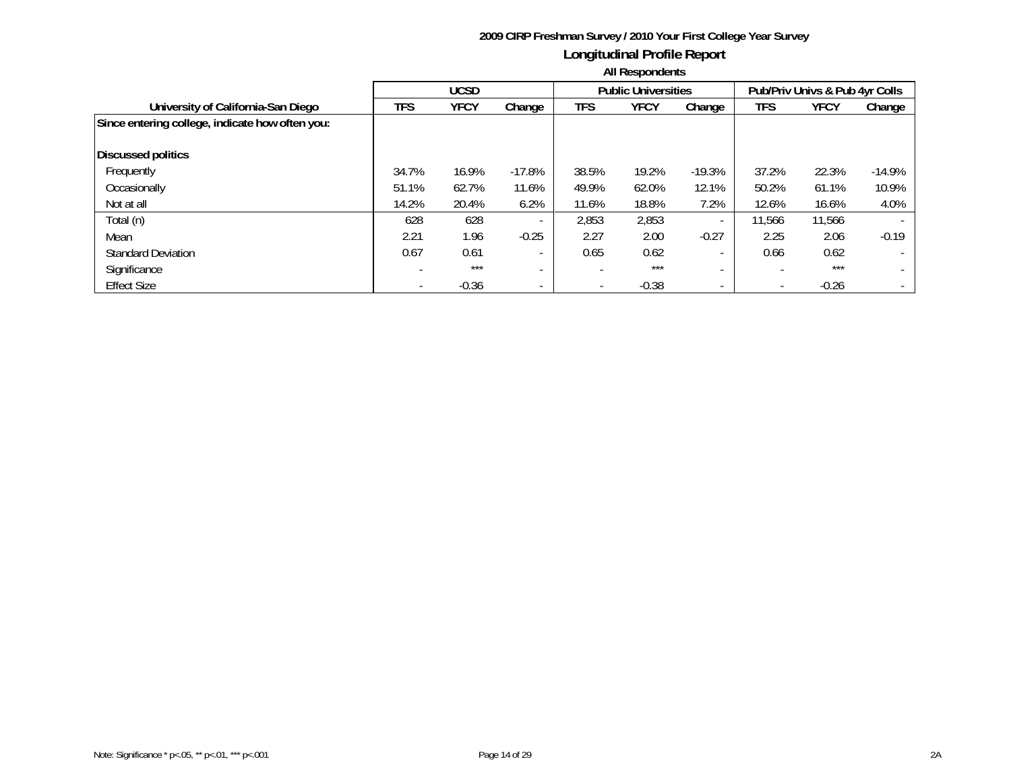|                                                 | <b>UCSD</b> |             |          |                          | <b>Public Universities</b> |                          |        | Pub/Priv Univs & Pub 4yr Colls |                          |
|-------------------------------------------------|-------------|-------------|----------|--------------------------|----------------------------|--------------------------|--------|--------------------------------|--------------------------|
| University of California-San Diego              | <b>TFS</b>  | <b>YFCY</b> | Change   | <b>TFS</b>               | <b>YFCY</b>                | Change                   | TFS    | <b>YFCY</b>                    | Change                   |
| Since entering college, indicate how often you: |             |             |          |                          |                            |                          |        |                                |                          |
|                                                 |             |             |          |                          |                            |                          |        |                                |                          |
| Discussed politics                              |             |             |          |                          |                            |                          |        |                                |                          |
| Frequently                                      | 34.7%       | 16.9%       | $-17.8%$ | 38.5%                    | 19.2%                      | $-19.3%$                 | 37.2%  | 22.3%                          | $-14.9%$                 |
| Occasionally                                    | 51.1%       | 62.7%       | 11.6%    | 49.9%                    | 62.0%                      | 12.1%                    | 50.2%  | 61.1%                          | 10.9%                    |
| Not at all                                      | 14.2%       | 20.4%       | 6.2%     | 11.6%                    | 18.8%                      | 7.2%                     | 12.6%  | 16.6%                          | 4.0%                     |
| Total (n)                                       | 628         | 628         |          | 2,853                    | 2,853                      |                          | 11,566 | 11,566                         | $\overline{\phantom{0}}$ |
| Mean                                            | 2.21        | 1.96        | $-0.25$  | 2.27                     | 2.00                       | $-0.27$                  | 2.25   | 2.06                           | $-0.19$                  |
| <b>Standard Deviation</b>                       | 0.67        | 0.61        |          | 0.65                     | 0.62                       |                          | 0.66   | 0.62                           | $\overline{\phantom{0}}$ |
| Significance                                    |             | $***$       |          |                          | $***$                      |                          |        | $***$                          | $\overline{\phantom{0}}$ |
| <b>Effect Size</b>                              |             | $-0.36$     |          | $\overline{\phantom{a}}$ | $-0.38$                    | $\overline{\phantom{a}}$ |        | $-0.26$                        |                          |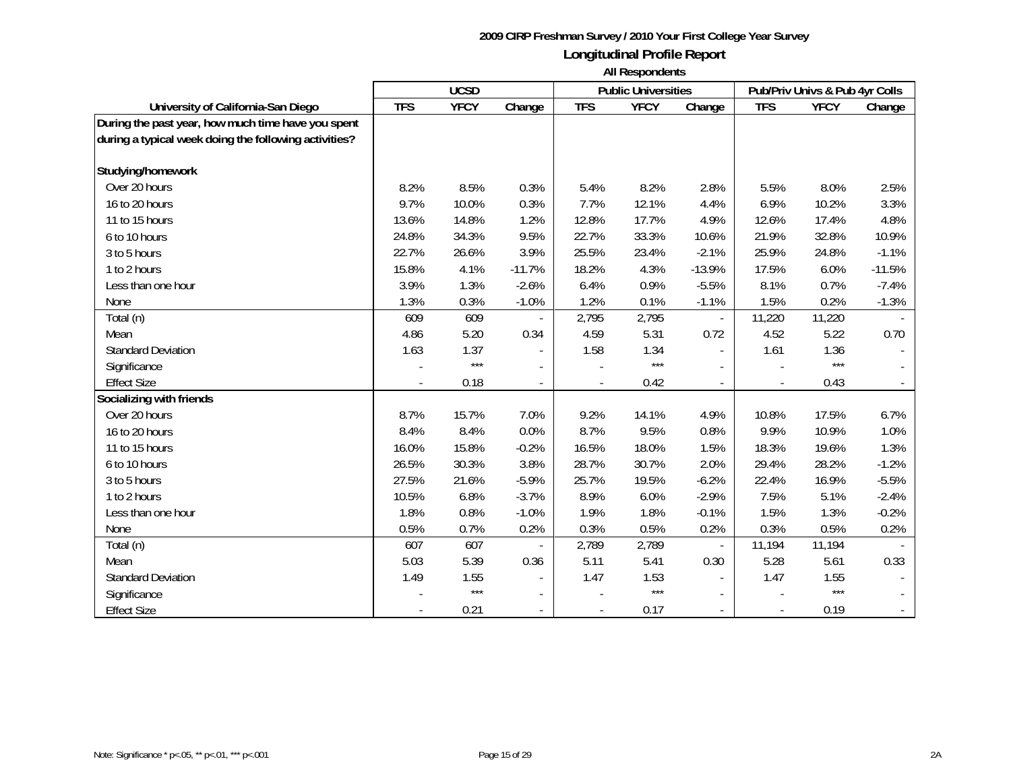|                                                       | <b>UCSD</b> |             |                          |                          | <b>Public Universities</b> |                          | Pub/Priv Univs & Pub 4yr Colls |             |          |
|-------------------------------------------------------|-------------|-------------|--------------------------|--------------------------|----------------------------|--------------------------|--------------------------------|-------------|----------|
| University of California-San Diego                    | <b>TFS</b>  | <b>YFCY</b> | Change                   | <b>TFS</b>               | <b>YFCY</b>                | Change                   | <b>TFS</b>                     | <b>YFCY</b> | Change   |
| During the past year, how much time have you spent    |             |             |                          |                          |                            |                          |                                |             |          |
| during a typical week doing the following activities? |             |             |                          |                          |                            |                          |                                |             |          |
|                                                       |             |             |                          |                          |                            |                          |                                |             |          |
| Studying/homework                                     |             |             |                          |                          |                            |                          |                                |             |          |
| Over 20 hours                                         | 8.2%        | 8.5%        | 0.3%                     | 5.4%                     | 8.2%                       | 2.8%                     | 5.5%                           | 8.0%        | 2.5%     |
| 16 to 20 hours                                        | 9.7%        | 10.0%       | 0.3%                     | 7.7%                     | 12.1%                      | 4.4%                     | 6.9%                           | 10.2%       | 3.3%     |
| 11 to 15 hours                                        | 13.6%       | 14.8%       | 1.2%                     | 12.8%                    | 17.7%                      | 4.9%                     | 12.6%                          | 17.4%       | 4.8%     |
| 6 to 10 hours                                         | 24.8%       | 34.3%       | 9.5%                     | 22.7%                    | 33.3%                      | 10.6%                    | 21.9%                          | 32.8%       | 10.9%    |
| 3 to 5 hours                                          | 22.7%       | 26.6%       | 3.9%                     | 25.5%                    | 23.4%                      | $-2.1%$                  | 25.9%                          | 24.8%       | $-1.1%$  |
| 1 to 2 hours                                          | 15.8%       | 4.1%        | $-11.7%$                 | 18.2%                    | 4.3%                       | $-13.9%$                 | 17.5%                          | 6.0%        | $-11.5%$ |
| Less than one hour                                    | 3.9%        | 1.3%        | $-2.6%$                  | 6.4%                     | 0.9%                       | $-5.5%$                  | 8.1%                           | 0.7%        | $-7.4%$  |
| None                                                  | 1.3%        | 0.3%        | $-1.0%$                  | 1.2%                     | 0.1%                       | $-1.1%$                  | 1.5%                           | 0.2%        | $-1.3%$  |
| Total (n)                                             | 609         | 609         |                          | 2,795                    | 2,795                      | $\overline{\phantom{a}}$ | 11,220                         | 11,220      |          |
| Mean                                                  | 4.86        | 5.20        | 0.34                     | 4.59                     | 5.31                       | 0.72                     | 4.52                           | 5.22        | 0.70     |
| <b>Standard Deviation</b>                             | 1.63        | 1.37        |                          | 1.58                     | 1.34                       | $\blacksquare$           | 1.61                           | 1.36        |          |
| Significance                                          |             | $***$       |                          |                          | $***$                      |                          |                                | $***$       |          |
| <b>Effect Size</b>                                    |             | 0.18        |                          |                          | 0.42                       |                          |                                | 0.43        |          |
| Socializing with friends                              |             |             |                          |                          |                            |                          |                                |             |          |
| Over 20 hours                                         | 8.7%        | 15.7%       | 7.0%                     | 9.2%                     | 14.1%                      | 4.9%                     | 10.8%                          | 17.5%       | 6.7%     |
| 16 to 20 hours                                        | 8.4%        | 8.4%        | 0.0%                     | 8.7%                     | 9.5%                       | 0.8%                     | 9.9%                           | 10.9%       | 1.0%     |
| 11 to 15 hours                                        | 16.0%       | 15.8%       | $-0.2%$                  | 16.5%                    | 18.0%                      | 1.5%                     | 18.3%                          | 19.6%       | 1.3%     |
| 6 to 10 hours                                         | 26.5%       | 30.3%       | 3.8%                     | 28.7%                    | 30.7%                      | 2.0%                     | 29.4%                          | 28.2%       | $-1.2%$  |
| 3 to 5 hours                                          | 27.5%       | 21.6%       | $-5.9%$                  | 25.7%                    | 19.5%                      | $-6.2%$                  | 22.4%                          | 16.9%       | $-5.5%$  |
| 1 to 2 hours                                          | 10.5%       | 6.8%        | $-3.7%$                  | 8.9%                     | 6.0%                       | $-2.9%$                  | 7.5%                           | 5.1%        | $-2.4%$  |
| Less than one hour                                    | 1.8%        | 0.8%        | $-1.0%$                  | 1.9%                     | 1.8%                       | $-0.1%$                  | 1.5%                           | 1.3%        | $-0.2%$  |
| None                                                  | 0.5%        | 0.7%        | 0.2%                     | 0.3%                     | 0.5%                       | 0.2%                     | 0.3%                           | 0.5%        | 0.2%     |
| Total (n)                                             | 607         | 607         |                          | 2,789                    | 2,789                      | $\overline{\phantom{a}}$ | 11,194                         | 11,194      |          |
| Mean                                                  | 5.03        | 5.39        | 0.36                     | 5.11                     | 5.41                       | 0.30                     | 5.28                           | 5.61        | 0.33     |
| <b>Standard Deviation</b>                             | 1.49        | 1.55        | $\overline{\phantom{a}}$ | 1.47                     | 1.53                       | $\sim$                   | 1.47                           | 1.55        |          |
| Significance                                          |             | $***$       |                          |                          | $***$                      |                          |                                | $***$       |          |
| <b>Effect Size</b>                                    |             | 0.21        |                          | $\overline{\phantom{a}}$ | 0.17                       |                          |                                | 0.19        |          |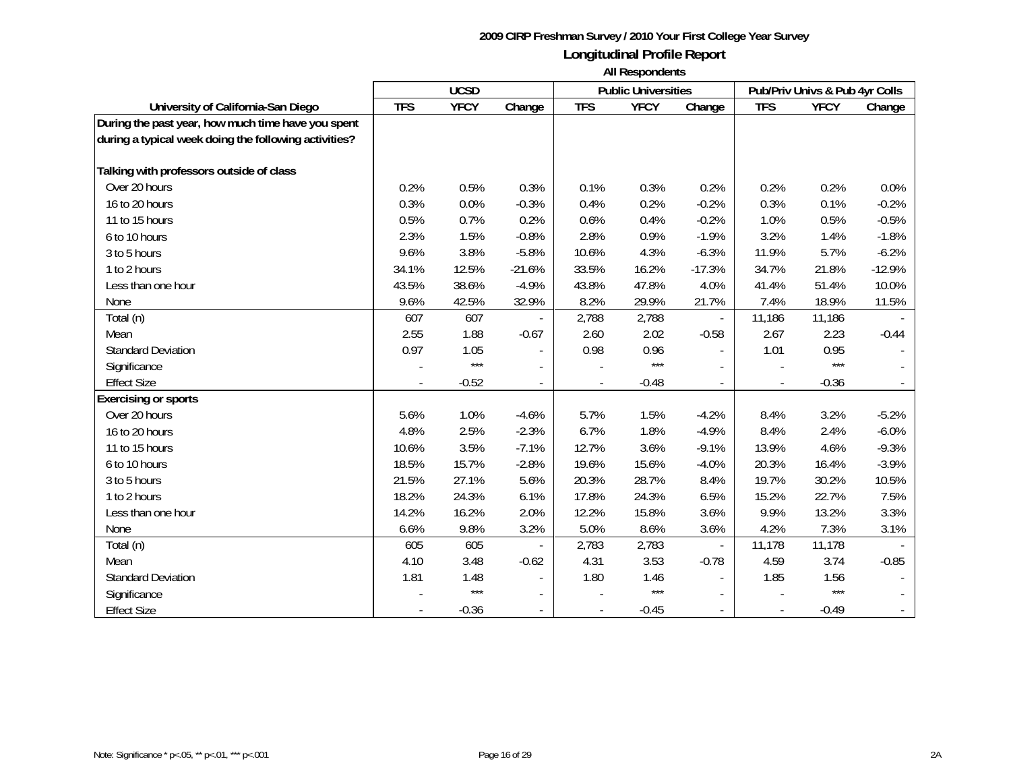|                                                       | <b>UCSD</b> |             |          |                          | <b>Public Universities</b> |                          | Pub/Priv Univs & Pub 4yr Colls |             |          |
|-------------------------------------------------------|-------------|-------------|----------|--------------------------|----------------------------|--------------------------|--------------------------------|-------------|----------|
| University of California-San Diego                    | <b>TFS</b>  | <b>YFCY</b> | Change   | <b>TFS</b>               | <b>YFCY</b>                | Change                   | <b>TFS</b>                     | <b>YFCY</b> | Change   |
| During the past year, how much time have you spent    |             |             |          |                          |                            |                          |                                |             |          |
| during a typical week doing the following activities? |             |             |          |                          |                            |                          |                                |             |          |
|                                                       |             |             |          |                          |                            |                          |                                |             |          |
| Talking with professors outside of class              |             |             |          |                          |                            |                          |                                |             |          |
| Over 20 hours                                         | 0.2%        | 0.5%        | 0.3%     | 0.1%                     | 0.3%                       | 0.2%                     | 0.2%                           | 0.2%        | 0.0%     |
| 16 to 20 hours                                        | 0.3%        | 0.0%        | $-0.3%$  | 0.4%                     | 0.2%                       | $-0.2%$                  | 0.3%                           | 0.1%        | $-0.2%$  |
| 11 to 15 hours                                        | 0.5%        | 0.7%        | 0.2%     | 0.6%                     | 0.4%                       | $-0.2%$                  | 1.0%                           | 0.5%        | $-0.5%$  |
| 6 to 10 hours                                         | 2.3%        | 1.5%        | $-0.8%$  | 2.8%                     | 0.9%                       | $-1.9%$                  | 3.2%                           | 1.4%        | $-1.8%$  |
| 3 to 5 hours                                          | 9.6%        | 3.8%        | $-5.8%$  | 10.6%                    | 4.3%                       | $-6.3%$                  | 11.9%                          | 5.7%        | $-6.2%$  |
| 1 to 2 hours                                          | 34.1%       | 12.5%       | $-21.6%$ | 33.5%                    | 16.2%                      | $-17.3%$                 | 34.7%                          | 21.8%       | $-12.9%$ |
| Less than one hour                                    | 43.5%       | 38.6%       | $-4.9%$  | 43.8%                    | 47.8%                      | 4.0%                     | 41.4%                          | 51.4%       | 10.0%    |
| None                                                  | 9.6%        | 42.5%       | 32.9%    | 8.2%                     | 29.9%                      | 21.7%                    | 7.4%                           | 18.9%       | 11.5%    |
| Total (n)                                             | 607         | 607         |          | 2,788                    | 2,788                      |                          | 11,186                         | 11,186      |          |
| Mean                                                  | 2.55        | 1.88        | $-0.67$  | 2.60                     | 2.02                       | $-0.58$                  | 2.67                           | 2.23        | $-0.44$  |
| <b>Standard Deviation</b>                             | 0.97        | 1.05        |          | 0.98                     | 0.96                       |                          | 1.01                           | 0.95        |          |
| Significance                                          |             | $***$       |          |                          | $***$                      |                          |                                | $***$       |          |
| <b>Effect Size</b>                                    |             | $-0.52$     |          |                          | $-0.48$                    |                          |                                | $-0.36$     |          |
| <b>Exercising or sports</b>                           |             |             |          |                          |                            |                          |                                |             |          |
| Over 20 hours                                         | 5.6%        | 1.0%        | $-4.6%$  | 5.7%                     | 1.5%                       | $-4.2%$                  | 8.4%                           | 3.2%        | $-5.2%$  |
| 16 to 20 hours                                        | 4.8%        | 2.5%        | $-2.3%$  | 6.7%                     | 1.8%                       | $-4.9%$                  | 8.4%                           | 2.4%        | $-6.0%$  |
| 11 to 15 hours                                        | 10.6%       | 3.5%        | $-7.1%$  | 12.7%                    | 3.6%                       | $-9.1%$                  | 13.9%                          | 4.6%        | $-9.3%$  |
| 6 to 10 hours                                         | 18.5%       | 15.7%       | $-2.8%$  | 19.6%                    | 15.6%                      | $-4.0%$                  | 20.3%                          | 16.4%       | $-3.9%$  |
| 3 to 5 hours                                          | 21.5%       | 27.1%       | 5.6%     | 20.3%                    | 28.7%                      | 8.4%                     | 19.7%                          | 30.2%       | 10.5%    |
| 1 to 2 hours                                          | 18.2%       | 24.3%       | 6.1%     | 17.8%                    | 24.3%                      | 6.5%                     | 15.2%                          | 22.7%       | 7.5%     |
| Less than one hour                                    | 14.2%       | 16.2%       | 2.0%     | 12.2%                    | 15.8%                      | 3.6%                     | 9.9%                           | 13.2%       | 3.3%     |
| None                                                  | 6.6%        | 9.8%        | 3.2%     | 5.0%                     | 8.6%                       | 3.6%                     | 4.2%                           | 7.3%        | 3.1%     |
| Total (n)                                             | 605         | 605         |          | 2,783                    | 2,783                      | $\overline{\phantom{a}}$ | 11,178                         | 11,178      |          |
| Mean                                                  | 4.10        | 3.48        | $-0.62$  | 4.31                     | 3.53                       | $-0.78$                  | 4.59                           | 3.74        | $-0.85$  |
| <b>Standard Deviation</b>                             | 1.81        | 1.48        |          | 1.80                     | 1.46                       |                          | 1.85                           | 1.56        |          |
| Significance                                          |             | $***$       |          |                          | $***$                      |                          |                                | $***$       |          |
| <b>Effect Size</b>                                    |             | $-0.36$     |          | $\overline{\phantom{a}}$ | $-0.45$                    |                          |                                | $-0.49$     |          |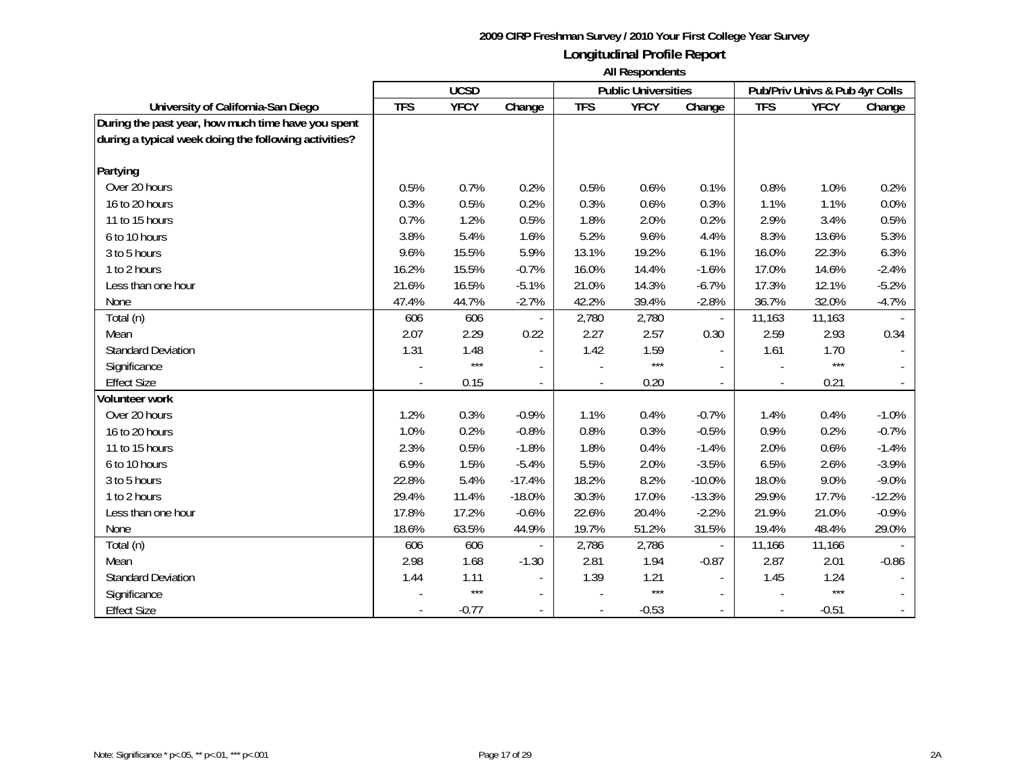|                                                       | <b>UCSD</b> |             |          |                | <b>Public Universities</b> |                          | Pub/Priv Univs & Pub 4yr Colls |             |          |
|-------------------------------------------------------|-------------|-------------|----------|----------------|----------------------------|--------------------------|--------------------------------|-------------|----------|
| University of California-San Diego                    | <b>TFS</b>  | <b>YFCY</b> | Change   | <b>TFS</b>     | <b>YFCY</b>                | Change                   | <b>TFS</b>                     | <b>YFCY</b> | Change   |
| During the past year, how much time have you spent    |             |             |          |                |                            |                          |                                |             |          |
| during a typical week doing the following activities? |             |             |          |                |                            |                          |                                |             |          |
|                                                       |             |             |          |                |                            |                          |                                |             |          |
| Partying                                              |             |             |          |                |                            |                          |                                |             |          |
| Over 20 hours                                         | 0.5%        | 0.7%        | 0.2%     | 0.5%           | 0.6%                       | 0.1%                     | 0.8%                           | 1.0%        | 0.2%     |
| 16 to 20 hours                                        | 0.3%        | 0.5%        | 0.2%     | 0.3%           | 0.6%                       | 0.3%                     | 1.1%                           | 1.1%        | 0.0%     |
| 11 to 15 hours                                        | 0.7%        | 1.2%        | 0.5%     | 1.8%           | 2.0%                       | 0.2%                     | 2.9%                           | 3.4%        | 0.5%     |
| 6 to 10 hours                                         | 3.8%        | 5.4%        | 1.6%     | 5.2%           | 9.6%                       | 4.4%                     | 8.3%                           | 13.6%       | 5.3%     |
| 3 to 5 hours                                          | 9.6%        | 15.5%       | 5.9%     | 13.1%          | 19.2%                      | 6.1%                     | 16.0%                          | 22.3%       | 6.3%     |
| 1 to 2 hours                                          | 16.2%       | 15.5%       | $-0.7%$  | 16.0%          | 14.4%                      | $-1.6%$                  | 17.0%                          | 14.6%       | $-2.4%$  |
| Less than one hour                                    | 21.6%       | 16.5%       | $-5.1%$  | 21.0%          | 14.3%                      | $-6.7%$                  | 17.3%                          | 12.1%       | $-5.2%$  |
| None                                                  | 47.4%       | 44.7%       | $-2.7%$  | 42.2%          | 39.4%                      | $-2.8%$                  | 36.7%                          | 32.0%       | $-4.7%$  |
| Total (n)                                             | 606         | 606         |          | 2,780          | 2,780                      |                          | 11,163                         | 11,163      |          |
| Mean                                                  | 2.07        | 2.29        | 0.22     | 2.27           | 2.57                       | 0.30                     | 2.59                           | 2.93        | 0.34     |
| <b>Standard Deviation</b>                             | 1.31        | 1.48        |          | 1.42           | 1.59                       | $\overline{a}$           | 1.61                           | 1.70        |          |
| Significance                                          |             | $***$       |          |                | $***$                      |                          |                                | $***$       |          |
| <b>Effect Size</b>                                    |             | 0.15        |          |                | 0.20                       |                          |                                | 0.21        |          |
| <b>Volunteer work</b>                                 |             |             |          |                |                            |                          |                                |             |          |
| Over 20 hours                                         | 1.2%        | 0.3%        | $-0.9%$  | 1.1%           | 0.4%                       | $-0.7%$                  | 1.4%                           | 0.4%        | $-1.0%$  |
| 16 to 20 hours                                        | 1.0%        | 0.2%        | $-0.8%$  | 0.8%           | 0.3%                       | $-0.5%$                  | 0.9%                           | 0.2%        | $-0.7%$  |
| 11 to 15 hours                                        | 2.3%        | 0.5%        | $-1.8%$  | 1.8%           | 0.4%                       | $-1.4%$                  | 2.0%                           | 0.6%        | $-1.4%$  |
| 6 to 10 hours                                         | 6.9%        | 1.5%        | $-5.4%$  | 5.5%           | 2.0%                       | $-3.5%$                  | 6.5%                           | 2.6%        | $-3.9%$  |
| 3 to 5 hours                                          | 22.8%       | 5.4%        | $-17.4%$ | 18.2%          | 8.2%                       | $-10.0%$                 | 18.0%                          | 9.0%        | $-9.0%$  |
| 1 to 2 hours                                          | 29.4%       | 11.4%       | $-18.0%$ | 30.3%          | 17.0%                      | $-13.3%$                 | 29.9%                          | 17.7%       | $-12.2%$ |
| Less than one hour                                    | 17.8%       | 17.2%       | $-0.6%$  | 22.6%          | 20.4%                      | $-2.2%$                  | 21.9%                          | 21.0%       | $-0.9%$  |
| None                                                  | 18.6%       | 63.5%       | 44.9%    | 19.7%          | 51.2%                      | 31.5%                    | 19.4%                          | 48.4%       | 29.0%    |
| Total (n)                                             | 606         | 606         |          | 2,786          | 2,786                      | $\overline{\phantom{a}}$ | 11,166                         | 11,166      |          |
| Mean                                                  | 2.98        | 1.68        | $-1.30$  | 2.81           | 1.94                       | $-0.87$                  | 2.87                           | 2.01        | $-0.86$  |
| <b>Standard Deviation</b>                             | 1.44        | 1.11        |          | 1.39           | 1.21                       |                          | 1.45                           | 1.24        |          |
| Significance                                          |             | $***$       |          |                | $***$                      |                          |                                | $***$       |          |
| <b>Effect Size</b>                                    |             | $-0.77$     |          | $\overline{a}$ | $-0.53$                    |                          |                                | $-0.51$     |          |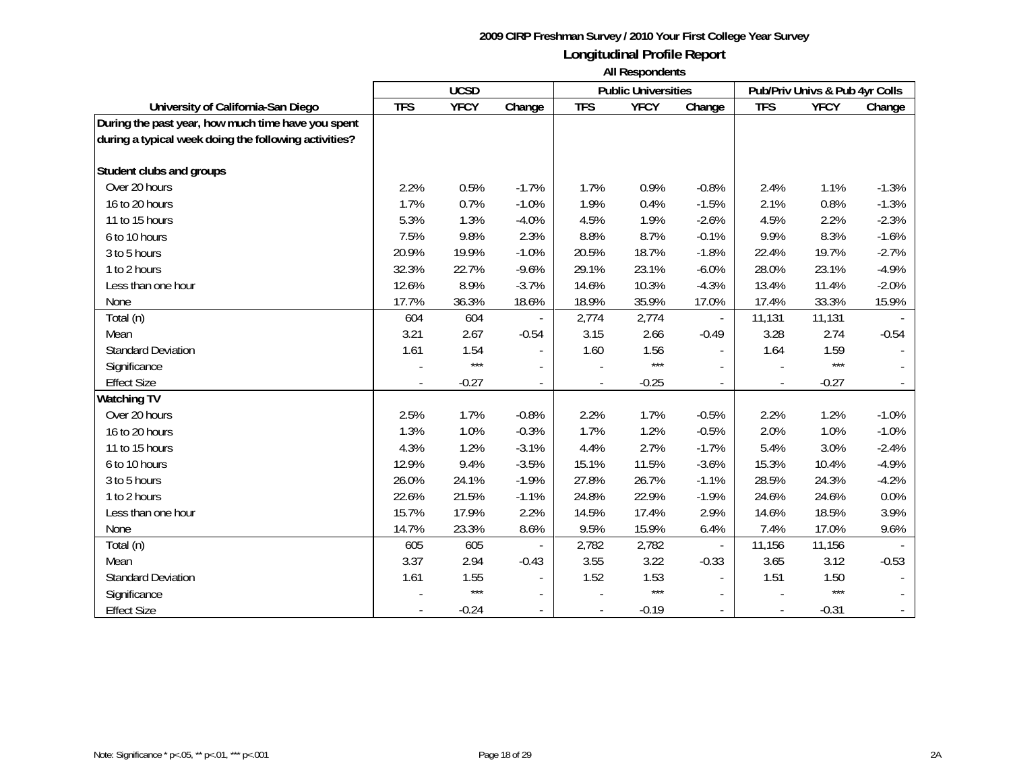|                                                       | <b>UCSD</b> |             |                          |                | <b>Public Universities</b> |                          | Pub/Priv Univs & Pub 4yr Colls |             |         |
|-------------------------------------------------------|-------------|-------------|--------------------------|----------------|----------------------------|--------------------------|--------------------------------|-------------|---------|
| University of California-San Diego                    | <b>TFS</b>  | <b>YFCY</b> | Change                   | <b>TFS</b>     | <b>YFCY</b>                | Change                   | <b>TFS</b>                     | <b>YFCY</b> | Change  |
| During the past year, how much time have you spent    |             |             |                          |                |                            |                          |                                |             |         |
| during a typical week doing the following activities? |             |             |                          |                |                            |                          |                                |             |         |
|                                                       |             |             |                          |                |                            |                          |                                |             |         |
| Student clubs and groups                              |             |             |                          |                |                            |                          |                                |             |         |
| Over 20 hours                                         | 2.2%        | 0.5%        | $-1.7%$                  | 1.7%           | 0.9%                       | $-0.8%$                  | 2.4%                           | 1.1%        | $-1.3%$ |
| 16 to 20 hours                                        | 1.7%        | 0.7%        | $-1.0%$                  | 1.9%           | 0.4%                       | $-1.5%$                  | 2.1%                           | 0.8%        | $-1.3%$ |
| 11 to 15 hours                                        | 5.3%        | 1.3%        | $-4.0%$                  | 4.5%           | 1.9%                       | $-2.6%$                  | 4.5%                           | 2.2%        | $-2.3%$ |
| 6 to 10 hours                                         | 7.5%        | 9.8%        | 2.3%                     | 8.8%           | 8.7%                       | $-0.1%$                  | 9.9%                           | 8.3%        | $-1.6%$ |
| 3 to 5 hours                                          | 20.9%       | 19.9%       | $-1.0%$                  | 20.5%          | 18.7%                      | $-1.8%$                  | 22.4%                          | 19.7%       | $-2.7%$ |
| 1 to 2 hours                                          | 32.3%       | 22.7%       | $-9.6%$                  | 29.1%          | 23.1%                      | $-6.0%$                  | 28.0%                          | 23.1%       | $-4.9%$ |
| Less than one hour                                    | 12.6%       | 8.9%        | $-3.7%$                  | 14.6%          | 10.3%                      | $-4.3%$                  | 13.4%                          | 11.4%       | $-2.0%$ |
| None                                                  | 17.7%       | 36.3%       | 18.6%                    | 18.9%          | 35.9%                      | 17.0%                    | 17.4%                          | 33.3%       | 15.9%   |
| Total (n)                                             | 604         | 604         |                          | 2,774          | 2,774                      |                          | 11,131                         | 11,131      |         |
| Mean                                                  | 3.21        | 2.67        | $-0.54$                  | 3.15           | 2.66                       | $-0.49$                  | 3.28                           | 2.74        | $-0.54$ |
| <b>Standard Deviation</b>                             | 1.61        | 1.54        |                          | 1.60           | 1.56                       |                          | 1.64                           | 1.59        |         |
| Significance                                          |             | $***$       |                          |                | $***$                      |                          |                                | $***$       |         |
| <b>Effect Size</b>                                    |             | $-0.27$     |                          |                | $-0.25$                    |                          |                                | $-0.27$     |         |
| <b>Watching TV</b>                                    |             |             |                          |                |                            |                          |                                |             |         |
| Over 20 hours                                         | 2.5%        | 1.7%        | $-0.8%$                  | 2.2%           | 1.7%                       | $-0.5%$                  | 2.2%                           | 1.2%        | $-1.0%$ |
| 16 to 20 hours                                        | 1.3%        | 1.0%        | $-0.3%$                  | 1.7%           | 1.2%                       | $-0.5%$                  | 2.0%                           | 1.0%        | $-1.0%$ |
| 11 to 15 hours                                        | 4.3%        | 1.2%        | $-3.1%$                  | 4.4%           | 2.7%                       | $-1.7%$                  | 5.4%                           | 3.0%        | $-2.4%$ |
| 6 to 10 hours                                         | 12.9%       | 9.4%        | $-3.5%$                  | 15.1%          | 11.5%                      | $-3.6%$                  | 15.3%                          | 10.4%       | $-4.9%$ |
| 3 to 5 hours                                          | 26.0%       | 24.1%       | $-1.9%$                  | 27.8%          | 26.7%                      | $-1.1%$                  | 28.5%                          | 24.3%       | $-4.2%$ |
| 1 to 2 hours                                          | 22.6%       | 21.5%       | $-1.1%$                  | 24.8%          | 22.9%                      | $-1.9%$                  | 24.6%                          | 24.6%       | 0.0%    |
| Less than one hour                                    | 15.7%       | 17.9%       | 2.2%                     | 14.5%          | 17.4%                      | 2.9%                     | 14.6%                          | 18.5%       | 3.9%    |
| None                                                  | 14.7%       | 23.3%       | 8.6%                     | 9.5%           | 15.9%                      | 6.4%                     | 7.4%                           | 17.0%       | 9.6%    |
| Total (n)                                             | 605         | 605         |                          | 2,782          | 2,782                      | $\overline{\phantom{a}}$ | 11,156                         | 11,156      |         |
| Mean                                                  | 3.37        | 2.94        | $-0.43$                  | 3.55           | 3.22                       | $-0.33$                  | 3.65                           | 3.12        | $-0.53$ |
| <b>Standard Deviation</b>                             | 1.61        | 1.55        | $\overline{\phantom{a}}$ | 1.52           | 1.53                       |                          | 1.51                           | 1.50        |         |
| Significance                                          |             | $***$       |                          |                | $***$                      |                          |                                | $***$       |         |
| <b>Effect Size</b>                                    |             | $-0.24$     |                          | $\overline{a}$ | $-0.19$                    |                          |                                | $-0.31$     |         |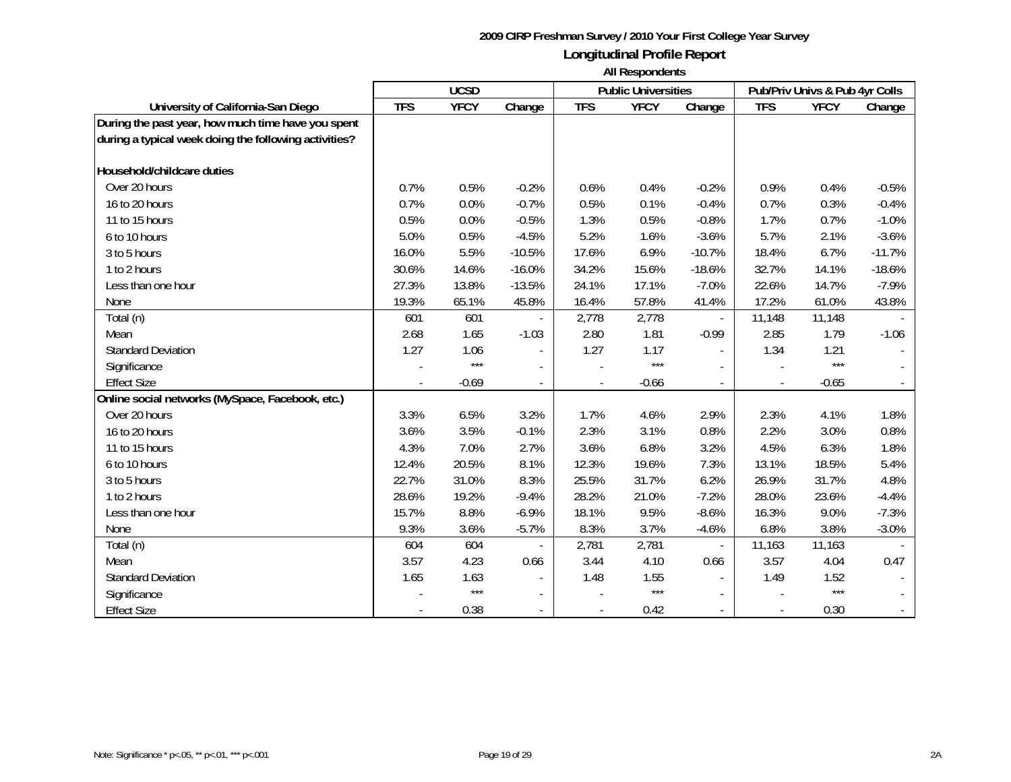|                                                       | <b>UCSD</b> |             |                          |            | <b>Public Universities</b> |                          | Pub/Priv Univs & Pub 4yr Colls |             |          |
|-------------------------------------------------------|-------------|-------------|--------------------------|------------|----------------------------|--------------------------|--------------------------------|-------------|----------|
| University of California-San Diego                    | <b>TFS</b>  | <b>YFCY</b> | Change                   | <b>TFS</b> | <b>YFCY</b>                | Change                   | <b>TFS</b>                     | <b>YFCY</b> | Change   |
| During the past year, how much time have you spent    |             |             |                          |            |                            |                          |                                |             |          |
| during a typical week doing the following activities? |             |             |                          |            |                            |                          |                                |             |          |
|                                                       |             |             |                          |            |                            |                          |                                |             |          |
| Household/childcare duties                            |             |             |                          |            |                            |                          |                                |             |          |
| Over 20 hours                                         | 0.7%        | 0.5%        | $-0.2%$                  | 0.6%       | 0.4%                       | $-0.2%$                  | 0.9%                           | 0.4%        | $-0.5%$  |
| 16 to 20 hours                                        | 0.7%        | 0.0%        | $-0.7%$                  | 0.5%       | 0.1%                       | $-0.4%$                  | 0.7%                           | 0.3%        | $-0.4%$  |
| 11 to 15 hours                                        | 0.5%        | 0.0%        | $-0.5%$                  | 1.3%       | 0.5%                       | $-0.8%$                  | 1.7%                           | 0.7%        | $-1.0%$  |
| 6 to 10 hours                                         | 5.0%        | 0.5%        | $-4.5%$                  | 5.2%       | 1.6%                       | $-3.6%$                  | 5.7%                           | 2.1%        | $-3.6%$  |
| 3 to 5 hours                                          | 16.0%       | 5.5%        | $-10.5%$                 | 17.6%      | 6.9%                       | $-10.7%$                 | 18.4%                          | 6.7%        | $-11.7%$ |
| 1 to 2 hours                                          | 30.6%       | 14.6%       | $-16.0%$                 | 34.2%      | 15.6%                      | $-18.6%$                 | 32.7%                          | 14.1%       | $-18.6%$ |
| Less than one hour                                    | 27.3%       | 13.8%       | $-13.5%$                 | 24.1%      | 17.1%                      | $-7.0%$                  | 22.6%                          | 14.7%       | $-7.9%$  |
| None                                                  | 19.3%       | 65.1%       | 45.8%                    | 16.4%      | 57.8%                      | 41.4%                    | 17.2%                          | 61.0%       | 43.8%    |
| Total (n)                                             | 601         | 601         |                          | 2,778      | 2,778                      |                          | 11,148                         | 11,148      |          |
| Mean                                                  | 2.68        | 1.65        | $-1.03$                  | 2.80       | 1.81                       | $-0.99$                  | 2.85                           | 1.79        | $-1.06$  |
| <b>Standard Deviation</b>                             | 1.27        | 1.06        |                          | 1.27       | 1.17                       |                          | 1.34                           | 1.21        |          |
| Significance                                          |             | $***$       |                          |            | $***$                      |                          |                                | $***$       |          |
| <b>Effect Size</b>                                    |             | $-0.69$     | $\frac{1}{2}$            |            | $-0.66$                    |                          |                                | $-0.65$     |          |
| Online social networks (MySpace, Facebook, etc.)      |             |             |                          |            |                            |                          |                                |             |          |
| Over 20 hours                                         | 3.3%        | 6.5%        | 3.2%                     | 1.7%       | 4.6%                       | 2.9%                     | 2.3%                           | 4.1%        | 1.8%     |
| 16 to 20 hours                                        | 3.6%        | 3.5%        | $-0.1%$                  | 2.3%       | 3.1%                       | 0.8%                     | 2.2%                           | 3.0%        | 0.8%     |
| 11 to 15 hours                                        | 4.3%        | 7.0%        | 2.7%                     | 3.6%       | 6.8%                       | 3.2%                     | 4.5%                           | 6.3%        | 1.8%     |
| 6 to 10 hours                                         | 12.4%       | 20.5%       | 8.1%                     | 12.3%      | 19.6%                      | 7.3%                     | 13.1%                          | 18.5%       | 5.4%     |
| 3 to 5 hours                                          | 22.7%       | 31.0%       | 8.3%                     | 25.5%      | 31.7%                      | 6.2%                     | 26.9%                          | 31.7%       | 4.8%     |
| 1 to 2 hours                                          | 28.6%       | 19.2%       | $-9.4%$                  | 28.2%      | 21.0%                      | $-7.2%$                  | 28.0%                          | 23.6%       | $-4.4%$  |
| Less than one hour                                    | 15.7%       | 8.8%        | $-6.9%$                  | 18.1%      | 9.5%                       | $-8.6%$                  | 16.3%                          | 9.0%        | $-7.3%$  |
| None                                                  | 9.3%        | 3.6%        | $-5.7%$                  | 8.3%       | 3.7%                       | $-4.6%$                  | 6.8%                           | 3.8%        | $-3.0%$  |
| Total (n)                                             | 604         | 604         |                          | 2,781      | 2,781                      | $\overline{\phantom{a}}$ | 11,163                         | 11,163      |          |
| Mean                                                  | 3.57        | 4.23        | 0.66                     | 3.44       | 4.10                       | 0.66                     | 3.57                           | 4.04        | 0.47     |
| <b>Standard Deviation</b>                             | 1.65        | 1.63        |                          | 1.48       | 1.55                       |                          | 1.49                           | 1.52        |          |
| Significance                                          |             | $***$       |                          |            | $***$                      |                          |                                | $***$       |          |
| <b>Effect Size</b>                                    |             | 0.38        | $\overline{\phantom{a}}$ |            | 0.42                       |                          |                                | 0.30        |          |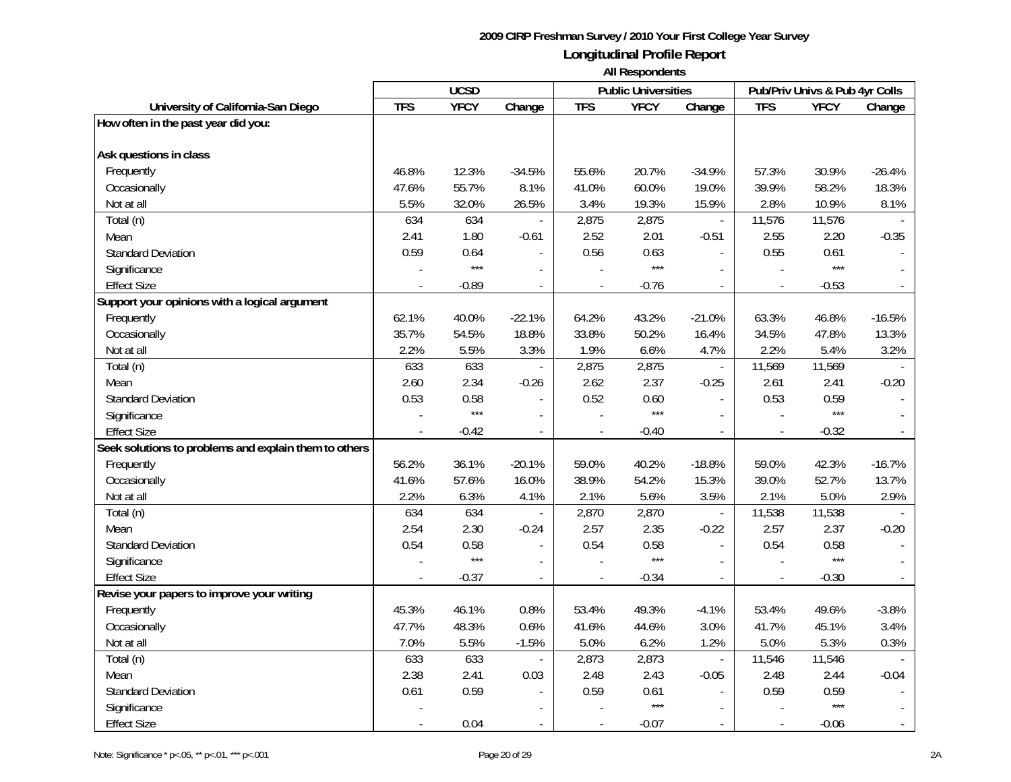|                                                                     | <b>UCSD</b> |               | <b>Public Universities</b> |                |               | Pub/Priv Univs & Pub 4yr Colls |                |               |                |
|---------------------------------------------------------------------|-------------|---------------|----------------------------|----------------|---------------|--------------------------------|----------------|---------------|----------------|
| University of California-San Diego                                  | <b>TFS</b>  | <b>YFCY</b>   | Change                     | <b>TFS</b>     | <b>YFCY</b>   | Change                         | <b>TFS</b>     | <b>YFCY</b>   | Change         |
| How often in the past year did you:                                 |             |               |                            |                |               |                                |                |               |                |
| Ask questions in class                                              |             |               |                            |                |               |                                |                |               |                |
| Frequently                                                          | 46.8%       | 12.3%         | $-34.5%$                   | 55.6%          | 20.7%         | $-34.9%$                       | 57.3%          | 30.9%         | $-26.4%$       |
| Occasionally                                                        | 47.6%       | 55.7%         | 8.1%                       | 41.0%          | 60.0%         | 19.0%                          | 39.9%          | 58.2%         | 18.3%          |
| Not at all                                                          | 5.5%        | 32.0%         | 26.5%                      | 3.4%           | 19.3%         | 15.9%                          | 2.8%           | 10.9%         | 8.1%           |
| Total (n)                                                           | 634         | 634           |                            | 2,875          | 2,875         | $\overline{\phantom{a}}$       | 11,576         | 11,576        |                |
| Mean                                                                | 2.41        | 1.80          | $-0.61$                    | 2.52           | 2.01          | $-0.51$                        | 2.55           | 2.20          | $-0.35$        |
| <b>Standard Deviation</b>                                           | 0.59        | 0.64          |                            | 0.56           | 0.63          | $\sim$                         | 0.55           | 0.61          |                |
|                                                                     |             | $***$         |                            |                | $***$         |                                |                | $***$         |                |
| Significance                                                        |             |               | $\overline{\phantom{a}}$   |                |               |                                |                |               |                |
| <b>Effect Size</b><br>Support your opinions with a logical argument |             | $-0.89$       | $\blacksquare$             |                | $-0.76$       | $\omega$                       | $\blacksquare$ | $-0.53$       |                |
|                                                                     |             |               |                            |                |               |                                |                |               |                |
| Frequently                                                          | 62.1%       | 40.0%         | $-22.1%$                   | 64.2%          | 43.2%         | $-21.0%$                       | 63.3%          | 46.8%         | $-16.5%$       |
| Occasionally                                                        | 35.7%       | 54.5%         | 18.8%                      | 33.8%          | 50.2%         | 16.4%                          | 34.5%          | 47.8%         | 13.3%          |
| Not at all                                                          | 2.2%        | 5.5%          | 3.3%                       | 1.9%           | 6.6%          | 4.7%                           | 2.2%           | 5.4%          | 3.2%           |
| Total (n)                                                           | 633         | 633           |                            | 2,875          | 2,875         | $\mathcal{L}_{\mathcal{A}}$    | 11,569         | 11,569        |                |
| Mean                                                                | 2.60        | 2.34          | $-0.26$                    | 2.62           | 2.37          | $-0.25$                        | 2.61           | 2.41          | $-0.20$        |
| <b>Standard Deviation</b>                                           | 0.53        | 0.58<br>$***$ |                            | 0.52           | 0.60<br>$***$ | $\blacksquare$                 | 0.53           | 0.59<br>$***$ |                |
| Significance                                                        |             |               | $\overline{\phantom{a}}$   |                |               | $\overline{\phantom{a}}$       |                |               |                |
| <b>Effect Size</b>                                                  |             | $-0.42$       | $\overline{\phantom{a}}$   |                | $-0.40$       | $\mathbb{L}$                   |                | $-0.32$       |                |
| Seek solutions to problems and explain them to others               |             |               |                            |                |               |                                |                |               |                |
| Frequently                                                          | 56.2%       | 36.1%         | $-20.1%$                   | 59.0%          | 40.2%         | $-18.8%$                       | 59.0%          | 42.3%         | $-16.7%$       |
| Occasionally                                                        | 41.6%       | 57.6%         | 16.0%                      | 38.9%          | 54.2%         | 15.3%                          | 39.0%          | 52.7%         | 13.7%          |
| Not at all                                                          | 2.2%        | 6.3%          | 4.1%                       | 2.1%           | 5.6%          | 3.5%                           | 2.1%           | 5.0%          | 2.9%           |
| Total (n)                                                           | 634         | 634           |                            | 2,870          | 2,870         | $\overline{\phantom{a}}$       | 11,538         | 11,538        |                |
| Mean                                                                | 2.54        | 2.30          | $-0.24$                    | 2.57           | 2.35          | $-0.22$                        | 2.57           | 2.37          | $-0.20$        |
| <b>Standard Deviation</b>                                           | 0.54        | 0.58<br>$***$ | $\mathcal{L}$              | 0.54           | 0.58<br>$***$ | $\mathbb{L}$                   | 0.54           | 0.58<br>$***$ |                |
| Significance                                                        |             |               | $\blacksquare$             |                |               | $\sim$                         |                |               |                |
| <b>Effect Size</b>                                                  |             | $-0.37$       |                            |                | $-0.34$       |                                |                | $-0.30$       |                |
| Revise your papers to improve your writing                          |             |               |                            |                |               |                                |                |               |                |
| Frequently                                                          | 45.3%       | 46.1%         | 0.8%                       | 53.4%          | 49.3%         | $-4.1%$                        | 53.4%          | 49.6%         | $-3.8%$        |
| Occasionally                                                        | 47.7%       | 48.3%         | 0.6%                       | 41.6%          | 44.6%         | 3.0%                           | 41.7%          | 45.1%         | 3.4%           |
| Not at all                                                          | 7.0%        | 5.5%          | $-1.5%$                    | 5.0%           | 6.2%          | 1.2%                           | 5.0%           | 5.3%          | 0.3%           |
| Total (n)                                                           | 633         | 633           | $\overline{\phantom{a}}$   | 2,873          | 2,873         | $\bar{\phantom{a}}$            | 11,546         | 11,546        |                |
| Mean                                                                | 2.38        | 2.41          | 0.03                       | 2.48           | 2.43          | $-0.05$                        | 2.48           | 2.44          | $-0.04$        |
| <b>Standard Deviation</b>                                           | 0.61        | 0.59          |                            | 0.59           | 0.61          |                                | 0.59           | 0.59          |                |
| Significance                                                        |             |               |                            |                | $***$         |                                |                | $***$         |                |
| <b>Effect Size</b>                                                  |             | 0.04          | $\overline{\phantom{a}}$   | $\blacksquare$ | $-0.07$       | $\sim$                         |                | $-0.06$       | $\blacksquare$ |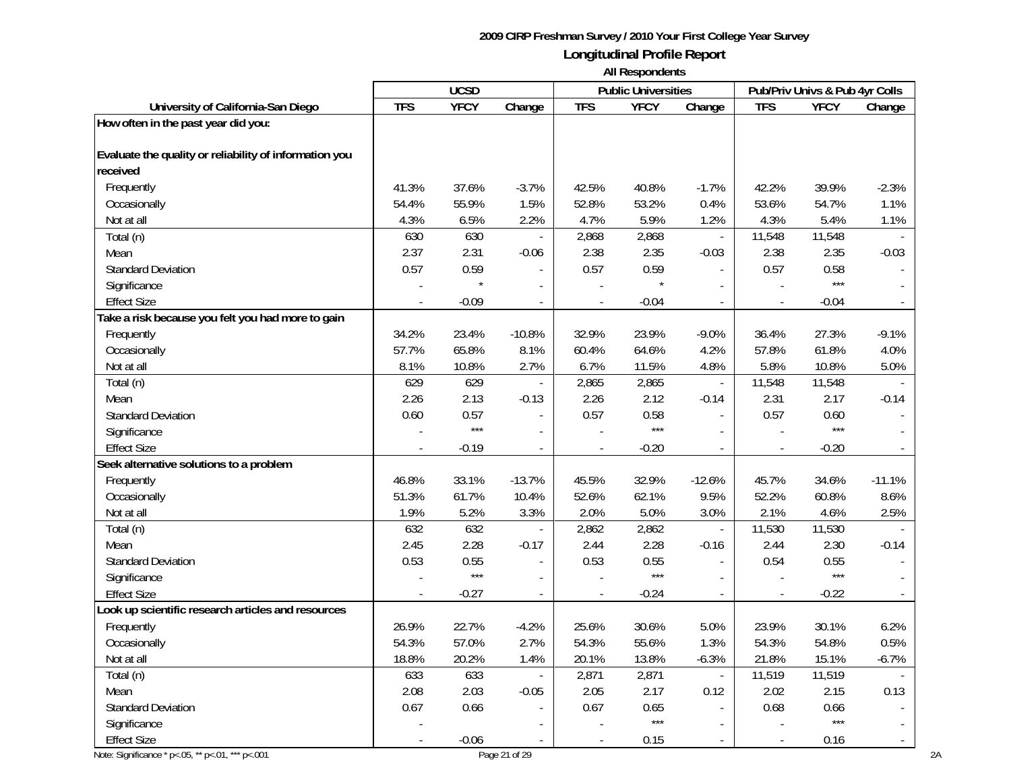**All Respondents**

|                                                        |            | <b>UCSD</b> |                          |                | <b>Public Universities</b> |                             |                          | Pub/Priv Univs & Pub 4yr Colls |                          |
|--------------------------------------------------------|------------|-------------|--------------------------|----------------|----------------------------|-----------------------------|--------------------------|--------------------------------|--------------------------|
| University of California-San Diego                     | <b>TFS</b> | <b>YFCY</b> | Change                   | <b>TFS</b>     | <b>YFCY</b>                | Change                      | <b>TFS</b>               | <b>YFCY</b>                    | Change                   |
| How often in the past year did you:                    |            |             |                          |                |                            |                             |                          |                                |                          |
|                                                        |            |             |                          |                |                            |                             |                          |                                |                          |
| Evaluate the quality or reliability of information you |            |             |                          |                |                            |                             |                          |                                |                          |
| received                                               |            |             |                          |                |                            |                             |                          |                                |                          |
| Frequently                                             | 41.3%      | 37.6%       | $-3.7%$                  | 42.5%          | 40.8%                      | $-1.7%$                     | 42.2%                    | 39.9%                          | $-2.3%$                  |
| Occasionally                                           | 54.4%      | 55.9%       | 1.5%                     | 52.8%          | 53.2%                      | 0.4%                        | 53.6%                    | 54.7%                          | 1.1%                     |
| Not at all                                             | 4.3%       | 6.5%        | 2.2%                     | 4.7%           | 5.9%                       | 1.2%                        | 4.3%                     | 5.4%                           | 1.1%                     |
| Total (n)                                              | 630        | 630         | $\overline{\phantom{a}}$ | 2,868          | 2,868                      | $\mathcal{L}_{\mathcal{A}}$ | 11,548                   | 11,548                         |                          |
| Mean                                                   | 2.37       | 2.31        | $-0.06$                  | 2.38           | 2.35                       | $-0.03$                     | 2.38                     | 2.35                           | $-0.03$                  |
| <b>Standard Deviation</b>                              | 0.57       | 0.59        |                          | 0.57           | 0.59                       | $\sim$                      | 0.57                     | 0.58                           |                          |
| Significance                                           |            | $\star$     | $\blacksquare$           |                | $\star$                    | $\overline{\phantom{a}}$    |                          | $***$                          |                          |
| <b>Effect Size</b>                                     |            | $-0.09$     | $\bar{a}$                |                | $-0.04$                    |                             |                          | $-0.04$                        |                          |
| Take a risk because you felt you had more to gain      |            |             |                          |                |                            |                             |                          |                                |                          |
| Frequently                                             | 34.2%      | 23.4%       | $-10.8%$                 | 32.9%          | 23.9%                      | $-9.0%$                     | 36.4%                    | 27.3%                          | $-9.1%$                  |
| Occasionally                                           | 57.7%      | 65.8%       | 8.1%                     | 60.4%          | 64.6%                      | 4.2%                        | 57.8%                    | 61.8%                          | 4.0%                     |
| Not at all                                             | 8.1%       | 10.8%       | 2.7%                     | 6.7%           | 11.5%                      | 4.8%                        | 5.8%                     | 10.8%                          | 5.0%                     |
| Total (n)                                              | 629        | 629         | $\overline{\phantom{a}}$ | 2,865          | 2,865                      | $\equiv$                    | 11,548                   | 11,548                         |                          |
| Mean                                                   | 2.26       | 2.13        | $-0.13$                  | 2.26           | 2.12                       | $-0.14$                     | 2.31                     | 2.17                           | $-0.14$                  |
| <b>Standard Deviation</b>                              | 0.60       | 0.57        | $\bar{a}$                | 0.57           | 0.58                       | $\Box$                      | 0.57                     | 0.60                           |                          |
| Significance                                           |            | $***$       | $\blacksquare$           |                | $***$                      | $\overline{\phantom{a}}$    | $\overline{\phantom{a}}$ | $***$                          |                          |
| <b>Effect Size</b>                                     |            | $-0.19$     |                          |                | $-0.20$                    | $\overline{a}$              |                          | $-0.20$                        |                          |
| Seek alternative solutions to a problem                |            |             |                          |                |                            |                             |                          |                                |                          |
| Frequently                                             | 46.8%      | 33.1%       | $-13.7%$                 | 45.5%          | 32.9%                      | $-12.6%$                    | 45.7%                    | 34.6%                          | $-11.1%$                 |
| Occasionally                                           | 51.3%      | 61.7%       | 10.4%                    | 52.6%          | 62.1%                      | 9.5%                        | 52.2%                    | 60.8%                          | 8.6%                     |
| Not at all                                             | 1.9%       | 5.2%        | 3.3%                     | 2.0%           | 5.0%                       | 3.0%                        | 2.1%                     | 4.6%                           | 2.5%                     |
| Total (n)                                              | 632        | 632         | $\bar{a}$                | 2,862          | 2,862                      | $\Box$                      | 11,530                   | 11,530                         |                          |
| Mean                                                   | 2.45       | 2.28        | $-0.17$                  | 2.44           | 2.28                       | $-0.16$                     | 2.44                     | 2.30                           | $-0.14$                  |
| <b>Standard Deviation</b>                              | 0.53       | 0.55        | $\bar{a}$                | 0.53           | 0.55                       |                             | 0.54                     | 0.55                           |                          |
| Significance                                           |            | $***$       | $\bar{a}$                |                | $***$                      | $\sim$                      |                          | $***$                          |                          |
| <b>Effect Size</b>                                     | $\sim$     | $-0.27$     | $\overline{\phantom{a}}$ | $\overline{a}$ | $-0.24$                    | $\blacksquare$              | $\overline{a}$           | $-0.22$                        |                          |
| Look up scientific research articles and resources     |            |             |                          |                |                            |                             |                          |                                |                          |
| Frequently                                             | 26.9%      | 22.7%       | $-4.2%$                  | 25.6%          | 30.6%                      | 5.0%                        | 23.9%                    | 30.1%                          | 6.2%                     |
| Occasionally                                           | 54.3%      | 57.0%       | 2.7%                     | 54.3%          | 55.6%                      | 1.3%                        | 54.3%                    | 54.8%                          | 0.5%                     |
| Not at all                                             | 18.8%      | 20.2%       | 1.4%                     | 20.1%          | 13.8%                      | $-6.3%$                     | 21.8%                    | 15.1%                          | $-6.7%$                  |
| Total (n)                                              | 633        | 633         | ä,                       | 2,871          | 2,871                      | $\Box$                      | 11,519                   | 11,519                         |                          |
| Mean                                                   | 2.08       | 2.03        | $-0.05$                  | 2.05           | 2.17                       | 0.12                        | 2.02                     | 2.15                           | 0.13                     |
| <b>Standard Deviation</b>                              | 0.67       | 0.66        | $\blacksquare$           | 0.67           | 0.65                       | $\overline{\phantom{a}}$    | 0.68                     | 0.66                           |                          |
| Significance                                           |            |             |                          |                | $***$                      | $\blacksquare$              |                          | $***$                          | $\overline{\phantom{a}}$ |
| <b>Effect Size</b>                                     |            | $-0.06$     | $\bar{a}$                | $\blacksquare$ | 0.15                       |                             |                          | 0.16                           | $\overline{\phantom{a}}$ |

Note: Significance \* p<.05, \*\* p<.01, \*\*\* p<.001 2A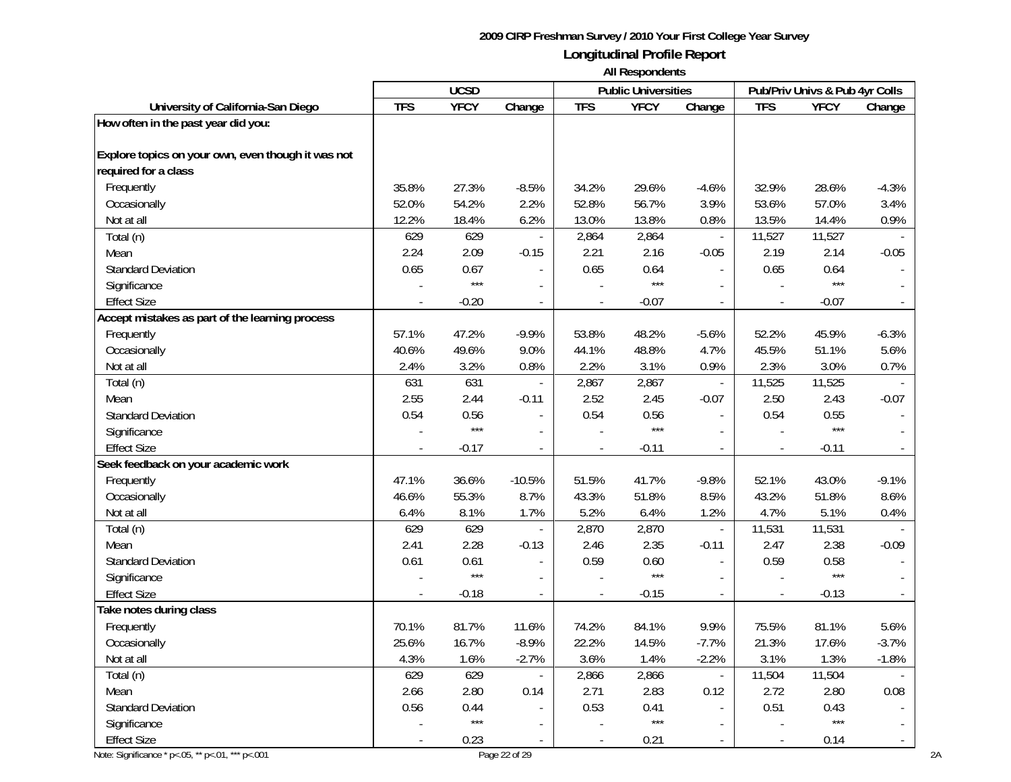|                                                        |            | <b>UCSD</b> |                          |            | <b>Public Universities</b> |                          |                          | Pub/Priv Univs & Pub 4yr Colls |         |
|--------------------------------------------------------|------------|-------------|--------------------------|------------|----------------------------|--------------------------|--------------------------|--------------------------------|---------|
| University of California-San Diego                     | <b>TFS</b> | <b>YFCY</b> | Change                   | <b>TFS</b> | <b>YFCY</b>                | Change                   | <b>TFS</b>               | <b>YFCY</b>                    | Change  |
| How often in the past year did you:                    |            |             |                          |            |                            |                          |                          |                                |         |
| Explore topics on your own, even though it was not     |            |             |                          |            |                            |                          |                          |                                |         |
| required for a class                                   |            |             |                          |            |                            |                          |                          |                                |         |
| Frequently                                             | 35.8%      | 27.3%       | $-8.5%$                  | 34.2%      | 29.6%                      | $-4.6%$                  | 32.9%                    | 28.6%                          | $-4.3%$ |
| Occasionally                                           | 52.0%      | 54.2%       | 2.2%                     | 52.8%      | 56.7%                      | 3.9%                     | 53.6%                    | 57.0%                          | 3.4%    |
| Not at all                                             | 12.2%      | 18.4%       | 6.2%                     | 13.0%      | 13.8%                      | 0.8%                     | 13.5%                    | 14.4%                          | 0.9%    |
| Total (n)                                              | 629        | 629         | $\overline{\phantom{a}}$ | 2,864      | 2,864                      | $\blacksquare$           | 11,527                   | 11,527                         |         |
| Mean                                                   | 2.24       | 2.09        | $-0.15$                  | 2.21       | 2.16                       | $-0.05$                  | 2.19                     | 2.14                           | $-0.05$ |
| <b>Standard Deviation</b>                              | 0.65       | 0.67        |                          | 0.65       | 0.64                       | $\blacksquare$           | 0.65                     | 0.64                           |         |
| Significance                                           |            | $***$       | $\overline{\phantom{a}}$ |            | $***$                      | $\blacksquare$           |                          | $***$                          |         |
| <b>Effect Size</b>                                     |            | $-0.20$     | $\overline{\phantom{a}}$ |            | $-0.07$                    | $\blacksquare$           |                          | $-0.07$                        |         |
| Accept mistakes as part of the learning process        |            |             |                          |            |                            |                          |                          |                                |         |
| Frequently                                             | 57.1%      | 47.2%       | $-9.9%$                  | 53.8%      | 48.2%                      | $-5.6%$                  | 52.2%                    | 45.9%                          | $-6.3%$ |
| Occasionally                                           | 40.6%      | 49.6%       | 9.0%                     | 44.1%      | 48.8%                      | 4.7%                     | 45.5%                    | 51.1%                          | 5.6%    |
| Not at all                                             | 2.4%       | 3.2%        | 0.8%                     | 2.2%       | 3.1%                       | 0.9%                     | 2.3%                     | 3.0%                           | 0.7%    |
| Total (n)                                              | 631        | 631         | $\overline{\phantom{a}}$ | 2,867      | 2,867                      | $\overline{\phantom{a}}$ | 11,525                   | 11,525                         |         |
| Mean                                                   | 2.55       | 2.44        | $-0.11$                  | 2.52       | 2.45                       | $-0.07$                  | 2.50                     | 2.43                           | $-0.07$ |
| <b>Standard Deviation</b>                              | 0.54       | 0.56        | $\overline{\phantom{a}}$ | 0.54       | 0.56                       | $\overline{\phantom{a}}$ | 0.54                     | 0.55                           |         |
| Significance                                           |            | $***$       | $\overline{a}$           |            | $***$                      |                          |                          | $***$                          |         |
| <b>Effect Size</b>                                     |            | $-0.17$     | $\overline{a}$           |            | $-0.11$                    | $\blacksquare$           |                          | $-0.11$                        |         |
| Seek feedback on your academic work                    |            |             |                          |            |                            |                          |                          |                                |         |
| Frequently                                             | 47.1%      | 36.6%       | $-10.5%$                 | 51.5%      | 41.7%                      | $-9.8%$                  | 52.1%                    | 43.0%                          | $-9.1%$ |
| Occasionally                                           | 46.6%      | 55.3%       | 8.7%                     | 43.3%      | 51.8%                      | 8.5%                     | 43.2%                    | 51.8%                          | 8.6%    |
| Not at all                                             | 6.4%       | 8.1%        | 1.7%                     | 5.2%       | 6.4%                       | 1.2%                     | 4.7%                     | 5.1%                           | 0.4%    |
| Total (n)                                              | 629        | 629         | $\overline{\phantom{a}}$ | 2,870      | 2,870                      | $\overline{\phantom{a}}$ | 11,531                   | 11,531                         |         |
| Mean                                                   | 2.41       | 2.28        | $-0.13$                  | 2.46       | 2.35                       | $-0.11$                  | 2.47                     | 2.38                           | $-0.09$ |
| <b>Standard Deviation</b>                              | 0.61       | 0.61        | $\blacksquare$           | 0.59       | 0.60                       | $\overline{\phantom{a}}$ | 0.59                     | 0.58                           |         |
| Significance                                           |            | $***$       | $\overline{a}$           |            | $***$                      | $\mathbf{r}$             |                          | $***$                          |         |
| <b>Effect Size</b>                                     |            | $-0.18$     | $\frac{1}{2}$            |            | $-0.15$                    | $\blacksquare$           |                          | $-0.13$                        |         |
| Take notes during class                                |            |             |                          |            |                            |                          |                          |                                |         |
| Frequently                                             | 70.1%      | 81.7%       | 11.6%                    | 74.2%      | 84.1%                      | 9.9%                     | 75.5%                    | 81.1%                          | 5.6%    |
| Occasionally                                           | 25.6%      | 16.7%       | $-8.9%$                  | 22.2%      | 14.5%                      | $-7.7%$                  | 21.3%                    | 17.6%                          | $-3.7%$ |
| Not at all                                             | 4.3%       | 1.6%        | $-2.7%$                  | 3.6%       | 1.4%                       | $-2.2%$                  | 3.1%                     | 1.3%                           | $-1.8%$ |
| Total (n)                                              | 629        | 629         |                          | 2,866      | 2,866                      | $\overline{\phantom{a}}$ | 11,504                   | 11,504                         |         |
| Mean                                                   | 2.66       | 2.80        | 0.14                     | 2.71       | 2.83                       | 0.12                     | 2.72                     | 2.80                           | 0.08    |
| <b>Standard Deviation</b>                              | 0.56       | 0.44        |                          | 0.53       | 0.41                       | $\overline{\phantom{a}}$ | 0.51                     | 0.43                           |         |
| Significance                                           |            | $***$       |                          |            | $***$                      | $\blacksquare$           |                          | $***$                          |         |
| <b>Effect Size</b>                                     |            | 0.23        |                          |            | 0.21                       |                          | $\overline{\phantom{a}}$ | 0.14                           |         |
| Note: Significance * p <. 05, ** p <. 01, *** p <. 001 |            |             | Page 22 of 29            |            |                            |                          |                          |                                |         |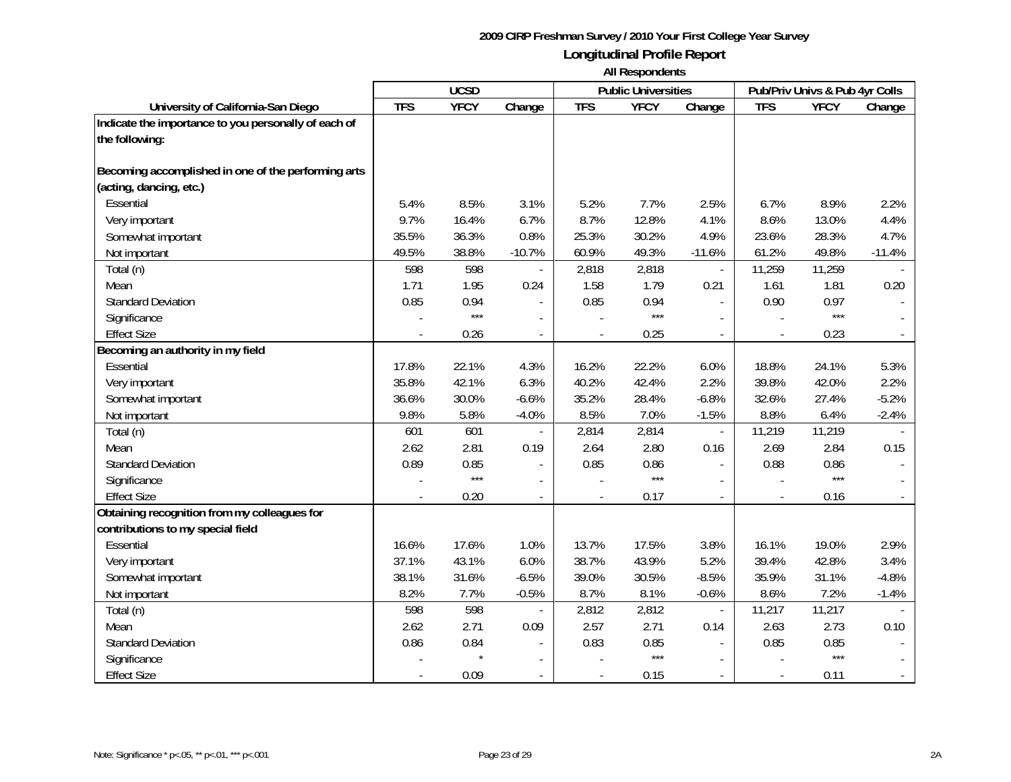|                                                      |            | <b>UCSD</b> |                          |                          | <b>Public Universities</b> |                          |            | Pub/Priv Univs & Pub 4yr Colls |          |
|------------------------------------------------------|------------|-------------|--------------------------|--------------------------|----------------------------|--------------------------|------------|--------------------------------|----------|
| University of California-San Diego                   | <b>TFS</b> | <b>YFCY</b> | Change                   | <b>TFS</b>               | <b>YFCY</b>                | Change                   | <b>TFS</b> | <b>YFCY</b>                    | Change   |
| Indicate the importance to you personally of each of |            |             |                          |                          |                            |                          |            |                                |          |
| the following:                                       |            |             |                          |                          |                            |                          |            |                                |          |
|                                                      |            |             |                          |                          |                            |                          |            |                                |          |
| Becoming accomplished in one of the performing arts  |            |             |                          |                          |                            |                          |            |                                |          |
| (acting, dancing, etc.)                              |            |             |                          |                          |                            |                          |            |                                |          |
| Essential                                            | 5.4%       | 8.5%        | 3.1%                     | 5.2%                     | 7.7%                       | 2.5%                     | 6.7%       | 8.9%                           | 2.2%     |
| Very important                                       | 9.7%       | 16.4%       | 6.7%                     | 8.7%                     | 12.8%                      | 4.1%                     | 8.6%       | 13.0%                          | 4.4%     |
| Somewhat important                                   | 35.5%      | 36.3%       | 0.8%                     | 25.3%                    | 30.2%                      | 4.9%                     | 23.6%      | 28.3%                          | 4.7%     |
| Not important                                        | 49.5%      | 38.8%       | $-10.7%$                 | 60.9%                    | 49.3%                      | $-11.6%$                 | 61.2%      | 49.8%                          | $-11.4%$ |
| Total (n)                                            | 598        | 598         |                          | 2,818                    | 2,818                      | $\mathbf{r}$             | 11,259     | 11,259                         |          |
| Mean                                                 | 1.71       | 1.95        | 0.24                     | 1.58                     | 1.79                       | 0.21                     | 1.61       | 1.81                           | 0.20     |
| <b>Standard Deviation</b>                            | 0.85       | 0.94        | $\overline{a}$           | 0.85                     | 0.94                       | $\mathbf{r}$             | 0.90       | 0.97                           |          |
| Significance                                         |            | $***$       | $\overline{\phantom{a}}$ |                          | $***$                      |                          |            | $***$                          |          |
| <b>Effect Size</b>                                   |            | 0.26        | $\blacksquare$           | $\overline{a}$           | 0.25                       | $\sim$                   | $\sim$     | 0.23                           |          |
| Becoming an authority in my field                    |            |             |                          |                          |                            |                          |            |                                |          |
| Essential                                            | 17.8%      | 22.1%       | 4.3%                     | 16.2%                    | 22.2%                      | 6.0%                     | 18.8%      | 24.1%                          | 5.3%     |
| Very important                                       | 35.8%      | 42.1%       | 6.3%                     | 40.2%                    | 42.4%                      | 2.2%                     | 39.8%      | 42.0%                          | 2.2%     |
| Somewhat important                                   | 36.6%      | 30.0%       | $-6.6%$                  | 35.2%                    | 28.4%                      | $-6.8%$                  | 32.6%      | 27.4%                          | $-5.2%$  |
| Not important                                        | 9.8%       | 5.8%        | $-4.0%$                  | 8.5%                     | 7.0%                       | $-1.5%$                  | 8.8%       | 6.4%                           | $-2.4%$  |
| Total (n)                                            | 601        | 601         |                          | 2,814                    | 2,814                      | $\bar{\phantom{a}}$      | 11,219     | 11,219                         |          |
| Mean                                                 | 2.62       | 2.81        | 0.19                     | 2.64                     | 2.80                       | 0.16                     | 2.69       | 2.84                           | 0.15     |
| <b>Standard Deviation</b>                            | 0.89       | 0.85        |                          | 0.85                     | 0.86                       |                          | 0.88       | 0.86                           |          |
| Significance                                         |            | $***$       |                          |                          | $***$                      |                          |            | $***$                          |          |
| <b>Effect Size</b>                                   |            | 0.20        |                          |                          | 0.17                       |                          |            | 0.16                           |          |
| Obtaining recognition from my colleagues for         |            |             |                          |                          |                            |                          |            |                                |          |
| contributions to my special field                    |            |             |                          |                          |                            |                          |            |                                |          |
| Essential                                            | 16.6%      | 17.6%       | 1.0%                     | 13.7%                    | 17.5%                      | 3.8%                     | 16.1%      | 19.0%                          | 2.9%     |
| Very important                                       | 37.1%      | 43.1%       | 6.0%                     | 38.7%                    | 43.9%                      | 5.2%                     | 39.4%      | 42.8%                          | 3.4%     |
| Somewhat important                                   | 38.1%      | 31.6%       | $-6.5%$                  | 39.0%                    | 30.5%                      | $-8.5%$                  | 35.9%      | 31.1%                          | $-4.8%$  |
| Not important                                        | 8.2%       | 7.7%        | $-0.5%$                  | 8.7%                     | 8.1%                       | $-0.6%$                  | 8.6%       | 7.2%                           | $-1.4%$  |
| Total (n)                                            | 598        | 598         |                          | 2,812                    | 2,812                      | $\overline{\phantom{a}}$ | 11,217     | 11,217                         |          |
| Mean                                                 | 2.62       | 2.71        | 0.09                     | 2.57                     | 2.71                       | 0.14                     | 2.63       | 2.73                           | 0.10     |
| <b>Standard Deviation</b>                            | 0.86       | 0.84        |                          | 0.83                     | 0.85                       |                          | 0.85       | 0.85                           |          |
| Significance                                         |            |             |                          |                          | $***$                      |                          |            | $***$                          |          |
| <b>Effect Size</b>                                   |            | 0.09        | $\blacksquare$           | $\overline{\phantom{a}}$ | 0.15                       |                          |            | 0.11                           |          |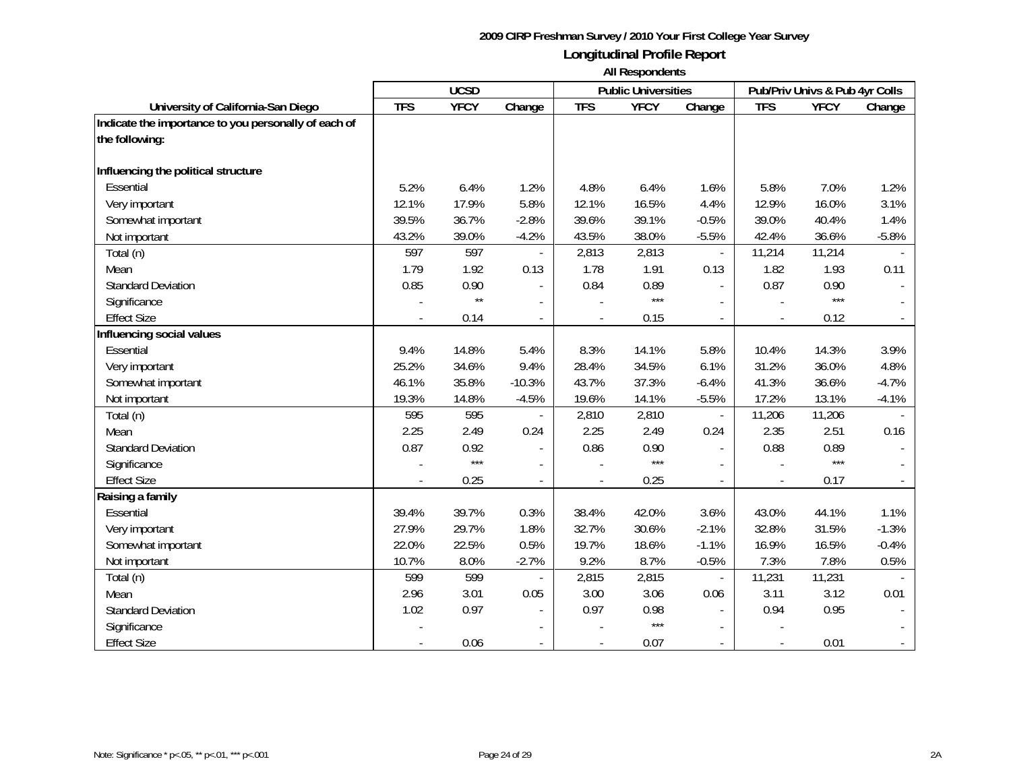|                                                      | <b>UCSD</b> |              |                          |                | <b>Public Universities</b> |                          | Pub/Priv Univs & Pub 4yr Colls |             |         |
|------------------------------------------------------|-------------|--------------|--------------------------|----------------|----------------------------|--------------------------|--------------------------------|-------------|---------|
| University of California-San Diego                   | <b>TFS</b>  | <b>YFCY</b>  | Change                   | <b>TFS</b>     | <b>YFCY</b>                | Change                   | <b>TFS</b>                     | <b>YFCY</b> | Change  |
| Indicate the importance to you personally of each of |             |              |                          |                |                            |                          |                                |             |         |
| the following:                                       |             |              |                          |                |                            |                          |                                |             |         |
|                                                      |             |              |                          |                |                            |                          |                                |             |         |
| Influencing the political structure                  |             |              |                          |                |                            |                          |                                |             |         |
| Essential                                            | 5.2%        | 6.4%         | 1.2%                     | 4.8%           | 6.4%                       | 1.6%                     | 5.8%                           | 7.0%        | 1.2%    |
| Very important                                       | 12.1%       | 17.9%        | 5.8%                     | 12.1%          | 16.5%                      | 4.4%                     | 12.9%                          | 16.0%       | 3.1%    |
| Somewhat important                                   | 39.5%       | 36.7%        | $-2.8%$                  | 39.6%          | 39.1%                      | $-0.5%$                  | 39.0%                          | 40.4%       | 1.4%    |
| Not important                                        | 43.2%       | 39.0%        | $-4.2%$                  | 43.5%          | 38.0%                      | $-5.5%$                  | 42.4%                          | 36.6%       | $-5.8%$ |
| Total (n)                                            | 597         | 597          | $\overline{\phantom{a}}$ | 2,813          | 2,813                      | $\overline{\phantom{a}}$ | 11,214                         | 11,214      |         |
| Mean                                                 | 1.79        | 1.92         | 0.13                     | 1.78           | 1.91                       | 0.13                     | 1.82                           | 1.93        | 0.11    |
| <b>Standard Deviation</b>                            | 0.85        | 0.90         |                          | 0.84           | 0.89                       | $\mathbf{r}$             | 0.87                           | 0.90        |         |
| Significance                                         |             | $\star\star$ |                          |                | $***$                      | $\sim$                   |                                | $***$       |         |
| <b>Effect Size</b>                                   |             | 0.14         |                          |                | 0.15                       |                          |                                | 0.12        |         |
| Influencing social values                            |             |              |                          |                |                            |                          |                                |             |         |
| <b>Essential</b>                                     | 9.4%        | 14.8%        | 5.4%                     | 8.3%           | 14.1%                      | 5.8%                     | 10.4%                          | 14.3%       | 3.9%    |
| Very important                                       | 25.2%       | 34.6%        | 9.4%                     | 28.4%          | 34.5%                      | 6.1%                     | 31.2%                          | 36.0%       | 4.8%    |
| Somewhat important                                   | 46.1%       | 35.8%        | $-10.3%$                 | 43.7%          | 37.3%                      | $-6.4%$                  | 41.3%                          | 36.6%       | $-4.7%$ |
| Not important                                        | 19.3%       | 14.8%        | $-4.5%$                  | 19.6%          | 14.1%                      | $-5.5%$                  | 17.2%                          | 13.1%       | $-4.1%$ |
| Total (n)                                            | 595         | 595          |                          | 2,810          | 2,810                      | $\sim$                   | 11,206                         | 11,206      |         |
| Mean                                                 | 2.25        | 2.49         | 0.24                     | 2.25           | 2.49                       | 0.24                     | 2.35                           | 2.51        | 0.16    |
| <b>Standard Deviation</b>                            | 0.87        | 0.92         | $\overline{\phantom{a}}$ | 0.86           | 0.90                       |                          | 0.88                           | 0.89        |         |
| Significance                                         |             | $***$        | $\overline{a}$           |                | $***$                      |                          |                                | $***$       |         |
| <b>Effect Size</b>                                   |             | 0.25         | $\overline{a}$           | $\overline{a}$ | 0.25                       | $\sim$                   | $\overline{a}$                 | 0.17        |         |
| Raising a family                                     |             |              |                          |                |                            |                          |                                |             |         |
| Essential                                            | 39.4%       | 39.7%        | 0.3%                     | 38.4%          | 42.0%                      | 3.6%                     | 43.0%                          | 44.1%       | 1.1%    |
| Very important                                       | 27.9%       | 29.7%        | 1.8%                     | 32.7%          | 30.6%                      | $-2.1%$                  | 32.8%                          | 31.5%       | $-1.3%$ |
| Somewhat important                                   | 22.0%       | 22.5%        | 0.5%                     | 19.7%          | 18.6%                      | $-1.1%$                  | 16.9%                          | 16.5%       | $-0.4%$ |
| Not important                                        | 10.7%       | 8.0%         | $-2.7%$                  | 9.2%           | 8.7%                       | $-0.5%$                  | 7.3%                           | 7.8%        | 0.5%    |
| Total (n)                                            | 599         | 599          |                          | 2,815          | 2,815                      | $\overline{\phantom{a}}$ | 11,231                         | 11,231      |         |
| Mean                                                 | 2.96        | 3.01         | 0.05                     | 3.00           | 3.06                       | 0.06                     | 3.11                           | 3.12        | 0.01    |
| <b>Standard Deviation</b>                            | 1.02        | 0.97         |                          | 0.97           | 0.98                       |                          | 0.94                           | 0.95        |         |
| Significance                                         |             |              |                          |                | $***$                      |                          |                                |             |         |
| <b>Effect Size</b>                                   |             | 0.06         | $\overline{\phantom{a}}$ |                | 0.07                       |                          |                                | 0.01        |         |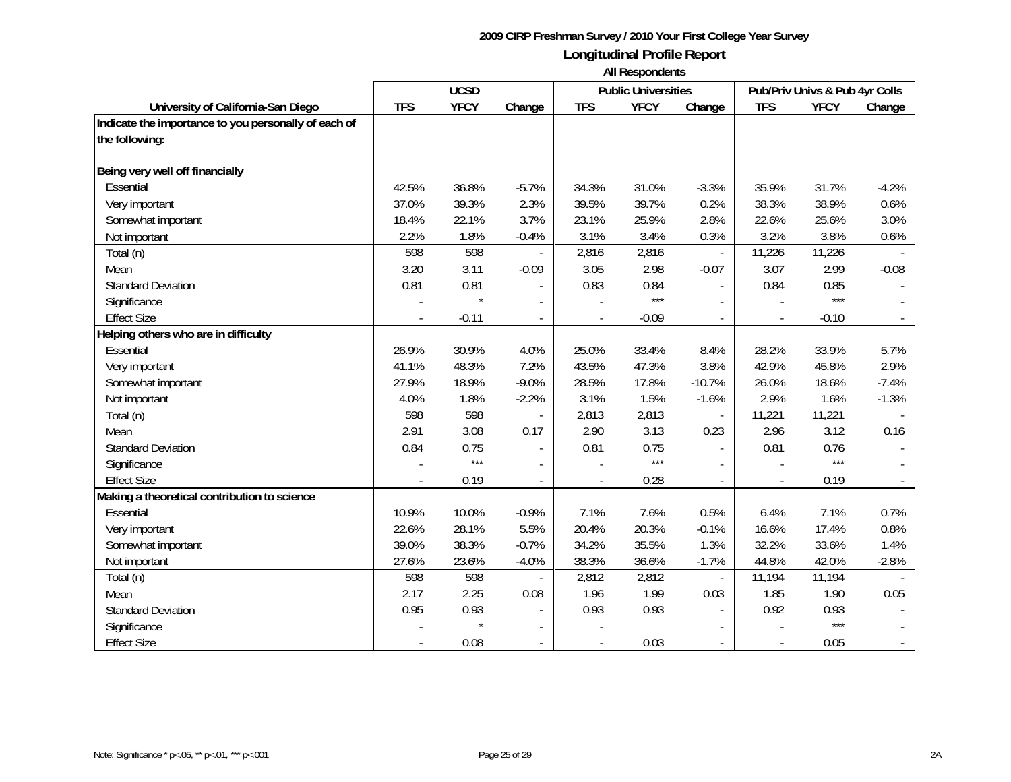|                                                      | <b>UCSD</b> |             |                          |            | <b>Public Universities</b> |                          | Pub/Priv Univs & Pub 4yr Colls |             |         |
|------------------------------------------------------|-------------|-------------|--------------------------|------------|----------------------------|--------------------------|--------------------------------|-------------|---------|
| University of California-San Diego                   | <b>TFS</b>  | <b>YFCY</b> | Change                   | <b>TFS</b> | <b>YFCY</b>                | Change                   | <b>TFS</b>                     | <b>YFCY</b> | Change  |
| Indicate the importance to you personally of each of |             |             |                          |            |                            |                          |                                |             |         |
| the following:                                       |             |             |                          |            |                            |                          |                                |             |         |
|                                                      |             |             |                          |            |                            |                          |                                |             |         |
| Being very well off financially                      |             |             |                          |            |                            |                          |                                |             |         |
| Essential                                            | 42.5%       | 36.8%       | $-5.7%$                  | 34.3%      | 31.0%                      | $-3.3%$                  | 35.9%                          | 31.7%       | $-4.2%$ |
| Very important                                       | 37.0%       | 39.3%       | 2.3%                     | 39.5%      | 39.7%                      | 0.2%                     | 38.3%                          | 38.9%       | 0.6%    |
| Somewhat important                                   | 18.4%       | 22.1%       | 3.7%                     | 23.1%      | 25.9%                      | 2.8%                     | 22.6%                          | 25.6%       | 3.0%    |
| Not important                                        | 2.2%        | 1.8%        | $-0.4%$                  | 3.1%       | 3.4%                       | 0.3%                     | 3.2%                           | 3.8%        | 0.6%    |
| Total (n)                                            | 598         | 598         |                          | 2,816      | 2,816                      | $\overline{\phantom{a}}$ | 11,226                         | 11,226      |         |
| Mean                                                 | 3.20        | 3.11        | $-0.09$                  | 3.05       | 2.98                       | $-0.07$                  | 3.07                           | 2.99        | $-0.08$ |
| <b>Standard Deviation</b>                            | 0.81        | 0.81        |                          | 0.83       | 0.84                       |                          | 0.84                           | 0.85        |         |
| Significance                                         |             | $\star$     |                          |            | $***$                      |                          |                                | ***         |         |
| <b>Effect Size</b>                                   |             | $-0.11$     | $\overline{\phantom{a}}$ |            | $-0.09$                    | $\overline{\phantom{a}}$ |                                | $-0.10$     |         |
| Helping others who are in difficulty                 |             |             |                          |            |                            |                          |                                |             |         |
| Essential                                            | 26.9%       | 30.9%       | 4.0%                     | 25.0%      | 33.4%                      | 8.4%                     | 28.2%                          | 33.9%       | 5.7%    |
| Very important                                       | 41.1%       | 48.3%       | 7.2%                     | 43.5%      | 47.3%                      | 3.8%                     | 42.9%                          | 45.8%       | 2.9%    |
| Somewhat important                                   | 27.9%       | 18.9%       | $-9.0%$                  | 28.5%      | 17.8%                      | $-10.7%$                 | 26.0%                          | 18.6%       | $-7.4%$ |
| Not important                                        | 4.0%        | 1.8%        | $-2.2%$                  | 3.1%       | 1.5%                       | $-1.6%$                  | 2.9%                           | 1.6%        | $-1.3%$ |
| Total (n)                                            | 598         | 598         |                          | 2,813      | 2,813                      |                          | 11,221                         | 11,221      |         |
| Mean                                                 | 2.91        | 3.08        | 0.17                     | 2.90       | 3.13                       | 0.23                     | 2.96                           | 3.12        | 0.16    |
| <b>Standard Deviation</b>                            | 0.84        | 0.75        | $\blacksquare$           | 0.81       | 0.75                       |                          | 0.81                           | 0.76        |         |
| Significance                                         |             | $***$       | $\overline{a}$           |            | $***$                      |                          |                                | ***         |         |
| <b>Effect Size</b>                                   |             | 0.19        |                          |            | 0.28                       | $\overline{a}$           |                                | 0.19        |         |
| Making a theoretical contribution to science         |             |             |                          |            |                            |                          |                                |             |         |
| Essential                                            | 10.9%       | 10.0%       | $-0.9%$                  | 7.1%       | 7.6%                       | 0.5%                     | 6.4%                           | 7.1%        | 0.7%    |
| Very important                                       | 22.6%       | 28.1%       | 5.5%                     | 20.4%      | 20.3%                      | $-0.1%$                  | 16.6%                          | 17.4%       | 0.8%    |
| Somewhat important                                   | 39.0%       | 38.3%       | $-0.7%$                  | 34.2%      | 35.5%                      | 1.3%                     | 32.2%                          | 33.6%       | 1.4%    |
| Not important                                        | 27.6%       | 23.6%       | $-4.0%$                  | 38.3%      | 36.6%                      | $-1.7%$                  | 44.8%                          | 42.0%       | $-2.8%$ |
| Total (n)                                            | 598         | 598         |                          | 2,812      | 2,812                      |                          | 11,194                         | 11,194      |         |
| Mean                                                 | 2.17        | 2.25        | 0.08                     | 1.96       | 1.99                       | 0.03                     | 1.85                           | 1.90        | 0.05    |
| <b>Standard Deviation</b>                            | 0.95        | 0.93        |                          | 0.93       | 0.93                       |                          | 0.92                           | 0.93        |         |
| Significance                                         |             | $\star$     |                          |            |                            |                          |                                | ***         |         |
| <b>Effect Size</b>                                   |             | 0.08        | $\sim$                   |            | 0.03                       |                          |                                | 0.05        |         |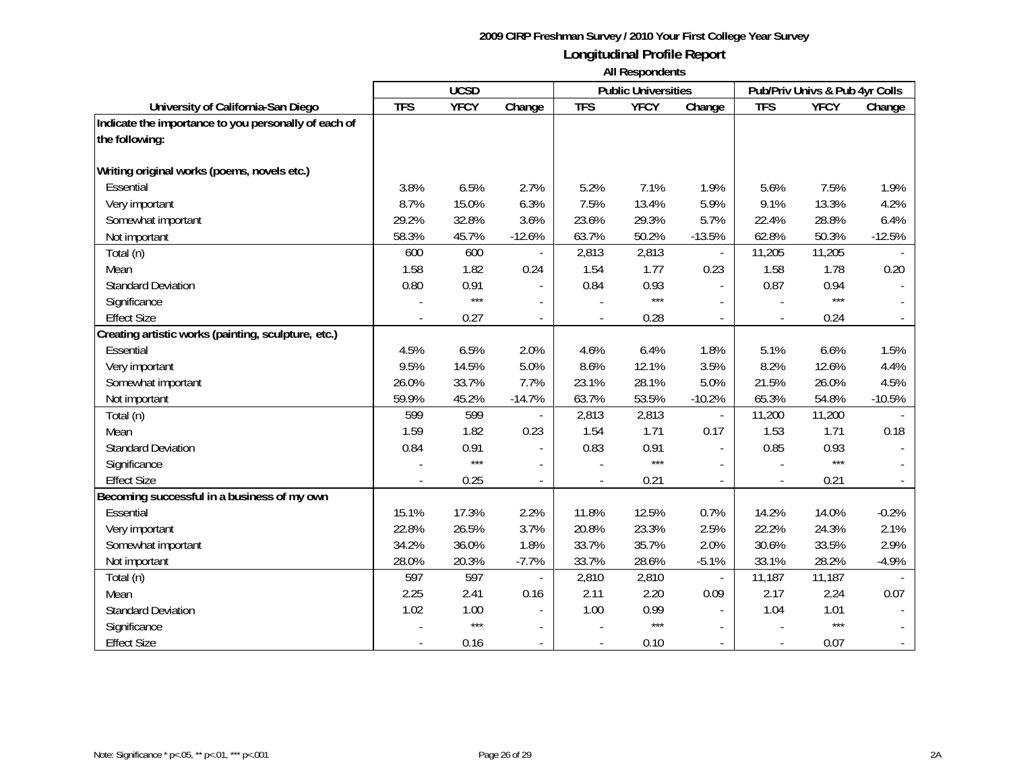|                                                      | <b>UCSD</b> |             |                          |                | <b>Public Universities</b> |                          | Pub/Priv Univs & Pub 4yr Colls |             |          |
|------------------------------------------------------|-------------|-------------|--------------------------|----------------|----------------------------|--------------------------|--------------------------------|-------------|----------|
| University of California-San Diego                   | <b>TFS</b>  | <b>YFCY</b> | Change                   | <b>TFS</b>     | <b>YFCY</b>                | Change                   | <b>TFS</b>                     | <b>YFCY</b> | Change   |
| Indicate the importance to you personally of each of |             |             |                          |                |                            |                          |                                |             |          |
| the following:                                       |             |             |                          |                |                            |                          |                                |             |          |
|                                                      |             |             |                          |                |                            |                          |                                |             |          |
| Writing original works (poems, novels etc.)          |             |             |                          |                |                            |                          |                                |             |          |
| Essential                                            | 3.8%        | 6.5%        | 2.7%                     | 5.2%           | 7.1%                       | 1.9%                     | 5.6%                           | 7.5%        | 1.9%     |
| Very important                                       | 8.7%        | 15.0%       | 6.3%                     | 7.5%           | 13.4%                      | 5.9%                     | 9.1%                           | 13.3%       | 4.2%     |
| Somewhat important                                   | 29.2%       | 32.8%       | 3.6%                     | 23.6%          | 29.3%                      | 5.7%                     | 22.4%                          | 28.8%       | 6.4%     |
| Not important                                        | 58.3%       | 45.7%       | $-12.6%$                 | 63.7%          | 50.2%                      | $-13.5%$                 | 62.8%                          | 50.3%       | $-12.5%$ |
| Total (n)                                            | 600         | 600         |                          | 2,813          | 2,813                      | $\overline{\phantom{a}}$ | 11,205                         | 11,205      |          |
| Mean                                                 | 1.58        | 1.82        | 0.24                     | 1.54           | 1.77                       | 0.23                     | 1.58                           | 1.78        | 0.20     |
| <b>Standard Deviation</b>                            | 0.80        | 0.91        |                          | 0.84           | 0.93                       |                          | 0.87                           | 0.94        |          |
| Significance                                         |             | $***$       |                          |                | $***$                      |                          |                                | $***$       |          |
| <b>Effect Size</b>                                   |             | 0.27        | $\blacksquare$           |                | 0.28                       | $\blacksquare$           |                                | 0.24        |          |
| Creating artistic works (painting, sculpture, etc.)  |             |             |                          |                |                            |                          |                                |             |          |
| Essential                                            | 4.5%        | 6.5%        | 2.0%                     | 4.6%           | 6.4%                       | 1.8%                     | 5.1%                           | 6.6%        | 1.5%     |
| Very important                                       | 9.5%        | 14.5%       | 5.0%                     | 8.6%           | 12.1%                      | 3.5%                     | 8.2%                           | 12.6%       | 4.4%     |
| Somewhat important                                   | 26.0%       | 33.7%       | 7.7%                     | 23.1%          | 28.1%                      | 5.0%                     | 21.5%                          | 26.0%       | 4.5%     |
| Not important                                        | 59.9%       | 45.2%       | $-14.7%$                 | 63.7%          | 53.5%                      | $-10.2%$                 | 65.3%                          | 54.8%       | $-10.5%$ |
| Total (n)                                            | 599         | 599         |                          | 2,813          | 2,813                      |                          | 11,200                         | 11,200      |          |
| Mean                                                 | 1.59        | 1.82        | 0.23                     | 1.54           | 1.71                       | 0.17                     | 1.53                           | 1.71        | 0.18     |
| <b>Standard Deviation</b>                            | 0.84        | 0.91        |                          | 0.83           | 0.91                       | $\overline{a}$           | 0.85                           | 0.93        |          |
| Significance                                         |             | $***$       | $\overline{\phantom{a}}$ |                | $***$                      |                          |                                | $***$       |          |
| <b>Effect Size</b>                                   |             | 0.25        |                          |                | 0.21                       |                          |                                | 0.21        |          |
| Becoming successful in a business of my own          |             |             |                          |                |                            |                          |                                |             |          |
| Essential                                            | 15.1%       | 17.3%       | 2.2%                     | 11.8%          | 12.5%                      | 0.7%                     | 14.2%                          | 14.0%       | $-0.2%$  |
| Very important                                       | 22.8%       | 26.5%       | 3.7%                     | 20.8%          | 23.3%                      | 2.5%                     | 22.2%                          | 24.3%       | 2.1%     |
| Somewhat important                                   | 34.2%       | 36.0%       | 1.8%                     | 33.7%          | 35.7%                      | 2.0%                     | 30.6%                          | 33.5%       | 2.9%     |
| Not important                                        | 28.0%       | 20.3%       | $-7.7%$                  | 33.7%          | 28.6%                      | $-5.1%$                  | 33.1%                          | 28.2%       | $-4.9%$  |
| Total (n)                                            | 597         | 597         |                          | 2,810          | 2,810                      |                          | 11,187                         | 11,187      |          |
| Mean                                                 | 2.25        | 2.41        | 0.16                     | 2.11           | 2.20                       | 0.09                     | 2.17                           | 2.24        | 0.07     |
| <b>Standard Deviation</b>                            | 1.02        | 1.00        |                          | 1.00           | 0.99                       | $\sim$                   | 1.04                           | 1.01        |          |
| Significance                                         |             | $***$       |                          |                | $***$                      |                          |                                | $***$       |          |
| <b>Effect Size</b>                                   |             | 0.16        | $\blacksquare$           | $\overline{a}$ | 0.10                       |                          |                                | 0.07        |          |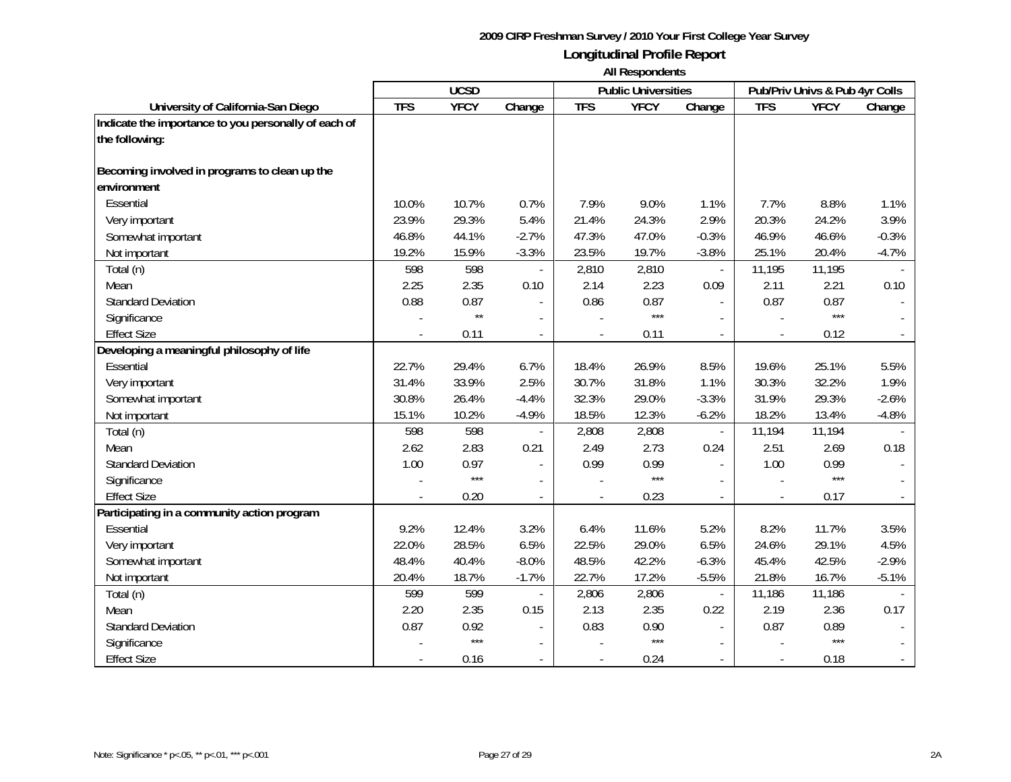|                                                      | <b>UCSD</b> |              |                |            | <b>Public Universities</b> |                          | Pub/Priv Univs & Pub 4yr Colls |             |         |
|------------------------------------------------------|-------------|--------------|----------------|------------|----------------------------|--------------------------|--------------------------------|-------------|---------|
| University of California-San Diego                   | <b>TFS</b>  | <b>YFCY</b>  | Change         | <b>TFS</b> | <b>YFCY</b>                | Change                   | <b>TFS</b>                     | <b>YFCY</b> | Change  |
| Indicate the importance to you personally of each of |             |              |                |            |                            |                          |                                |             |         |
| the following:                                       |             |              |                |            |                            |                          |                                |             |         |
|                                                      |             |              |                |            |                            |                          |                                |             |         |
| Becoming involved in programs to clean up the        |             |              |                |            |                            |                          |                                |             |         |
| environment                                          |             |              |                |            |                            |                          |                                |             |         |
| Essential                                            | 10.0%       | 10.7%        | 0.7%           | 7.9%       | 9.0%                       | 1.1%                     | 7.7%                           | 8.8%        | 1.1%    |
| Very important                                       | 23.9%       | 29.3%        | 5.4%           | 21.4%      | 24.3%                      | 2.9%                     | 20.3%                          | 24.2%       | 3.9%    |
| Somewhat important                                   | 46.8%       | 44.1%        | $-2.7%$        | 47.3%      | 47.0%                      | $-0.3%$                  | 46.9%                          | 46.6%       | $-0.3%$ |
| Not important                                        | 19.2%       | 15.9%        | $-3.3%$        | 23.5%      | 19.7%                      | $-3.8%$                  | 25.1%                          | 20.4%       | $-4.7%$ |
| Total (n)                                            | 598         | 598          |                | 2,810      | 2,810                      |                          | 11,195                         | 11,195      |         |
| Mean                                                 | 2.25        | 2.35         | 0.10           | 2.14       | 2.23                       | 0.09                     | 2.11                           | 2.21        | 0.10    |
| <b>Standard Deviation</b>                            | 0.88        | 0.87         |                | 0.86       | 0.87                       |                          | 0.87                           | 0.87        |         |
| Significance                                         |             | $\star\star$ |                |            | ***                        | $\mathbf{r}$             |                                | $***$       |         |
| <b>Effect Size</b>                                   |             | 0.11         | $\overline{a}$ |            | 0.11                       | $\mathcal{L}$            |                                | 0.12        | $\sim$  |
| Developing a meaningful philosophy of life           |             |              |                |            |                            |                          |                                |             |         |
| Essential                                            | 22.7%       | 29.4%        | 6.7%           | 18.4%      | 26.9%                      | 8.5%                     | 19.6%                          | 25.1%       | 5.5%    |
| Very important                                       | 31.4%       | 33.9%        | 2.5%           | 30.7%      | 31.8%                      | 1.1%                     | 30.3%                          | 32.2%       | 1.9%    |
| Somewhat important                                   | 30.8%       | 26.4%        | $-4.4%$        | 32.3%      | 29.0%                      | $-3.3%$                  | 31.9%                          | 29.3%       | $-2.6%$ |
| Not important                                        | 15.1%       | 10.2%        | $-4.9%$        | 18.5%      | 12.3%                      | $-6.2%$                  | 18.2%                          | 13.4%       | $-4.8%$ |
| Total (n)                                            | 598         | 598          |                | 2,808      | 2,808                      | $\overline{\phantom{a}}$ | 11,194                         | 11,194      |         |
| Mean                                                 | 2.62        | 2.83         | 0.21           | 2.49       | 2.73                       | 0.24                     | 2.51                           | 2.69        | 0.18    |
| <b>Standard Deviation</b>                            | 1.00        | 0.97         |                | 0.99       | 0.99                       | $\sim$                   | 1.00                           | 0.99        |         |
| Significance                                         |             | $***$        |                |            | $***$                      | $\overline{\phantom{a}}$ |                                | $***$       |         |
| <b>Effect Size</b>                                   |             | 0.20         |                |            | 0.23                       |                          |                                | 0.17        |         |
| Participating in a community action program          |             |              |                |            |                            |                          |                                |             |         |
| Essential                                            | 9.2%        | 12.4%        | 3.2%           | 6.4%       | 11.6%                      | 5.2%                     | 8.2%                           | 11.7%       | 3.5%    |
| Very important                                       | 22.0%       | 28.5%        | 6.5%           | 22.5%      | 29.0%                      | 6.5%                     | 24.6%                          | 29.1%       | 4.5%    |
| Somewhat important                                   | 48.4%       | 40.4%        | $-8.0%$        | 48.5%      | 42.2%                      | $-6.3%$                  | 45.4%                          | 42.5%       | $-2.9%$ |
| Not important                                        | 20.4%       | 18.7%        | $-1.7%$        | 22.7%      | 17.2%                      | $-5.5%$                  | 21.8%                          | 16.7%       | $-5.1%$ |
| Total (n)                                            | 599         | 599          |                | 2,806      | 2,806                      | $\Box$                   | 11,186                         | 11,186      |         |
| Mean                                                 | 2.20        | 2.35         | 0.15           | 2.13       | 2.35                       | 0.22                     | 2.19                           | 2.36        | 0.17    |
| <b>Standard Deviation</b>                            | 0.87        | 0.92         |                | 0.83       | 0.90                       | $\sim$                   | 0.87                           | 0.89        |         |
| Significance                                         |             | $***$        |                |            | $***$                      | $\overline{\phantom{a}}$ |                                | $***$       |         |
| <b>Effect Size</b>                                   |             | 0.16         | $\overline{a}$ |            | 0.24                       |                          |                                | 0.18        |         |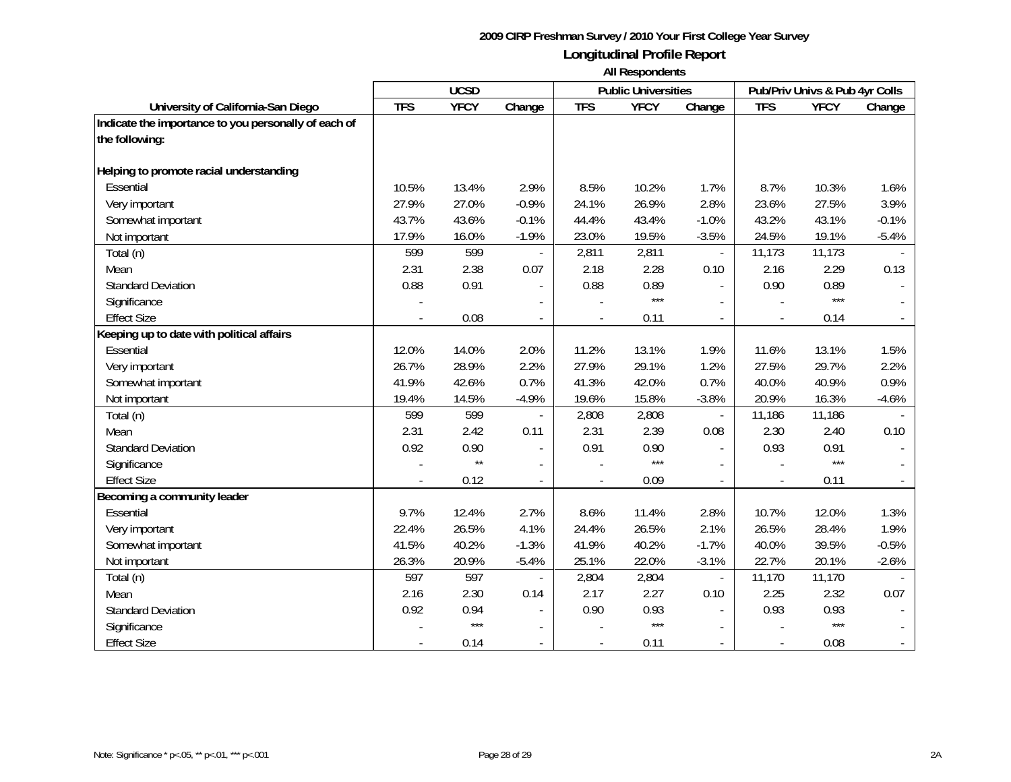|                                                      | <b>UCSD</b> |              |                          |                | <b>Public Universities</b> |                          | Pub/Priv Univs & Pub 4yr Colls |             |                |
|------------------------------------------------------|-------------|--------------|--------------------------|----------------|----------------------------|--------------------------|--------------------------------|-------------|----------------|
| University of California-San Diego                   | <b>TFS</b>  | <b>YFCY</b>  | Change                   | <b>TFS</b>     | <b>YFCY</b>                | Change                   | <b>TFS</b>                     | <b>YFCY</b> | Change         |
| Indicate the importance to you personally of each of |             |              |                          |                |                            |                          |                                |             |                |
| the following:                                       |             |              |                          |                |                            |                          |                                |             |                |
|                                                      |             |              |                          |                |                            |                          |                                |             |                |
| Helping to promote racial understanding              |             |              |                          |                |                            |                          |                                |             |                |
| Essential                                            | 10.5%       | 13.4%        | 2.9%                     | 8.5%           | 10.2%                      | 1.7%                     | 8.7%                           | 10.3%       | 1.6%           |
| Very important                                       | 27.9%       | 27.0%        | $-0.9%$                  | 24.1%          | 26.9%                      | 2.8%                     | 23.6%                          | 27.5%       | 3.9%           |
| Somewhat important                                   | 43.7%       | 43.6%        | $-0.1%$                  | 44.4%          | 43.4%                      | $-1.0%$                  | 43.2%                          | 43.1%       | $-0.1%$        |
| Not important                                        | 17.9%       | 16.0%        | $-1.9%$                  | 23.0%          | 19.5%                      | $-3.5%$                  | 24.5%                          | 19.1%       | $-5.4%$        |
| Total (n)                                            | 599         | 599          |                          | 2,811          | 2,811                      | $\overline{\phantom{a}}$ | 11,173                         | 11,173      |                |
| Mean                                                 | 2.31        | 2.38         | 0.07                     | 2.18           | 2.28                       | 0.10                     | 2.16                           | 2.29        | 0.13           |
| <b>Standard Deviation</b>                            | 0.88        | 0.91         |                          | 0.88           | 0.89                       | $\sim$                   | 0.90                           | 0.89        |                |
| Significance                                         |             |              |                          |                | $***$                      |                          |                                | $***$       |                |
| <b>Effect Size</b>                                   |             | 0.08         | $\overline{\phantom{a}}$ |                | 0.11                       | $\blacksquare$           |                                | 0.14        |                |
| Keeping up to date with political affairs            |             |              |                          |                |                            |                          |                                |             |                |
| Essential                                            | 12.0%       | 14.0%        | 2.0%                     | 11.2%          | 13.1%                      | 1.9%                     | 11.6%                          | 13.1%       | 1.5%           |
| Very important                                       | 26.7%       | 28.9%        | 2.2%                     | 27.9%          | 29.1%                      | 1.2%                     | 27.5%                          | 29.7%       | 2.2%           |
| Somewhat important                                   | 41.9%       | 42.6%        | 0.7%                     | 41.3%          | 42.0%                      | 0.7%                     | 40.0%                          | 40.9%       | 0.9%           |
| Not important                                        | 19.4%       | 14.5%        | $-4.9%$                  | 19.6%          | 15.8%                      | $-3.8%$                  | 20.9%                          | 16.3%       | $-4.6%$        |
| Total (n)                                            | 599         | 599          |                          | 2,808          | 2,808                      |                          | 11,186                         | 11,186      |                |
| Mean                                                 | 2.31        | 2.42         | 0.11                     | 2.31           | 2.39                       | 0.08                     | 2.30                           | 2.40        | 0.10           |
| <b>Standard Deviation</b>                            | 0.92        | 0.90         |                          | 0.91           | 0.90                       |                          | 0.93                           | 0.91        |                |
| Significance                                         |             | $\star\star$ | $\blacksquare$           |                | ***                        |                          |                                | $***$       |                |
| <b>Effect Size</b>                                   |             | 0.12         |                          |                | 0.09                       | $\overline{a}$           |                                | 0.11        |                |
| Becoming a community leader                          |             |              |                          |                |                            |                          |                                |             |                |
| Essential                                            | 9.7%        | 12.4%        | 2.7%                     | 8.6%           | 11.4%                      | 2.8%                     | 10.7%                          | 12.0%       | 1.3%           |
| Very important                                       | 22.4%       | 26.5%        | 4.1%                     | 24.4%          | 26.5%                      | 2.1%                     | 26.5%                          | 28.4%       | 1.9%           |
| Somewhat important                                   | 41.5%       | 40.2%        | $-1.3%$                  | 41.9%          | 40.2%                      | $-1.7%$                  | 40.0%                          | 39.5%       | $-0.5%$        |
| Not important                                        | 26.3%       | 20.9%        | $-5.4%$                  | 25.1%          | 22.0%                      | $-3.1%$                  | 22.7%                          | 20.1%       | $-2.6%$        |
| Total (n)                                            | 597         | 597          |                          | 2,804          | 2,804                      | $\overline{\phantom{a}}$ | 11,170                         | 11,170      |                |
| Mean                                                 | 2.16        | 2.30         | 0.14                     | 2.17           | 2.27                       | 0.10                     | 2.25                           | 2.32        | 0.07           |
| <b>Standard Deviation</b>                            | 0.92        | 0.94         | $\overline{\phantom{a}}$ | 0.90           | 0.93                       | $\sim$                   | 0.93                           | 0.93        |                |
| Significance                                         |             | $***$        |                          |                | $***$                      |                          |                                | $***$       |                |
| <b>Effect Size</b>                                   |             | 0.14         | $\blacksquare$           | $\overline{a}$ | 0.11                       |                          |                                | 0.08        | $\blacksquare$ |